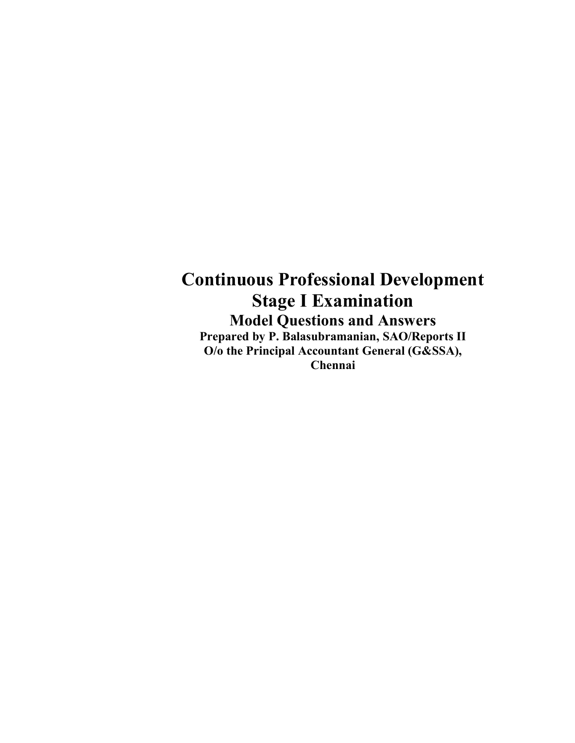## **Continuous Professional Development Stage I Examination Model Questions and Answers Prepared by P. Balasubramanian, SAO/Reports II O/o the Principal Accountant General (G&SSA), Chennai**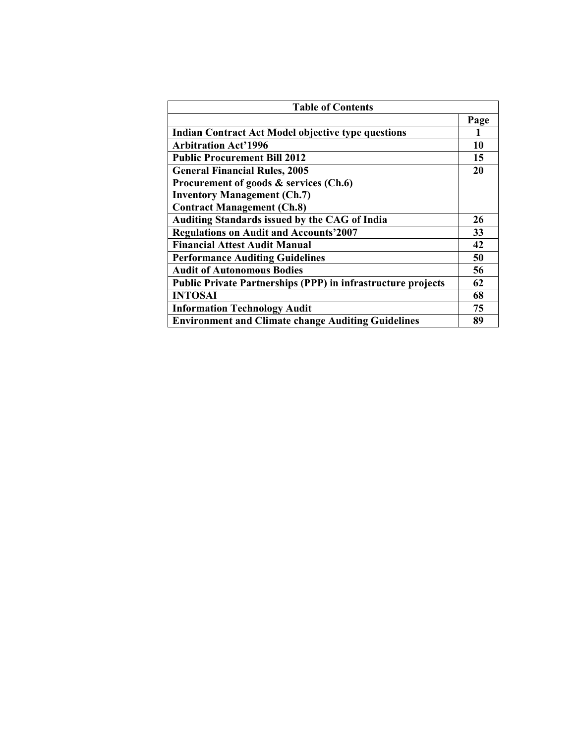| <b>Table of Contents</b>                                            |      |
|---------------------------------------------------------------------|------|
|                                                                     | Page |
| <b>Indian Contract Act Model objective type questions</b>           |      |
| <b>Arbitration Act'1996</b>                                         | 10   |
| <b>Public Procurement Bill 2012</b>                                 | 15   |
| <b>General Financial Rules, 2005</b>                                | 20   |
| Procurement of goods & services (Ch.6)                              |      |
| <b>Inventory Management (Ch.7)</b>                                  |      |
| <b>Contract Management (Ch.8)</b>                                   |      |
| Auditing Standards issued by the CAG of India                       | 26   |
| <b>Regulations on Audit and Accounts'2007</b>                       | 33   |
| <b>Financial Attest Audit Manual</b>                                | 42   |
| <b>Performance Auditing Guidelines</b>                              | 50   |
| <b>Audit of Autonomous Bodies</b>                                   | 56   |
| <b>Public Private Partnerships (PPP) in infrastructure projects</b> | 62   |
| <b>INTOSAI</b>                                                      | 68   |
| <b>Information Technology Audit</b>                                 | 75   |
| <b>Environment and Climate change Auditing Guidelines</b>           | 89   |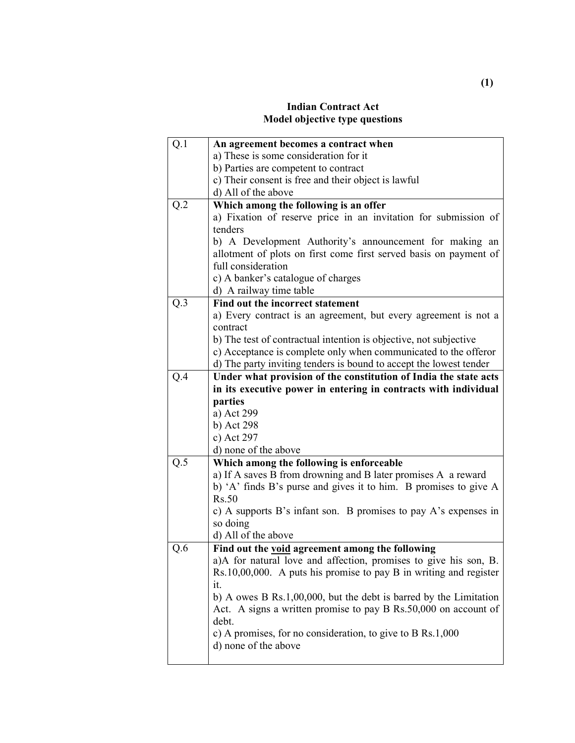#### **Indian Contract Act Model objective type questions**

| Q.1 | An agreement becomes a contract when                                                                                                 |
|-----|--------------------------------------------------------------------------------------------------------------------------------------|
|     | a) These is some consideration for it                                                                                                |
|     | b) Parties are competent to contract                                                                                                 |
|     | c) Their consent is free and their object is lawful                                                                                  |
|     | d) All of the above                                                                                                                  |
| Q.2 | Which among the following is an offer                                                                                                |
|     | a) Fixation of reserve price in an invitation for submission of                                                                      |
|     | tenders                                                                                                                              |
|     | b) A Development Authority's announcement for making an                                                                              |
|     | allotment of plots on first come first served basis on payment of                                                                    |
|     | full consideration                                                                                                                   |
|     | c) A banker's catalogue of charges                                                                                                   |
|     | d) A railway time table                                                                                                              |
| Q.3 | Find out the incorrect statement                                                                                                     |
|     | a) Every contract is an agreement, but every agreement is not a                                                                      |
|     | contract                                                                                                                             |
|     | b) The test of contractual intention is objective, not subjective                                                                    |
|     | c) Acceptance is complete only when communicated to the offeror                                                                      |
|     | d) The party inviting tenders is bound to accept the lowest tender                                                                   |
| Q.4 | Under what provision of the constitution of India the state acts                                                                     |
|     | in its executive power in entering in contracts with individual                                                                      |
|     | parties                                                                                                                              |
|     | a) Act 299                                                                                                                           |
|     | b) Act 298                                                                                                                           |
|     | c) Act 297                                                                                                                           |
|     | d) none of the above                                                                                                                 |
| Q.5 | Which among the following is enforceable                                                                                             |
|     | a) If A saves B from drowning and B later promises A a reward                                                                        |
|     | b) 'A' finds B's purse and gives it to him. B promises to give A                                                                     |
|     | Rs.50                                                                                                                                |
|     | c) A supports B's infant son. B promises to pay A's expenses in                                                                      |
|     | so doing                                                                                                                             |
|     | d) All of the above                                                                                                                  |
| Q.6 | Find out the void agreement among the following                                                                                      |
|     | a)A for natural love and affection, promises to give his son, B.                                                                     |
|     | $Rs.10,00,000$ . A puts his promise to pay B in writing and register<br>it.                                                          |
|     |                                                                                                                                      |
|     | b) A owes B Rs.1,00,000, but the debt is barred by the Limitation<br>Act. A signs a written promise to pay B Rs.50,000 on account of |
|     | debt.                                                                                                                                |
|     | c) A promises, for no consideration, to give to $B$ Rs.1,000                                                                         |
|     | d) none of the above                                                                                                                 |
|     |                                                                                                                                      |
|     |                                                                                                                                      |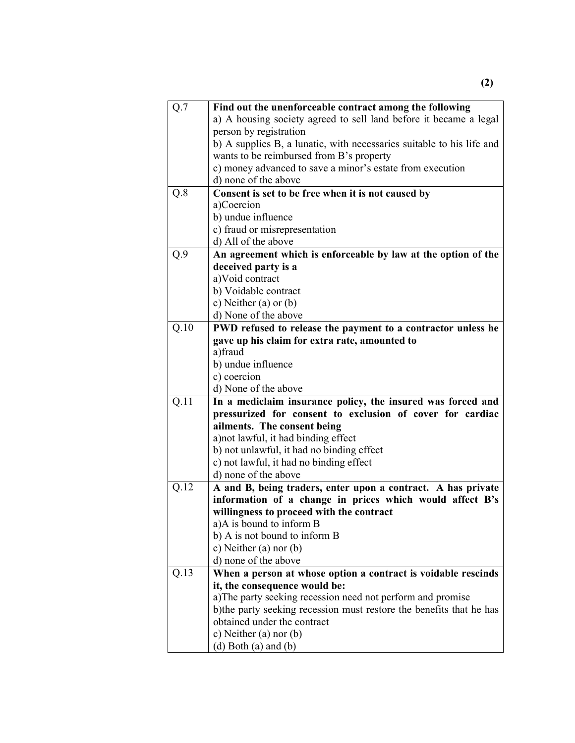| Q.7  | Find out the unenforceable contract among the following               |
|------|-----------------------------------------------------------------------|
|      | a) A housing society agreed to sell land before it became a legal     |
|      | person by registration                                                |
|      | b) A supplies B, a lunatic, with necessaries suitable to his life and |
|      | wants to be reimbursed from B's property                              |
|      | c) money advanced to save a minor's estate from execution             |
|      | d) none of the above                                                  |
| Q.8  | Consent is set to be free when it is not caused by                    |
|      | a)Coercion                                                            |
|      | b) undue influence                                                    |
|      | c) fraud or misrepresentation                                         |
|      | d) All of the above                                                   |
| Q.9  | An agreement which is enforceable by law at the option of the         |
|      | deceived party is a                                                   |
|      | a)Void contract                                                       |
|      | b) Voidable contract                                                  |
|      | c) Neither (a) or $(b)$                                               |
|      | d) None of the above                                                  |
| Q.10 | PWD refused to release the payment to a contractor unless he          |
|      | gave up his claim for extra rate, amounted to                         |
|      | a)fraud                                                               |
|      | b) undue influence                                                    |
|      | c) coercion                                                           |
|      |                                                                       |
|      | d) None of the above                                                  |
| Q.11 | In a mediclaim insurance policy, the insured was forced and           |
|      | pressurized for consent to exclusion of cover for cardiac             |
|      | ailments. The consent being                                           |
|      | a) not lawful, it had binding effect                                  |
|      | b) not unlawful, it had no binding effect                             |
|      | c) not lawful, it had no binding effect                               |
|      | d) none of the above                                                  |
| Q.12 | A and B, being traders, enter upon a contract. A has private          |
|      | information of a change in prices which would affect B's              |
|      | willingness to proceed with the contract                              |
|      | a)A is bound to inform B                                              |
|      | b) A is not bound to inform B                                         |
|      | c) Neither (a) nor (b)                                                |
|      | d) none of the above                                                  |
| Q.13 | When a person at whose option a contract is voidable rescinds         |
|      | it, the consequence would be:                                         |
|      | a)The party seeking recession need not perform and promise            |
|      | b) the party seeking recession must restore the benefits that he has  |
|      | obtained under the contract                                           |
|      | c) Neither $(a)$ nor $(b)$<br>(d) Both (a) and (b)                    |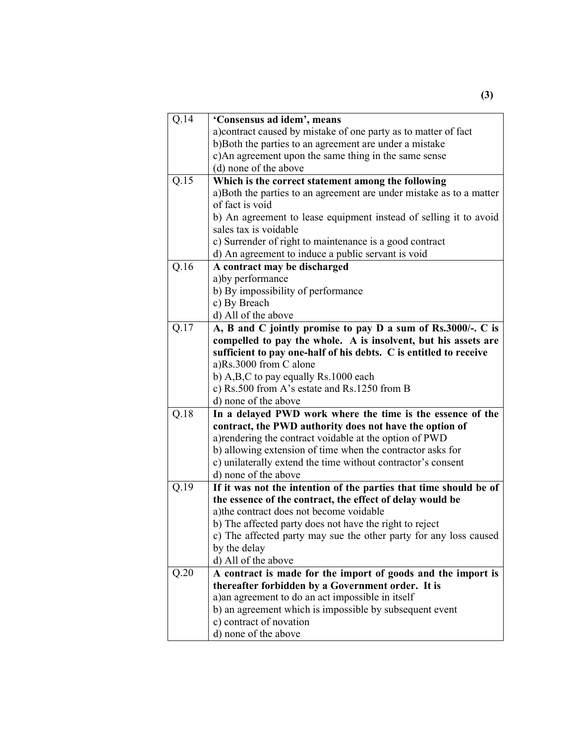| $Q.\overline{14}$ | 'Consensus ad idem', means                                          |
|-------------------|---------------------------------------------------------------------|
|                   | a) contract caused by mistake of one party as to matter of fact     |
|                   | b)Both the parties to an agreement are under a mistake              |
|                   | c)An agreement upon the same thing in the same sense                |
|                   | (d) none of the above                                               |
| Q.15              | Which is the correct statement among the following                  |
|                   | a)Both the parties to an agreement are under mistake as to a matter |
|                   | of fact is void                                                     |
|                   | b) An agreement to lease equipment instead of selling it to avoid   |
|                   | sales tax is voidable                                               |
|                   | c) Surrender of right to maintenance is a good contract             |
|                   | d) An agreement to induce a public servant is void                  |
| Q.16              | A contract may be discharged                                        |
|                   | a) by performance                                                   |
|                   | b) By impossibility of performance                                  |
|                   | c) By Breach                                                        |
|                   | d) All of the above                                                 |
| Q.17              | A, B and C jointly promise to pay D a sum of Rs.3000/-. C is        |
|                   | compelled to pay the whole. A is insolvent, but his assets are      |
|                   | sufficient to pay one-half of his debts. C is entitled to receive   |
|                   | a)Rs.3000 from C alone                                              |
|                   | b) A,B,C to pay equally Rs.1000 each                                |
|                   | c) Rs.500 from A's estate and Rs.1250 from B                        |
|                   | d) none of the above                                                |
| Q.18              | In a delayed PWD work where the time is the essence of the          |
|                   | contract, the PWD authority does not have the option of             |
|                   | a) rendering the contract voidable at the option of PWD             |
|                   | b) allowing extension of time when the contractor asks for          |
|                   | c) unilaterally extend the time without contractor's consent        |
|                   | d) none of the above                                                |
| Q.19              | If it was not the intention of the parties that time should be of   |
|                   | the essence of the contract, the effect of delay would be           |
|                   | a) the contract does not become voidable                            |
|                   | b) The affected party does not have the right to reject             |
|                   | c) The affected party may sue the other party for any loss caused   |
|                   | by the delay                                                        |
|                   | d) All of the above                                                 |
| Q.20              | A contract is made for the import of goods and the import is        |
|                   | thereafter forbidden by a Government order. It is                   |
|                   | a) an agreement to do an act impossible in itself                   |
|                   | b) an agreement which is impossible by subsequent event             |
|                   | c) contract of novation                                             |
|                   | d) none of the above                                                |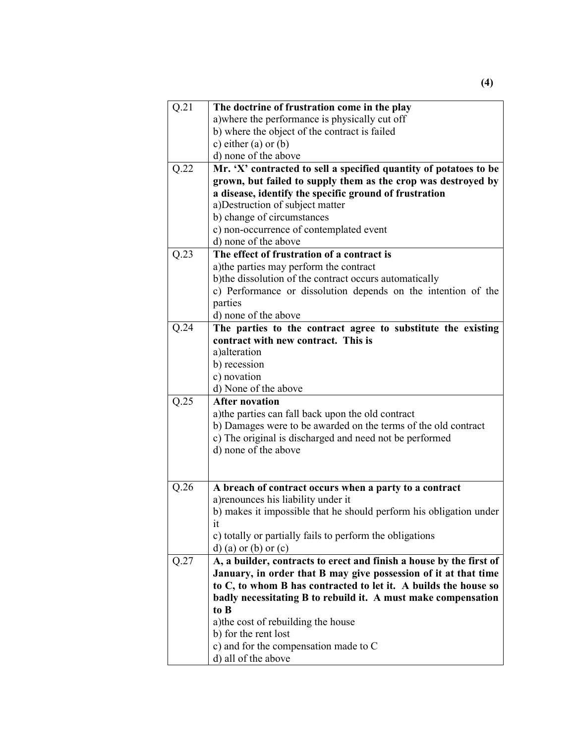| Q.21 | The doctrine of frustration come in the play                        |
|------|---------------------------------------------------------------------|
|      | a) where the performance is physically cut off                      |
|      | b) where the object of the contract is failed                       |
|      | c) either $(a)$ or $(b)$                                            |
|      | d) none of the above                                                |
| Q.22 | Mr. 'X' contracted to sell a specified quantity of potatoes to be   |
|      | grown, but failed to supply them as the crop was destroyed by       |
|      | a disease, identify the specific ground of frustration              |
|      | a) Destruction of subject matter                                    |
|      | b) change of circumstances                                          |
|      | c) non-occurrence of contemplated event                             |
|      | d) none of the above                                                |
| Q.23 | The effect of frustration of a contract is                          |
|      | a) the parties may perform the contract                             |
|      | b) the dissolution of the contract occurs automatically             |
|      | c) Performance or dissolution depends on the intention of the       |
|      | parties                                                             |
|      | d) none of the above                                                |
| Q.24 | The parties to the contract agree to substitute the existing        |
|      | contract with new contract. This is                                 |
|      | a) alteration                                                       |
|      | b) recession                                                        |
|      | c) novation                                                         |
|      | d) None of the above                                                |
| Q.25 | <b>After novation</b>                                               |
|      | a) the parties can fall back upon the old contract                  |
|      | b) Damages were to be awarded on the terms of the old contract      |
|      | c) The original is discharged and need not be performed             |
|      | d) none of the above                                                |
|      |                                                                     |
|      |                                                                     |
| Q.26 | A breach of contract occurs when a party to a contract              |
|      | a) renounces his liability under it                                 |
|      | b) makes it impossible that he should perform his obligation under  |
|      | 1t                                                                  |
|      | c) totally or partially fails to perform the obligations            |
|      | $d)$ (a) or (b) or (c)                                              |
| Q.27 | A, a builder, contracts to erect and finish a house by the first of |
|      | January, in order that B may give possession of it at that time     |
|      | to C, to whom B has contracted to let it. A builds the house so     |
|      | badly necessitating B to rebuild it. A must make compensation       |
|      | to B                                                                |
|      | a) the cost of rebuilding the house                                 |
|      | b) for the rent lost                                                |
|      | c) and for the compensation made to C                               |
|      | d) all of the above                                                 |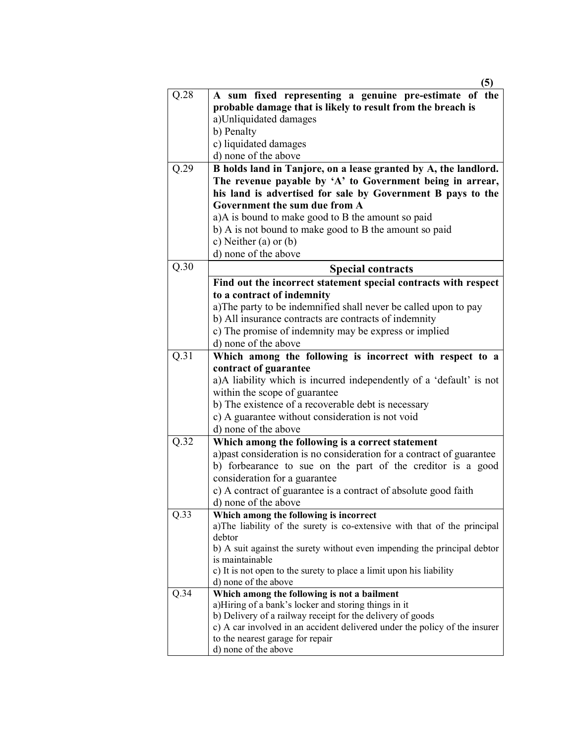|      | (5)                                                                                         |
|------|---------------------------------------------------------------------------------------------|
| Q.28 | A sum fixed representing a genuine pre-estimate of the                                      |
|      | probable damage that is likely to result from the breach is                                 |
|      | a)Unliquidated damages                                                                      |
|      | b) Penalty                                                                                  |
|      | c) liquidated damages                                                                       |
|      | d) none of the above                                                                        |
| Q.29 | B holds land in Tanjore, on a lease granted by A, the landlord.                             |
|      | The revenue payable by 'A' to Government being in arrear,                                   |
|      | his land is advertised for sale by Government B pays to the                                 |
|      | Government the sum due from A                                                               |
|      | a)A is bound to make good to B the amount so paid                                           |
|      | b) A is not bound to make good to B the amount so paid                                      |
|      | c) Neither (a) or $(b)$                                                                     |
|      | d) none of the above                                                                        |
| Q.30 | <b>Special contracts</b>                                                                    |
|      | Find out the incorrect statement special contracts with respect                             |
|      | to a contract of indemnity                                                                  |
|      | a) The party to be indemnified shall never be called upon to pay                            |
|      | b) All insurance contracts are contracts of indemnity                                       |
|      | c) The promise of indemnity may be express or implied                                       |
|      | d) none of the above                                                                        |
| Q.31 | Which among the following is incorrect with respect to a                                    |
|      | contract of guarantee                                                                       |
|      | a)A liability which is incurred independently of a 'default' is not                         |
|      | within the scope of guarantee<br>b) The existence of a recoverable debt is necessary        |
|      | c) A guarantee without consideration is not void                                            |
|      | d) none of the above                                                                        |
| Q.32 | Which among the following is a correct statement                                            |
|      | a) past consideration is no consideration for a contract of guarantee                       |
|      | b) forbearance to sue on the part of the creditor is a good                                 |
|      | consideration for a guarantee                                                               |
|      | c) A contract of guarantee is a contract of absolute good faith                             |
|      | d) none of the above                                                                        |
| Q.33 | Which among the following is incorrect                                                      |
|      | a)The liability of the surety is co-extensive with that of the principal                    |
|      | debtor                                                                                      |
|      | b) A suit against the surety without even impending the principal debtor                    |
|      | is maintainable                                                                             |
|      | c) It is not open to the surety to place a limit upon his liability<br>d) none of the above |
| Q.34 | Which among the following is not a bailment                                                 |
|      | a)Hiring of a bank's locker and storing things in it                                        |
|      | b) Delivery of a railway receipt for the delivery of goods                                  |
|      | c) A car involved in an accident delivered under the policy of the insurer                  |
|      | to the nearest garage for repair                                                            |
|      | d) none of the above                                                                        |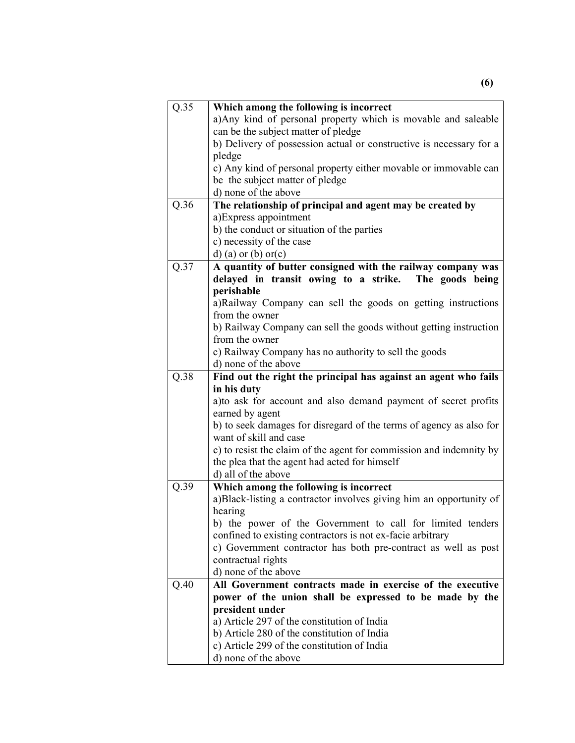| Q.35 | Which among the following is incorrect                               |
|------|----------------------------------------------------------------------|
|      | a) Any kind of personal property which is movable and saleable       |
|      | can be the subject matter of pledge                                  |
|      | b) Delivery of possession actual or constructive is necessary for a  |
|      | pledge                                                               |
|      | c) Any kind of personal property either movable or immovable can     |
|      | be the subject matter of pledge                                      |
|      | d) none of the above                                                 |
| Q.36 | The relationship of principal and agent may be created by            |
|      | a) Express appointment                                               |
|      | b) the conduct or situation of the parties                           |
|      | c) necessity of the case                                             |
|      | $d)$ (a) or (b) or (c)                                               |
| Q.37 | A quantity of butter consigned with the railway company was          |
|      | delayed in transit owing to a strike. The goods being                |
|      | perishable                                                           |
|      | a)Railway Company can sell the goods on getting instructions         |
|      | from the owner                                                       |
|      | b) Railway Company can sell the goods without getting instruction    |
|      | from the owner                                                       |
|      | c) Railway Company has no authority to sell the goods                |
|      | d) none of the above                                                 |
| Q.38 | Find out the right the principal has against an agent who fails      |
|      | in his duty                                                          |
|      | a) to ask for account and also demand payment of secret profits      |
|      | earned by agent                                                      |
|      | b) to seek damages for disregard of the terms of agency as also for  |
|      | want of skill and case                                               |
|      | c) to resist the claim of the agent for commission and indemnity by  |
|      | the plea that the agent had acted for himself<br>d) all of the above |
| Q.39 | Which among the following is incorrect                               |
|      | a)Black-listing a contractor involves giving him an opportunity of   |
|      | hearing                                                              |
|      | b) the power of the Government to call for limited tenders           |
|      | confined to existing contractors is not ex-facie arbitrary           |
|      | c) Government contractor has both pre-contract as well as post       |
|      | contractual rights                                                   |
|      | d) none of the above                                                 |
| Q.40 | All Government contracts made in exercise of the executive           |
|      | power of the union shall be expressed to be made by the              |
|      | president under                                                      |
|      | a) Article 297 of the constitution of India                          |
|      | b) Article 280 of the constitution of India                          |
|      | c) Article 299 of the constitution of India                          |
|      | d) none of the above                                                 |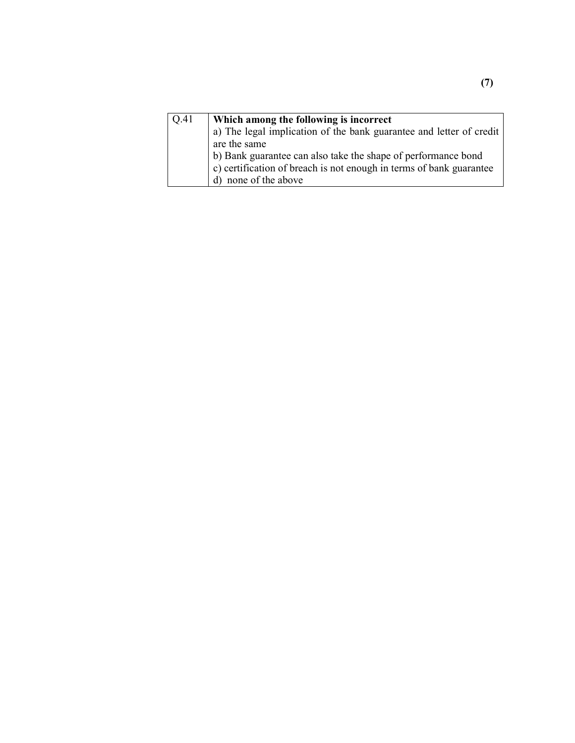| Q.41 | Which among the following is incorrect                              |
|------|---------------------------------------------------------------------|
|      | a) The legal implication of the bank guarantee and letter of credit |
|      | are the same                                                        |
|      | b) Bank guarantee can also take the shape of performance bond       |
|      | c) certification of breach is not enough in terms of bank guarantee |
|      | d) none of the above                                                |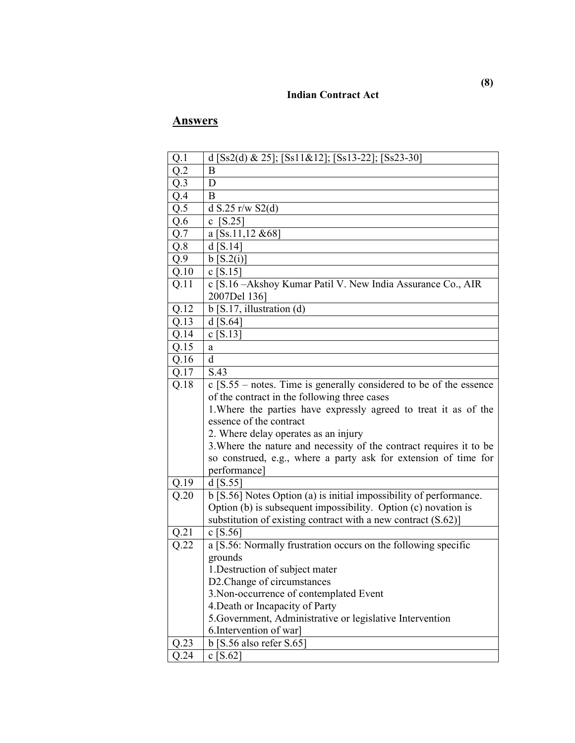#### **Indian Contract Act**

| Q.1              | d [Ss2(d) & 25]; [Ss11&12]; [Ss13-22]; [Ss23-30]                     |
|------------------|----------------------------------------------------------------------|
| Q.2              | B                                                                    |
| $Q.\overline{3}$ | D                                                                    |
| $Q.\overline{4}$ | B                                                                    |
| Q.5              | d S.25 r/w S2(d)                                                     |
| Q.6              | [S.25]<br>$\mathbf{c}$                                               |
| Q.7              | a [Ss.11,12 & 68]                                                    |
| Q.8              | $d$ [S.14]                                                           |
| Q.9              | b [S.2(i)]                                                           |
| Q.10             | $\overline{c}$ [S.15]                                                |
| Q.11             | c [S.16 - Akshoy Kumar Patil V. New India Assurance Co., AIR         |
|                  | 2007Del 136]                                                         |
| Q.12             | $b$ [S.17, illustration (d)                                          |
| Q.13             | $d$ [S.64]                                                           |
| Q.14             | $c$ [S.13]                                                           |
| Q.15             | a                                                                    |
| Q.16             | d                                                                    |
| Q.17             | S.43                                                                 |
| Q.18             | $c$ [S.55 – notes. Time is generally considered to be of the essence |
|                  | of the contract in the following three cases                         |
|                  | 1. Where the parties have expressly agreed to treat it as of the     |
|                  | essence of the contract                                              |
|                  | 2. Where delay operates as an injury                                 |
|                  | 3. Where the nature and necessity of the contract requires it to be  |
|                  | so construed, e.g., where a party ask for extension of time for      |
|                  | performance]                                                         |
| Q.19             | $d$ [S.55]                                                           |
| Q.20             | b [S.56] Notes Option (a) is initial impossibility of performance.   |
|                  | Option (b) is subsequent impossibility. Option (c) novation is       |
|                  | substitution of existing contract with a new contract $(S.62)$ ]     |
| Q.21             | c [S.56]                                                             |
| Q.22             | a [S.56: Normally frustration occurs on the following specific       |
|                  | grounds                                                              |
|                  | 1. Destruction of subject mater                                      |
|                  | D2. Change of circumstances                                          |
|                  | 3. Non-occurrence of contemplated Event                              |
|                  | 4. Death or Incapacity of Party                                      |
|                  | 5. Government, Administrative or legislative Intervention            |
|                  | 6. Intervention of war]                                              |
| Q.23             | $b$ [S.56 also refer S.65]                                           |
| Q.24             | c $[S.62]$                                                           |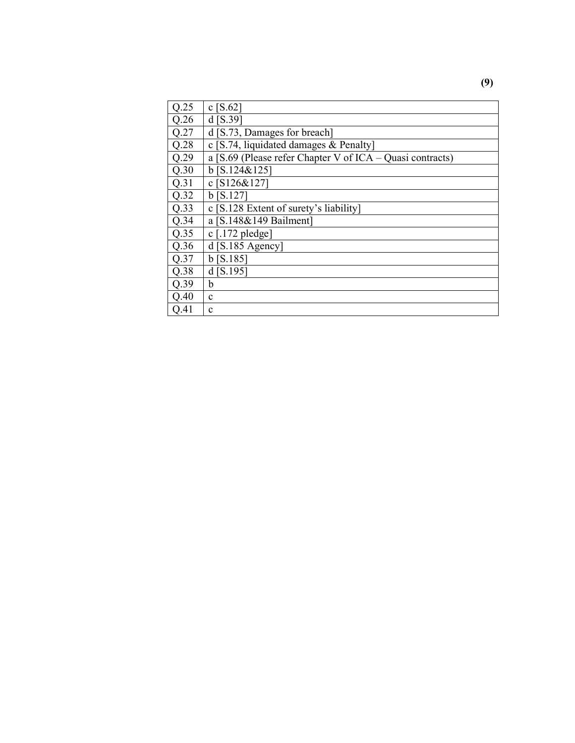| Q.25 | c $[S.62]$                                                  |
|------|-------------------------------------------------------------|
| Q.26 | $d$ [S.39]                                                  |
| Q.27 | d [S.73, Damages for breach]                                |
| Q.28 | c [S.74, liquidated damages $&$ Penalty]                    |
| Q.29 | a [S.69 (Please refer Chapter V of $ICA - Quasi$ contracts) |
| Q.30 | $b$ [S.124&125]                                             |
| Q.31 | c $[S126&127]$                                              |
| Q.32 | $b$ [S.127]                                                 |
| Q.33 | c [S.128 Extent of surety's liability]                      |
| Q.34 | a $[S.148&149$ Bailment                                     |
| Q.35 | $c$ [.172 pledge]                                           |
| Q.36 | $d$ [S.185 Agency]                                          |
| Q.37 | $b$ [S.185]                                                 |
| Q.38 | $d$ [S.195]                                                 |
| Q.39 | b                                                           |
| Q.40 | $\mathbf c$                                                 |
| Q.41 | $\mathbf c$                                                 |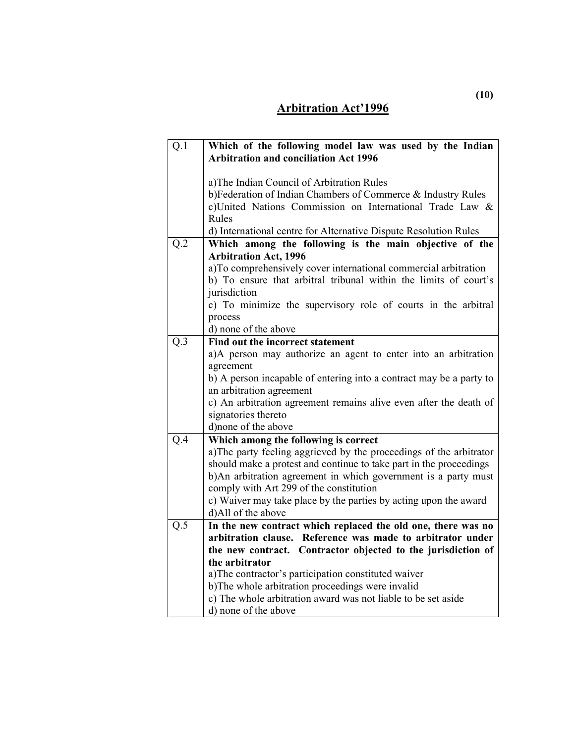## **Arbitration Act'1996**

| Q.1              | Which of the following model law was used by the Indian<br><b>Arbitration and conciliation Act 1996</b> |
|------------------|---------------------------------------------------------------------------------------------------------|
|                  |                                                                                                         |
|                  | a)The Indian Council of Arbitration Rules                                                               |
|                  | b)Federation of Indian Chambers of Commerce & Industry Rules                                            |
|                  | c)United Nations Commission on International Trade Law &                                                |
|                  | Rules                                                                                                   |
|                  | d) International centre for Alternative Dispute Resolution Rules                                        |
| $Q.\overline{2}$ | Which among the following is the main objective of the                                                  |
|                  | <b>Arbitration Act, 1996</b>                                                                            |
|                  | a)To comprehensively cover international commercial arbitration                                         |
|                  | b) To ensure that arbitral tribunal within the limits of court's                                        |
|                  | jurisdiction                                                                                            |
|                  | c) To minimize the supervisory role of courts in the arbitral                                           |
|                  | process                                                                                                 |
|                  | d) none of the above                                                                                    |
| Q.3              | Find out the incorrect statement                                                                        |
|                  | a)A person may authorize an agent to enter into an arbitration                                          |
|                  | agreement                                                                                               |
|                  | b) A person incapable of entering into a contract may be a party to                                     |
|                  | an arbitration agreement                                                                                |
|                  | c) An arbitration agreement remains alive even after the death of                                       |
|                  | signatories thereto                                                                                     |
|                  | d) none of the above                                                                                    |
| Q.4              | Which among the following is correct                                                                    |
|                  | a)The party feeling aggrieved by the proceedings of the arbitrator                                      |
|                  | should make a protest and continue to take part in the proceedings                                      |
|                  | b)An arbitration agreement in which government is a party must                                          |
|                  | comply with Art 299 of the constitution                                                                 |
|                  | c) Waiver may take place by the parties by acting upon the award                                        |
| Q.5              | d)All of the above<br>In the new contract which replaced the old one, there was no                      |
|                  | arbitration clause. Reference was made to arbitrator under                                              |
|                  | the new contract. Contractor objected to the jurisdiction of                                            |
|                  | the arbitrator                                                                                          |
|                  | a) The contractor's participation constituted waiver                                                    |
|                  | b)The whole arbitration proceedings were invalid                                                        |
|                  | c) The whole arbitration award was not liable to be set aside                                           |
|                  | d) none of the above                                                                                    |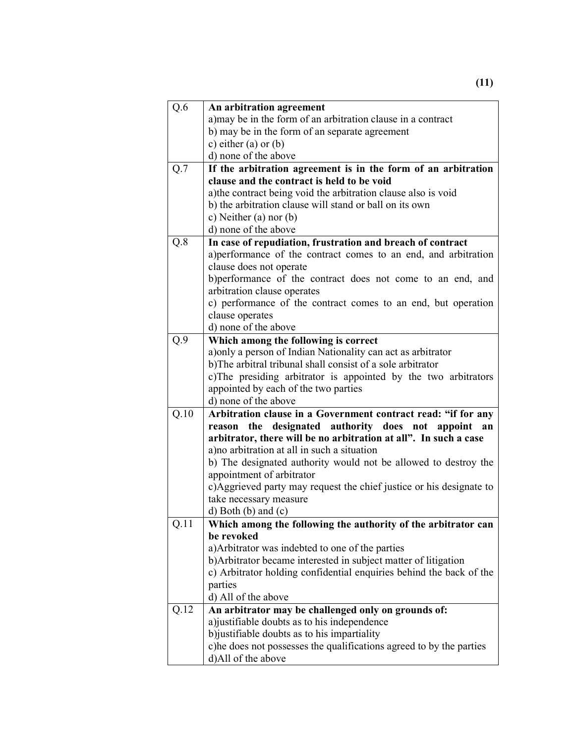| Q.6  | An arbitration agreement                                                                   |
|------|--------------------------------------------------------------------------------------------|
|      | a) may be in the form of an arbitration clause in a contract                               |
|      | b) may be in the form of an separate agreement                                             |
|      | c) either $(a)$ or $(b)$                                                                   |
|      | d) none of the above                                                                       |
| Q.7  | If the arbitration agreement is in the form of an arbitration                              |
|      | clause and the contract is held to be void                                                 |
|      | a) the contract being void the arbitration clause also is void                             |
|      | b) the arbitration clause will stand or ball on its own                                    |
|      | c) Neither (a) nor (b)                                                                     |
|      | d) none of the above                                                                       |
| Q.8  | In case of repudiation, frustration and breach of contract                                 |
|      | a) performance of the contract comes to an end, and arbitration                            |
|      | clause does not operate                                                                    |
|      | b)performance of the contract does not come to an end, and                                 |
|      | arbitration clause operates                                                                |
|      | c) performance of the contract comes to an end, but operation                              |
|      | clause operates                                                                            |
|      | d) none of the above                                                                       |
| Q.9  | Which among the following is correct                                                       |
|      | a) only a person of Indian Nationality can act as arbitrator                               |
|      | b)The arbitral tribunal shall consist of a sole arbitrator                                 |
|      | c)The presiding arbitrator is appointed by the two arbitrators                             |
|      |                                                                                            |
|      | appointed by each of the two parties                                                       |
|      | d) none of the above                                                                       |
| Q.10 | Arbitration clause in a Government contract read: "if for any                              |
|      | reason the designated authority does not appoint an                                        |
|      | arbitrator, there will be no arbitration at all". In such a case                           |
|      | a) no arbitration at all in such a situation                                               |
|      | b) The designated authority would not be allowed to destroy the                            |
|      | appointment of arbitrator                                                                  |
|      | c)Aggrieved party may request the chief justice or his designate to                        |
|      | take necessary measure                                                                     |
|      | $d)$ Both $(b)$ and $(c)$                                                                  |
| Q.11 | Which among the following the authority of the arbitrator can                              |
|      | be revoked                                                                                 |
|      | a) Arbitrator was indebted to one of the parties                                           |
|      | b) Arbitrator became interested in subject matter of litigation                            |
|      | c) Arbitrator holding confidential enquiries behind the back of the                        |
|      | parties                                                                                    |
|      | d) All of the above                                                                        |
| Q.12 | An arbitrator may be challenged only on grounds of:                                        |
|      | a) justifiable doubts as to his independence                                               |
|      | b) justifiable doubts as to his impartiality                                               |
|      | c) he does not possesses the qualifications agreed to by the parties<br>d)All of the above |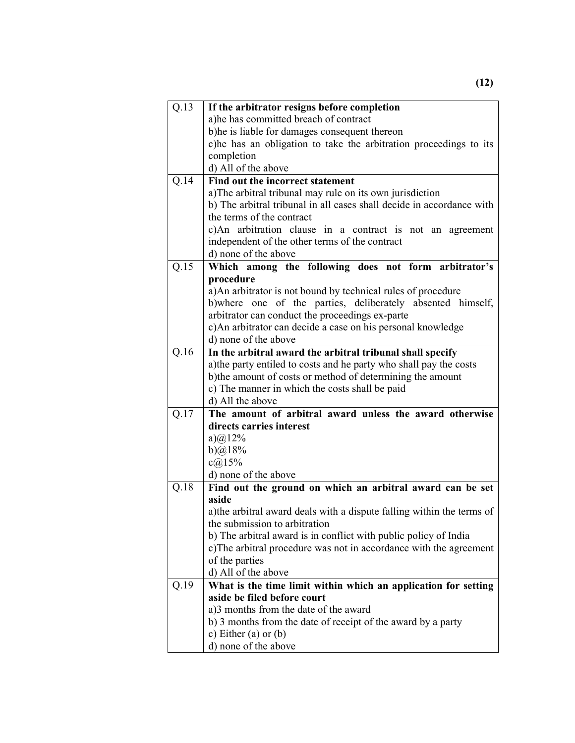| Q.13 | If the arbitrator resigns before completion                                                                  |  |  |  |
|------|--------------------------------------------------------------------------------------------------------------|--|--|--|
|      | a)he has committed breach of contract                                                                        |  |  |  |
|      | b) he is liable for damages consequent thereon                                                               |  |  |  |
|      | c)he has an obligation to take the arbitration proceedings to its                                            |  |  |  |
|      | completion                                                                                                   |  |  |  |
|      | d) All of the above                                                                                          |  |  |  |
| Q.14 | Find out the incorrect statement                                                                             |  |  |  |
|      | a) The arbitral tribunal may rule on its own jurisdiction                                                    |  |  |  |
|      | b) The arbitral tribunal in all cases shall decide in accordance with                                        |  |  |  |
|      | the terms of the contract                                                                                    |  |  |  |
|      | c)An arbitration clause in a contract is not an agreement                                                    |  |  |  |
|      | independent of the other terms of the contract                                                               |  |  |  |
|      | d) none of the above                                                                                         |  |  |  |
| Q.15 | Which among the following does not form arbitrator's                                                         |  |  |  |
|      | procedure                                                                                                    |  |  |  |
|      | a) An arbitrator is not bound by technical rules of procedure                                                |  |  |  |
|      | b) where one of the parties, deliberately absented himself,                                                  |  |  |  |
|      | arbitrator can conduct the proceedings ex-parte                                                              |  |  |  |
|      | c) An arbitrator can decide a case on his personal knowledge                                                 |  |  |  |
|      | d) none of the above                                                                                         |  |  |  |
| Q.16 | In the arbitral award the arbitral tribunal shall specify                                                    |  |  |  |
|      | a) the party entiled to costs and he party who shall pay the costs                                           |  |  |  |
|      | b) the amount of costs or method of determining the amount<br>c) The manner in which the costs shall be paid |  |  |  |
|      |                                                                                                              |  |  |  |
|      | d) All the above                                                                                             |  |  |  |
| Q.17 | The amount of arbitral award unless the award otherwise                                                      |  |  |  |
|      | directs carries interest                                                                                     |  |  |  |
|      | $a)$ (a) 12%                                                                                                 |  |  |  |
|      | b) $@18\%$                                                                                                   |  |  |  |
|      | $c(a)$ 15%<br>d) none of the above                                                                           |  |  |  |
| Q.18 | Find out the ground on which an arbitral award can be set                                                    |  |  |  |
|      | aside                                                                                                        |  |  |  |
|      | a) the arbitral award deals with a dispute falling within the terms of                                       |  |  |  |
|      | the submission to arbitration                                                                                |  |  |  |
|      | b) The arbitral award is in conflict with public policy of India                                             |  |  |  |
|      | c) The arbitral procedure was not in accordance with the agreement<br>of the parties                         |  |  |  |
|      |                                                                                                              |  |  |  |
|      | d) All of the above                                                                                          |  |  |  |
| Q.19 | What is the time limit within which an application for setting                                               |  |  |  |
|      | aside be filed before court                                                                                  |  |  |  |
|      | a)3 months from the date of the award                                                                        |  |  |  |
|      | b) 3 months from the date of receipt of the award by a party                                                 |  |  |  |
|      | c) Either (a) or $(b)$                                                                                       |  |  |  |
|      | d) none of the above                                                                                         |  |  |  |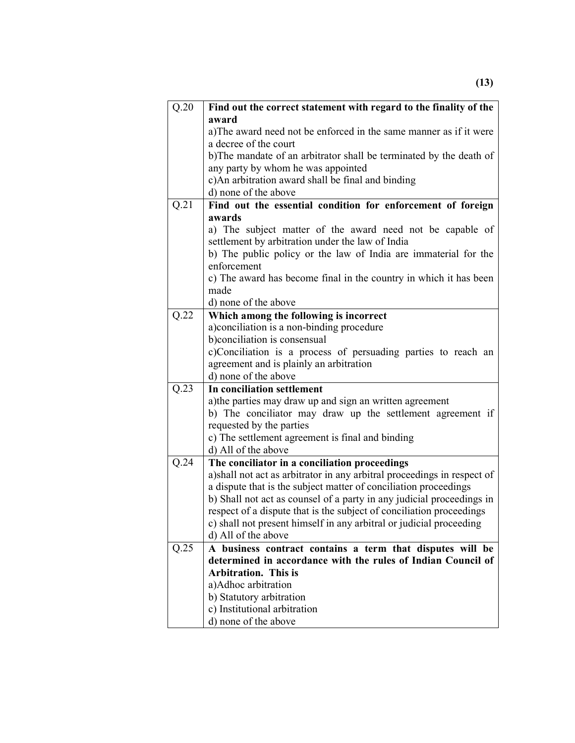| Q.20 | Find out the correct statement with regard to the finality of the                                                         |  |  |  |
|------|---------------------------------------------------------------------------------------------------------------------------|--|--|--|
|      | award                                                                                                                     |  |  |  |
|      | a) The award need not be enforced in the same manner as if it were                                                        |  |  |  |
|      | a decree of the court                                                                                                     |  |  |  |
|      | b)The mandate of an arbitrator shall be terminated by the death of                                                        |  |  |  |
|      | any party by whom he was appointed                                                                                        |  |  |  |
|      | c)An arbitration award shall be final and binding                                                                         |  |  |  |
|      | d) none of the above                                                                                                      |  |  |  |
| Q.21 | Find out the essential condition for enforcement of foreign                                                               |  |  |  |
|      | awards                                                                                                                    |  |  |  |
|      | a) The subject matter of the award need not be capable of                                                                 |  |  |  |
|      | settlement by arbitration under the law of India                                                                          |  |  |  |
|      | b) The public policy or the law of India are immaterial for the<br>enforcement                                            |  |  |  |
|      | c) The award has become final in the country in which it has been                                                         |  |  |  |
|      | made                                                                                                                      |  |  |  |
|      | d) none of the above                                                                                                      |  |  |  |
| Q.22 | Which among the following is incorrect                                                                                    |  |  |  |
|      | a)conciliation is a non-binding procedure                                                                                 |  |  |  |
|      | b) conciliation is consensual                                                                                             |  |  |  |
|      | c)Conciliation is a process of persuading parties to reach an                                                             |  |  |  |
|      | agreement and is plainly an arbitration                                                                                   |  |  |  |
|      | d) none of the above                                                                                                      |  |  |  |
| Q.23 | In conciliation settlement                                                                                                |  |  |  |
|      | a) the parties may draw up and sign an written agreement                                                                  |  |  |  |
|      | b) The conciliator may draw up the settlement agreement if                                                                |  |  |  |
|      | requested by the parties                                                                                                  |  |  |  |
|      | c) The settlement agreement is final and binding                                                                          |  |  |  |
|      | d) All of the above                                                                                                       |  |  |  |
| Q.24 | The conciliator in a conciliation proceedings<br>a) shall not act as arbitrator in any arbitral proceedings in respect of |  |  |  |
|      | a dispute that is the subject matter of conciliation proceedings                                                          |  |  |  |
|      | b) Shall not act as counsel of a party in any judicial proceedings in                                                     |  |  |  |
|      | respect of a dispute that is the subject of conciliation proceedings                                                      |  |  |  |
|      | c) shall not present himself in any arbitral or judicial proceeding                                                       |  |  |  |
|      | d) All of the above                                                                                                       |  |  |  |
| Q.25 | A business contract contains a term that disputes will be                                                                 |  |  |  |
|      | determined in accordance with the rules of Indian Council of                                                              |  |  |  |
|      | <b>Arbitration. This is</b>                                                                                               |  |  |  |
|      | a)Adhoc arbitration                                                                                                       |  |  |  |
|      | b) Statutory arbitration                                                                                                  |  |  |  |
|      | c) Institutional arbitration                                                                                              |  |  |  |
|      | d) none of the above                                                                                                      |  |  |  |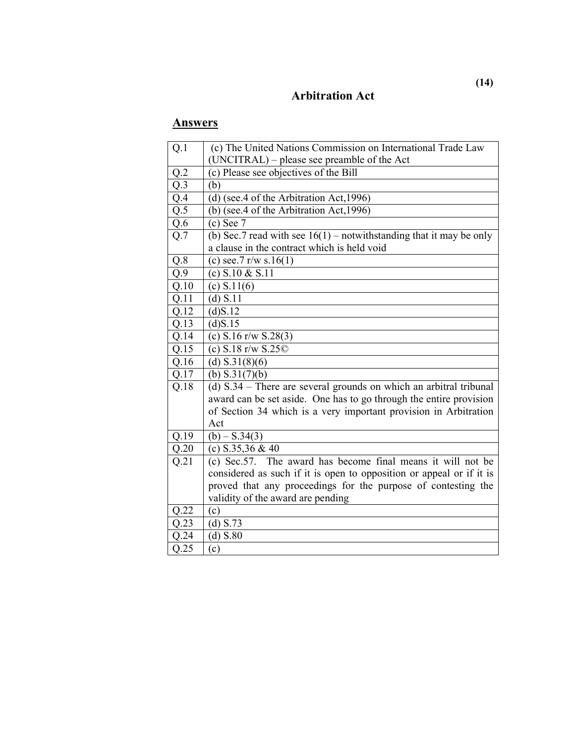### **Arbitration Act**

| Q.1              | (c) The United Nations Commission on International Trade Law                                                                          |  |
|------------------|---------------------------------------------------------------------------------------------------------------------------------------|--|
|                  | (UNCITRAL) – please see preamble of the Act                                                                                           |  |
| Q.2              | (c) Please see objectives of the Bill                                                                                                 |  |
| Q.3              | (b)                                                                                                                                   |  |
| Q.4              | (d) (see.4 of the Arbitration Act, 1996)                                                                                              |  |
| $\overline{Q.5}$ | (b) (see.4 of the Arbitration Act, 1996)                                                                                              |  |
| $\overline{Q.6}$ | $(c)$ See $7$                                                                                                                         |  |
| Q.7              | (b) Sec. 7 read with see $16(1)$ – notwithstanding that it may be only                                                                |  |
|                  | a clause in the contract which is held void                                                                                           |  |
| $\overline{Q.8}$ | (c) see.7 $r/w s.16(1)$                                                                                                               |  |
| Q.9              | (c) $S.10 & S.11$                                                                                                                     |  |
| Q.10             | (c) S.11(6)                                                                                                                           |  |
| Q.11             | $\overline{(d) S.11}$                                                                                                                 |  |
| Q.12             | (d)S.12                                                                                                                               |  |
| Q.13             | (d)S.15                                                                                                                               |  |
| Q.14             | (c) S.16 r/w S.28(3)                                                                                                                  |  |
| Q.15             | (c) $S.18$ r/w $S.25$ ©                                                                                                               |  |
| Q.16             | (d) $S.31(8)(6)$                                                                                                                      |  |
| Q.17             | (b) $S.31(7)(b)$                                                                                                                      |  |
| Q.18             | (d) $S.34$ – There are several grounds on which an arbitral tribunal                                                                  |  |
|                  | award can be set aside. One has to go through the entire provision                                                                    |  |
|                  | of Section 34 which is a very important provision in Arbitration                                                                      |  |
|                  | Act                                                                                                                                   |  |
| Q.19             | $(b) - S.34(3)$                                                                                                                       |  |
| Q.20             | (c) $S.35,36 & 40$                                                                                                                    |  |
| Q.21             | (c) Sec. 57. The award has become final means it will not be                                                                          |  |
|                  | considered as such if it is open to opposition or appeal or if it is<br>proved that any proceedings for the purpose of contesting the |  |
|                  |                                                                                                                                       |  |
|                  | validity of the award are pending                                                                                                     |  |
| Q.22             | (c)                                                                                                                                   |  |
| Q.23             | (d) $S.73$                                                                                                                            |  |
| Q.24             | (d) S.80                                                                                                                              |  |
| Q.25             | (c)                                                                                                                                   |  |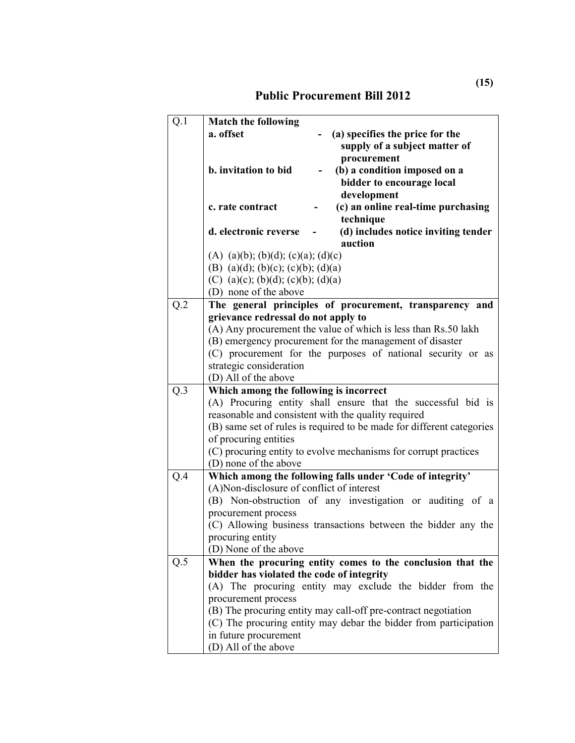| Q.1 | <b>Match the following</b>                                                               |  |  |  |
|-----|------------------------------------------------------------------------------------------|--|--|--|
|     | a. offset<br>(a) specifies the price for the                                             |  |  |  |
|     | supply of a subject matter of                                                            |  |  |  |
|     | procurement                                                                              |  |  |  |
|     | b. invitation to bid<br>(b) a condition imposed on a                                     |  |  |  |
|     | bidder to encourage local                                                                |  |  |  |
|     | development                                                                              |  |  |  |
|     | (c) an online real-time purchasing<br>c. rate contract<br>technique                      |  |  |  |
|     | d. electronic reverse<br>(d) includes notice inviting tender                             |  |  |  |
|     | auction                                                                                  |  |  |  |
|     | (A) (a)(b); (b)(d); (c)(a); (d)(c)                                                       |  |  |  |
|     | (B) (a)(d); (b)(c); (c)(b); (d)(a)                                                       |  |  |  |
|     | (C) (a)(c); (b)(d); (c)(b); (d)(a)                                                       |  |  |  |
|     | (D) none of the above                                                                    |  |  |  |
| Q.2 | The general principles of procurement, transparency and                                  |  |  |  |
|     | grievance redressal do not apply to                                                      |  |  |  |
|     | (A) Any procurement the value of which is less than Rs.50 lakh                           |  |  |  |
|     | (B) emergency procurement for the management of disaster                                 |  |  |  |
|     | (C) procurement for the purposes of national security or as                              |  |  |  |
|     | strategic consideration                                                                  |  |  |  |
|     | (D) All of the above                                                                     |  |  |  |
| Q.3 | Which among the following is incorrect                                                   |  |  |  |
|     | (A) Procuring entity shall ensure that the successful bid is                             |  |  |  |
|     | reasonable and consistent with the quality required                                      |  |  |  |
|     | (B) same set of rules is required to be made for different categories                    |  |  |  |
|     | of procuring entities                                                                    |  |  |  |
|     | (C) procuring entity to evolve mechanisms for corrupt practices<br>(D) none of the above |  |  |  |
| Q.4 | Which among the following falls under 'Code of integrity'                                |  |  |  |
|     | (A)Non-disclosure of conflict of interest                                                |  |  |  |
|     | (B) Non-obstruction of any investigation or auditing of a                                |  |  |  |
|     | procurement process                                                                      |  |  |  |
|     | (C) Allowing business transactions between the bidder any the                            |  |  |  |
|     | procuring entity                                                                         |  |  |  |
|     | (D) None of the above                                                                    |  |  |  |
| Q.5 | When the procuring entity comes to the conclusion that the                               |  |  |  |
|     | bidder has violated the code of integrity                                                |  |  |  |
|     | (A) The procuring entity may exclude the bidder from the                                 |  |  |  |
|     | procurement process                                                                      |  |  |  |
|     | (B) The procuring entity may call-off pre-contract negotiation                           |  |  |  |
|     | (C) The procuring entity may debar the bidder from participation                         |  |  |  |
|     | in future procurement                                                                    |  |  |  |
|     | (D) All of the above                                                                     |  |  |  |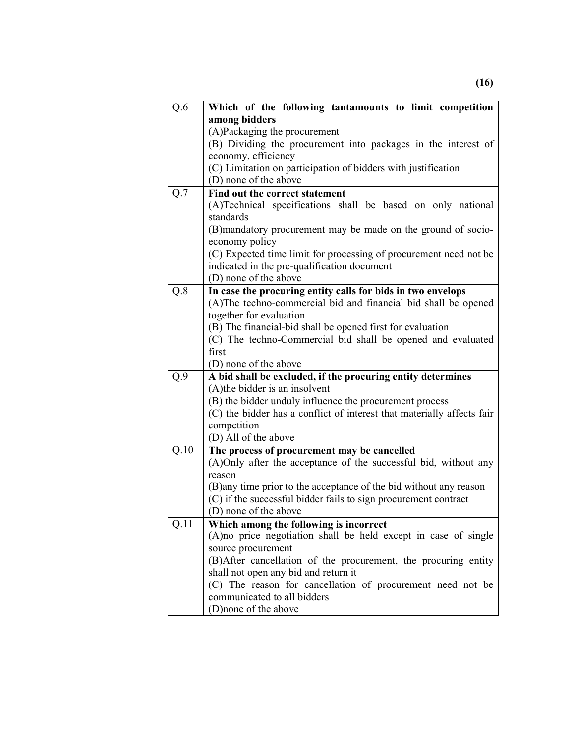| Q.6               | Which of the following tantamounts to limit competition                |  |  |  |
|-------------------|------------------------------------------------------------------------|--|--|--|
|                   | among bidders                                                          |  |  |  |
|                   | (A)Packaging the procurement                                           |  |  |  |
|                   | (B) Dividing the procurement into packages in the interest of          |  |  |  |
|                   | economy, efficiency                                                    |  |  |  |
|                   | (C) Limitation on participation of bidders with justification          |  |  |  |
|                   | (D) none of the above                                                  |  |  |  |
| Q.7               | Find out the correct statement                                         |  |  |  |
|                   | (A)Technical specifications shall be based on only national            |  |  |  |
|                   | standards                                                              |  |  |  |
|                   | (B) mandatory procurement may be made on the ground of socio-          |  |  |  |
|                   | economy policy                                                         |  |  |  |
|                   | (C) Expected time limit for processing of procurement need not be      |  |  |  |
|                   | indicated in the pre-qualification document                            |  |  |  |
|                   | (D) none of the above                                                  |  |  |  |
| Q.8               | In case the procuring entity calls for bids in two envelops            |  |  |  |
|                   | (A)The techno-commercial bid and financial bid shall be opened         |  |  |  |
|                   | together for evaluation                                                |  |  |  |
|                   | (B) The financial-bid shall be opened first for evaluation             |  |  |  |
|                   | (C) The techno-Commercial bid shall be opened and evaluated            |  |  |  |
|                   | first                                                                  |  |  |  |
|                   | (D) none of the above                                                  |  |  |  |
| Q.9               | A bid shall be excluded, if the procuring entity determines            |  |  |  |
|                   | (A) the bidder is an insolvent                                         |  |  |  |
|                   | (B) the bidder unduly influence the procurement process                |  |  |  |
|                   | (C) the bidder has a conflict of interest that materially affects fair |  |  |  |
|                   | competition<br>(D) All of the above                                    |  |  |  |
| $Q.\overline{10}$ | The process of procurement may be cancelled                            |  |  |  |
|                   | (A)Only after the acceptance of the successful bid, without any        |  |  |  |
|                   | reason                                                                 |  |  |  |
|                   | (B) any time prior to the acceptance of the bid without any reason     |  |  |  |
|                   | (C) if the successful bidder fails to sign procurement contract        |  |  |  |
|                   | (D) none of the above                                                  |  |  |  |
| Q.11              | Which among the following is incorrect                                 |  |  |  |
|                   | (A) no price negotiation shall be held except in case of single        |  |  |  |
|                   | source procurement                                                     |  |  |  |
|                   | (B) After cancellation of the procurement, the procuring entity        |  |  |  |
|                   | shall not open any bid and return it                                   |  |  |  |
|                   | (C) The reason for cancellation of procurement need not be             |  |  |  |
|                   | communicated to all bidders                                            |  |  |  |
|                   | (D)none of the above                                                   |  |  |  |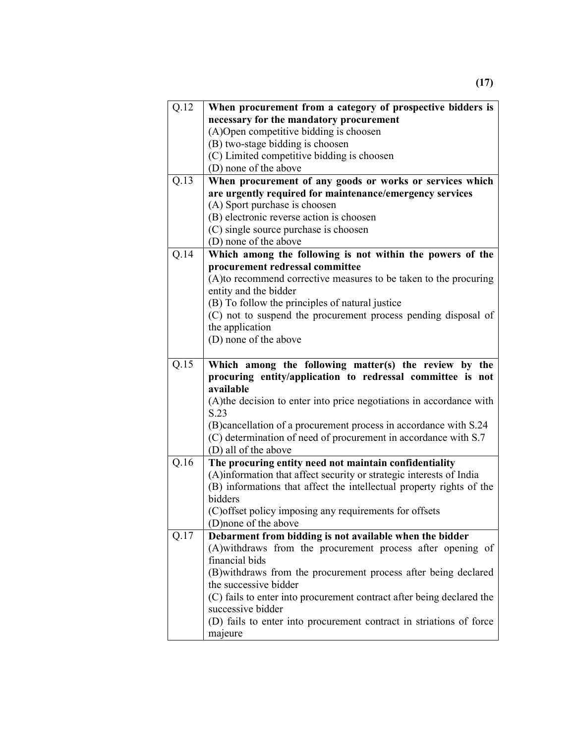| Q.12 | When procurement from a category of prospective bidders is                                                                                  |  |  |  |
|------|---------------------------------------------------------------------------------------------------------------------------------------------|--|--|--|
|      | necessary for the mandatory procurement                                                                                                     |  |  |  |
|      | (A) Open competitive bidding is choosen                                                                                                     |  |  |  |
|      | (B) two-stage bidding is choosen                                                                                                            |  |  |  |
|      | (C) Limited competitive bidding is choosen                                                                                                  |  |  |  |
|      | (D) none of the above                                                                                                                       |  |  |  |
| Q.13 | When procurement of any goods or works or services which                                                                                    |  |  |  |
|      | are urgently required for maintenance/emergency services                                                                                    |  |  |  |
|      | (A) Sport purchase is choosen                                                                                                               |  |  |  |
|      | (B) electronic reverse action is choosen                                                                                                    |  |  |  |
|      | (C) single source purchase is choosen                                                                                                       |  |  |  |
|      | (D) none of the above                                                                                                                       |  |  |  |
| Q.14 | Which among the following is not within the powers of the                                                                                   |  |  |  |
|      | procurement redressal committee                                                                                                             |  |  |  |
|      | (A)to recommend corrective measures to be taken to the procuring                                                                            |  |  |  |
|      | entity and the bidder                                                                                                                       |  |  |  |
|      | (B) To follow the principles of natural justice                                                                                             |  |  |  |
|      | (C) not to suspend the procurement process pending disposal of                                                                              |  |  |  |
|      | the application                                                                                                                             |  |  |  |
|      | (D) none of the above                                                                                                                       |  |  |  |
| Q.15 |                                                                                                                                             |  |  |  |
|      | Which among the following matter(s) the review by the                                                                                       |  |  |  |
|      |                                                                                                                                             |  |  |  |
|      | procuring entity/application to redressal committee is not                                                                                  |  |  |  |
|      | available                                                                                                                                   |  |  |  |
|      | (A) the decision to enter into price negotiations in accordance with                                                                        |  |  |  |
|      | S.23                                                                                                                                        |  |  |  |
|      | (B) cancellation of a procurement process in accordance with S.24                                                                           |  |  |  |
|      | (C) determination of need of procurement in accordance with S.7                                                                             |  |  |  |
|      | (D) all of the above                                                                                                                        |  |  |  |
| Q.16 | The procuring entity need not maintain confidentiality                                                                                      |  |  |  |
|      | (A)information that affect security or strategic interests of India<br>(B) informations that affect the intellectual property rights of the |  |  |  |
|      | bidders                                                                                                                                     |  |  |  |
|      | (C) offset policy imposing any requirements for offsets                                                                                     |  |  |  |
|      | (D) none of the above                                                                                                                       |  |  |  |
| Q.17 | Debarment from bidding is not available when the bidder                                                                                     |  |  |  |
|      | (A) withdraws from the procurement process after opening of                                                                                 |  |  |  |
|      | financial bids                                                                                                                              |  |  |  |
|      | (B) withdraws from the procurement process after being declared                                                                             |  |  |  |
|      | the successive bidder                                                                                                                       |  |  |  |
|      | (C) fails to enter into procurement contract after being declared the                                                                       |  |  |  |
|      | successive bidder                                                                                                                           |  |  |  |
|      | (D) fails to enter into procurement contract in striations of force                                                                         |  |  |  |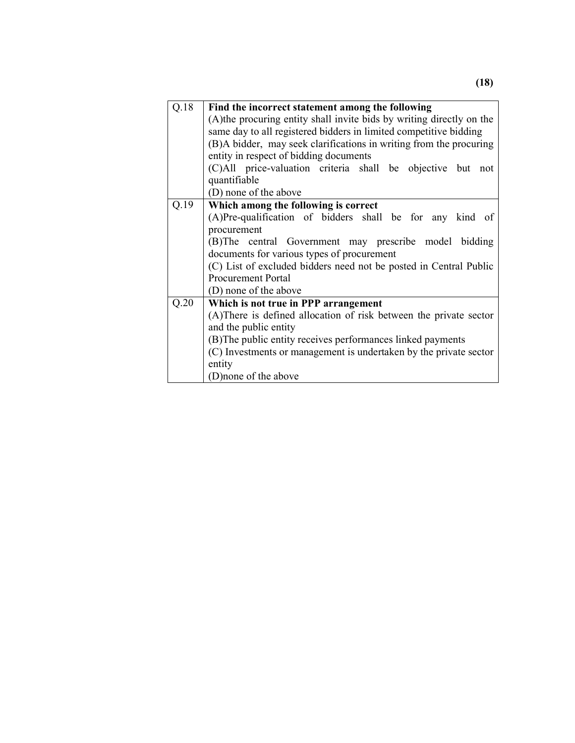| Q.18 | Find the incorrect statement among the following                      |  |  |  |  |
|------|-----------------------------------------------------------------------|--|--|--|--|
|      | (A) the procuring entity shall invite bids by writing directly on the |  |  |  |  |
|      | same day to all registered bidders in limited competitive bidding     |  |  |  |  |
|      | (B)A bidder, may seek clarifications in writing from the procuring    |  |  |  |  |
|      | entity in respect of bidding documents                                |  |  |  |  |
|      | (C)All price-valuation criteria shall be objective but not            |  |  |  |  |
|      | quantifiable                                                          |  |  |  |  |
|      | (D) none of the above                                                 |  |  |  |  |
| Q.19 | Which among the following is correct                                  |  |  |  |  |
|      | (A)Pre-qualification of bidders shall be for any kind of              |  |  |  |  |
|      | procurement<br>(B)The central Government may prescribe model bidding  |  |  |  |  |
|      |                                                                       |  |  |  |  |
|      | documents for various types of procurement                            |  |  |  |  |
|      | (C) List of excluded bidders need not be posted in Central Public     |  |  |  |  |
|      | <b>Procurement Portal</b>                                             |  |  |  |  |
|      | (D) none of the above                                                 |  |  |  |  |
| Q.20 | Which is not true in PPP arrangement                                  |  |  |  |  |
|      | (A) There is defined allocation of risk between the private sector    |  |  |  |  |
|      | and the public entity                                                 |  |  |  |  |
|      | (B)The public entity receives performances linked payments            |  |  |  |  |
|      | (C) Investments or management is undertaken by the private sector     |  |  |  |  |
|      | entity                                                                |  |  |  |  |
|      | (D) none of the above                                                 |  |  |  |  |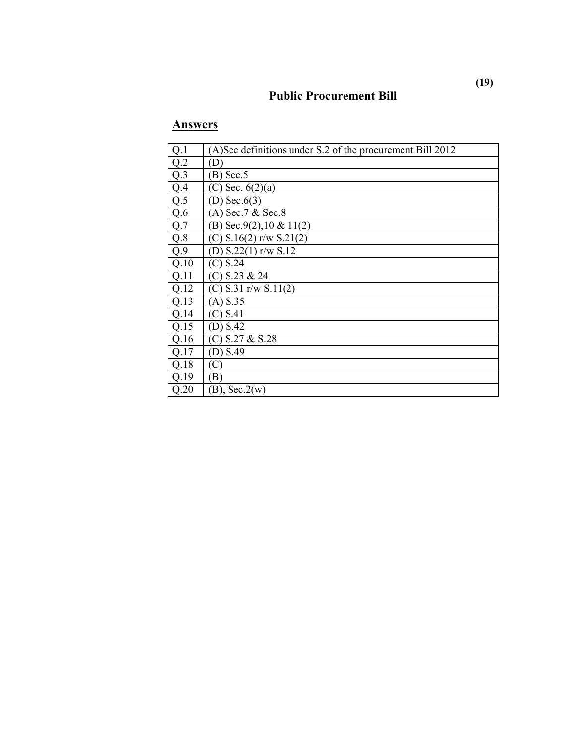### **Public Procurement Bill**

| Q.1              | (A)See definitions under S.2 of the procurement Bill 2012 |
|------------------|-----------------------------------------------------------|
| Q.2              | (D)                                                       |
| $Q.\overline{3}$ | $(B)$ Sec. 5                                              |
| Q.4              | (C) Sec. $6(2)(a)$                                        |
| Q.5              | (D) Sec. $6(3)$                                           |
| Q.6              | $(A)$ Sec. 7 & Sec. 8                                     |
| Q.7              | (B) Sec.9(2), $10 \& 11(2)$                               |
| Q.8              | (C) $S.16(2)$ r/w $S.21(2)$                               |
| Q.9              | (D) $S.22(1)$ r/w $S.12$                                  |
| Q.10             | (C) S.24                                                  |
| Q.11             | $(C)$ S.23 & 24                                           |
| Q.12             | (C) $S.31$ r/w $S.11(2)$                                  |
| Q.13             | $(A)$ S.35                                                |
| Q.14             | (C) S.41                                                  |
| Q.15             | (D) S.42                                                  |
| Q.16             | $(C)$ S.27 & S.28                                         |
| Q.17             | (D) S.49                                                  |
| Q.18             | (C`                                                       |
| Q.19             | (B)                                                       |
| Q.20             | $(B)$ , Sec.2(w)                                          |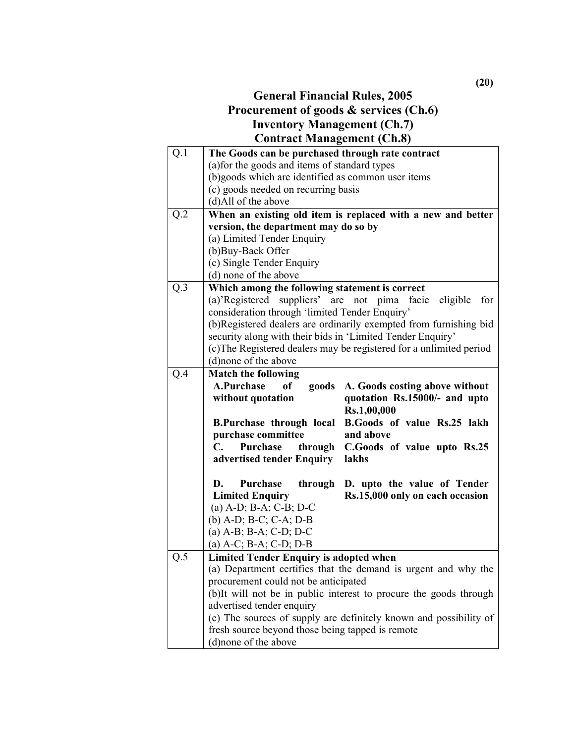### **General Financial Rules, 2005 Procurement of goods & services (Ch.6) Inventory Management (Ch.7) Contract Management (Ch.8)**

| Q.1               | The Goods can be purchased through rate contract                                                     |  |  |
|-------------------|------------------------------------------------------------------------------------------------------|--|--|
|                   | (a) for the goods and items of standard types                                                        |  |  |
|                   | (b)goods which are identified as common user items                                                   |  |  |
|                   | (c) goods needed on recurring basis                                                                  |  |  |
|                   | (d)All of the above                                                                                  |  |  |
| Q.2               | When an existing old item is replaced with a new and better<br>version, the department may do so by  |  |  |
|                   |                                                                                                      |  |  |
|                   | (a) Limited Tender Enquiry                                                                           |  |  |
| (b)Buy-Back Offer |                                                                                                      |  |  |
|                   | (c) Single Tender Enquiry                                                                            |  |  |
|                   | (d) none of the above                                                                                |  |  |
| Q.3               | Which among the following statement is correct                                                       |  |  |
|                   | (a)'Registered suppliers' are not pima<br>eligible<br>for<br>facie                                   |  |  |
|                   | consideration through 'limited Tender Enquiry'                                                       |  |  |
|                   | (b)Registered dealers are ordinarily exempted from furnishing bid                                    |  |  |
|                   | security along with their bids in 'Limited Tender Enquiry'                                           |  |  |
|                   | (c) The Registered dealers may be registered for a unlimited period                                  |  |  |
|                   | (d) none of the above                                                                                |  |  |
| Q.4               | <b>Match the following</b><br>A.Purchase<br><sub>of</sub><br>goods<br>A. Goods costing above without |  |  |
|                   | quotation Rs.15000/- and upto<br>without quotation                                                   |  |  |
|                   | Rs.1,00,000                                                                                          |  |  |
|                   | B.Goods of value Rs.25 lakh<br><b>B.Purchase through local</b>                                       |  |  |
|                   | purchase committee<br>and above                                                                      |  |  |
|                   | Purchase<br>through<br>C.Goods of value upto Rs.25<br>C.                                             |  |  |
|                   | advertised tender Enquiry<br>lakhs                                                                   |  |  |
|                   | Purchase<br>D. upto the value of Tender<br>D.<br>through                                             |  |  |
|                   | <b>Limited Enquiry</b><br>Rs.15,000 only on each occasion                                            |  |  |
|                   | $(a)$ A-D; B-A; C-B; D-C                                                                             |  |  |
|                   | (b) $A-D$ ; $B-C$ ; $C-A$ ; $D-B$                                                                    |  |  |
|                   | (a) A-B; B-A; C-D; D-C                                                                               |  |  |
|                   | (a) A-C; B-A; C-D; D-B                                                                               |  |  |
| Q.5               | <b>Limited Tender Enquiry is adopted when</b>                                                        |  |  |
|                   | (a) Department certifies that the demand is urgent and why the                                       |  |  |
|                   | procurement could not be anticipated                                                                 |  |  |
|                   | (b)It will not be in public interest to procure the goods through                                    |  |  |
|                   | advertised tender enquiry                                                                            |  |  |
|                   | (c) The sources of supply are definitely known and possibility of                                    |  |  |
|                   | fresh source beyond those being tapped is remote                                                     |  |  |
|                   | (d)none of the above                                                                                 |  |  |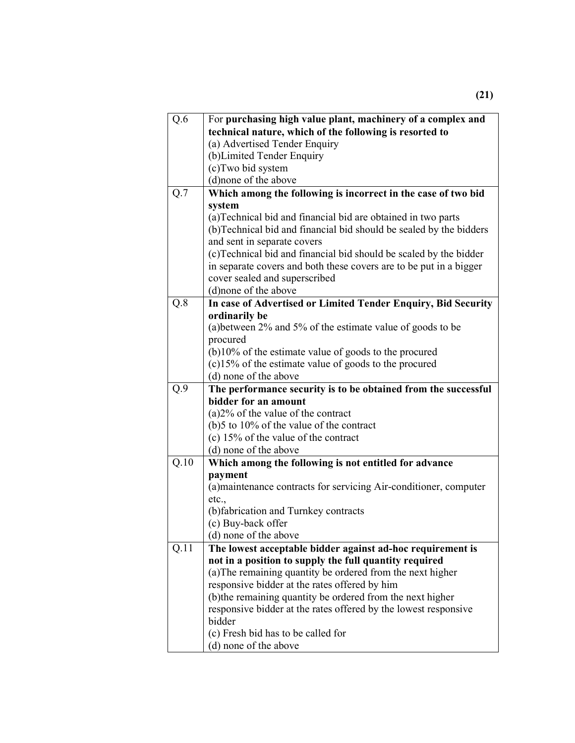| $Q.\overline{6}$ | For purchasing high value plant, machinery of a complex and        |  |  |  |
|------------------|--------------------------------------------------------------------|--|--|--|
|                  | technical nature, which of the following is resorted to            |  |  |  |
|                  | (a) Advertised Tender Enquiry                                      |  |  |  |
|                  | (b) Limited Tender Enquiry                                         |  |  |  |
|                  | (c) Two bid system                                                 |  |  |  |
|                  | (d) none of the above                                              |  |  |  |
| $Q.\overline{7}$ | Which among the following is incorrect in the case of two bid      |  |  |  |
|                  | system                                                             |  |  |  |
|                  | (a) Technical bid and financial bid are obtained in two parts      |  |  |  |
|                  | (b)Technical bid and financial bid should be sealed by the bidders |  |  |  |
|                  | and sent in separate covers                                        |  |  |  |
|                  | (c)Technical bid and financial bid should be scaled by the bidder  |  |  |  |
|                  | in separate covers and both these covers are to be put in a bigger |  |  |  |
|                  | cover sealed and superscribed                                      |  |  |  |
|                  | (d) none of the above                                              |  |  |  |
| $Q.\overline{8}$ | In case of Advertised or Limited Tender Enquiry, Bid Security      |  |  |  |
|                  | ordinarily be                                                      |  |  |  |
|                  | (a) between 2% and 5% of the estimate value of goods to be         |  |  |  |
|                  | procured                                                           |  |  |  |
|                  | $(b)$ 10% of the estimate value of goods to the procured           |  |  |  |
|                  | (c)15% of the estimate value of goods to the procured              |  |  |  |
|                  | (d) none of the above                                              |  |  |  |
| Q.9              | The performance security is to be obtained from the successful     |  |  |  |
|                  | bidder for an amount                                               |  |  |  |
|                  | $(a)2\%$ of the value of the contract                              |  |  |  |
|                  | (b) 5 to $10\%$ of the value of the contract                       |  |  |  |
|                  | (c) $15\%$ of the value of the contract                            |  |  |  |
|                  | (d) none of the above                                              |  |  |  |
| Q.10             | Which among the following is not entitled for advance              |  |  |  |
|                  | payment                                                            |  |  |  |
|                  | (a) maintenance contracts for servicing Air-conditioner, computer  |  |  |  |
|                  |                                                                    |  |  |  |
|                  | etc.,                                                              |  |  |  |
|                  | (b)fabrication and Turnkey contracts                               |  |  |  |
|                  | (c) Buy-back offer                                                 |  |  |  |
|                  | (d) none of the above                                              |  |  |  |
| Q.11             | The lowest acceptable bidder against ad-hoc requirement is         |  |  |  |
|                  | not in a position to supply the full quantity required             |  |  |  |
|                  | (a) The remaining quantity be ordered from the next higher         |  |  |  |
|                  | responsive bidder at the rates offered by him                      |  |  |  |
|                  | (b) the remaining quantity be ordered from the next higher         |  |  |  |
|                  | responsive bidder at the rates offered by the lowest responsive    |  |  |  |
|                  | bidder                                                             |  |  |  |
|                  | (c) Fresh bid has to be called for<br>(d) none of the above        |  |  |  |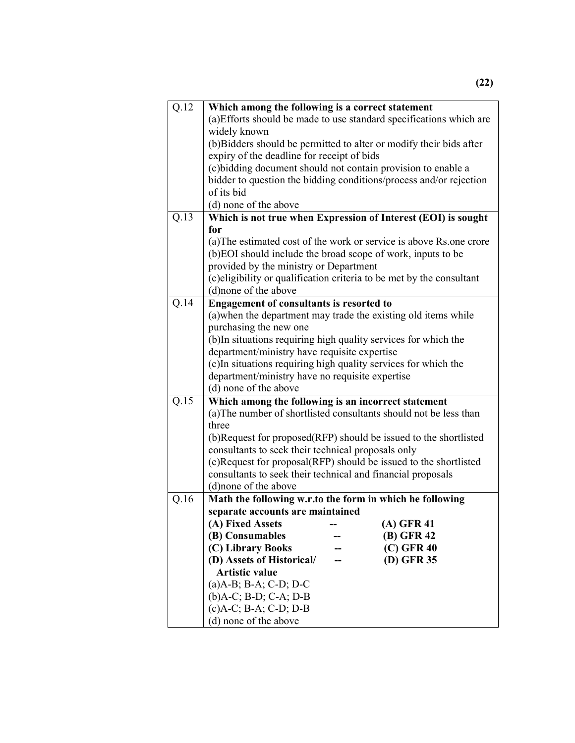| Q.12 | Which among the following is a correct statement                                             |  |  |  |
|------|----------------------------------------------------------------------------------------------|--|--|--|
|      | (a) Efforts should be made to use standard specifications which are                          |  |  |  |
|      | widely known                                                                                 |  |  |  |
|      | (b) Bidders should be permitted to alter or modify their bids after                          |  |  |  |
|      | expiry of the deadline for receipt of bids                                                   |  |  |  |
|      | (c) bidding document should not contain provision to enable a                                |  |  |  |
|      | bidder to question the bidding conditions/process and/or rejection                           |  |  |  |
|      | of its bid                                                                                   |  |  |  |
|      | (d) none of the above                                                                        |  |  |  |
| Q.13 | Which is not true when Expression of Interest (EOI) is sought                                |  |  |  |
|      | for                                                                                          |  |  |  |
|      | (a) The estimated cost of the work or service is above Rs.one crore                          |  |  |  |
|      | (b)EOI should include the broad scope of work, inputs to be                                  |  |  |  |
|      | provided by the ministry or Department                                                       |  |  |  |
|      | (c) eligibility or qualification criteria to be met by the consultant                        |  |  |  |
|      | (d) none of the above                                                                        |  |  |  |
| Q.14 | <b>Engagement of consultants is resorted to</b>                                              |  |  |  |
|      | (a) when the department may trade the existing old items while                               |  |  |  |
|      | purchasing the new one                                                                       |  |  |  |
|      | (b) In situations requiring high quality services for which the                              |  |  |  |
|      | department/ministry have requisite expertise                                                 |  |  |  |
|      | (c) In situations requiring high quality services for which the                              |  |  |  |
|      | department/ministry have no requisite expertise                                              |  |  |  |
|      | (d) none of the above                                                                        |  |  |  |
| Q.15 | Which among the following is an incorrect statement                                          |  |  |  |
|      | (a) The number of shortlisted consultants should not be less than                            |  |  |  |
|      | three                                                                                        |  |  |  |
|      | (b)Request for proposed(RFP) should be issued to the shortlisted                             |  |  |  |
|      | consultants to seek their technical proposals only                                           |  |  |  |
|      | (c)Request for proposal(RFP) should be issued to the shortlisted                             |  |  |  |
|      | consultants to seek their technical and financial proposals<br>(d) none of the above         |  |  |  |
| Q.16 |                                                                                              |  |  |  |
|      | Math the following w.r.to the form in which he following<br>separate accounts are maintained |  |  |  |
|      | (A) Fixed Assets<br>$(A)$ GFR 41                                                             |  |  |  |
|      | (B) GFR 42<br>(B) Consumables                                                                |  |  |  |
|      | (C) Library Books<br>$(C)$ GFR 40                                                            |  |  |  |
|      | (D) Assets of Historical/<br>(D) GFR 35                                                      |  |  |  |
|      | <b>Artistic value</b>                                                                        |  |  |  |
|      | $(a)$ A-B; B-A; C-D; D-C                                                                     |  |  |  |
|      | $(b)$ A-C; B-D; C-A; D-B                                                                     |  |  |  |
|      | $(c)$ A-C; B-A; C-D; D-B                                                                     |  |  |  |
|      | (d) none of the above                                                                        |  |  |  |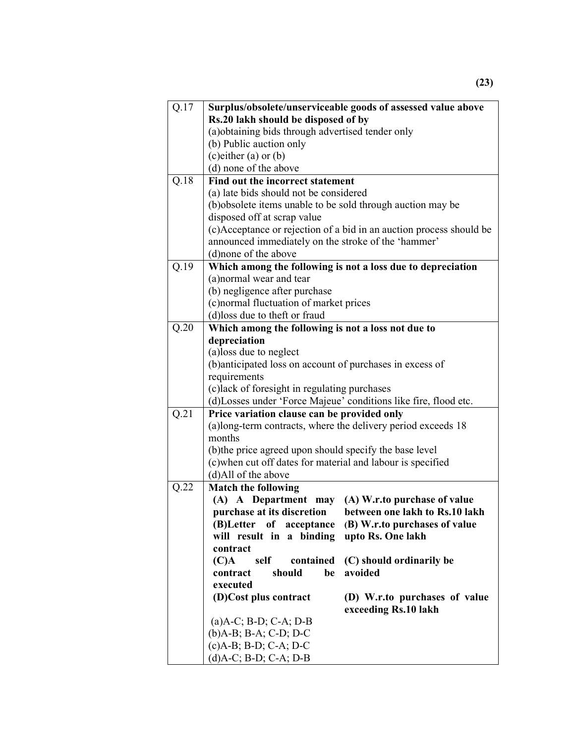| Q.17 | Surplus/obsolete/unserviceable goods of assessed value above        |                                |  |
|------|---------------------------------------------------------------------|--------------------------------|--|
|      | Rs.20 lakh should be disposed of by                                 |                                |  |
|      | (a) obtaining bids through advertised tender only                   |                                |  |
|      | (b) Public auction only                                             |                                |  |
|      | $(c)$ either $(a)$ or $(b)$                                         |                                |  |
|      | (d) none of the above                                               |                                |  |
| Q.18 | Find out the incorrect statement                                    |                                |  |
|      | (a) late bids should not be considered                              |                                |  |
|      | (b) obsolete items unable to be sold through auction may be         |                                |  |
|      | disposed off at scrap value                                         |                                |  |
|      | (c)Acceptance or rejection of a bid in an auction process should be |                                |  |
|      | announced immediately on the stroke of the 'hammer'                 |                                |  |
|      | (d) none of the above                                               |                                |  |
| Q.19 | Which among the following is not a loss due to depreciation         |                                |  |
|      | (a)normal wear and tear                                             |                                |  |
|      | (b) negligence after purchase                                       |                                |  |
|      | (c) normal fluctuation of market prices                             |                                |  |
|      | (d)loss due to theft or fraud                                       |                                |  |
| Q.20 | Which among the following is not a loss not due to                  |                                |  |
|      | depreciation                                                        |                                |  |
|      | (a)loss due to neglect                                              |                                |  |
|      | (b)anticipated loss on account of purchases in excess of            |                                |  |
|      | requirements                                                        |                                |  |
|      | (c)lack of foresight in regulating purchases                        |                                |  |
|      | (d) Losses under 'Force Majeue' conditions like fire, flood etc.    |                                |  |
| Q.21 | Price variation clause can be provided only                         |                                |  |
|      | (a)long-term contracts, where the delivery period exceeds 18        |                                |  |
|      | months                                                              |                                |  |
|      | (b) the price agreed upon should specify the base level             |                                |  |
|      | (c)when cut off dates for material and labour is specified          |                                |  |
|      | (d)All of the above                                                 |                                |  |
| Q.22 | <b>Match the following</b>                                          |                                |  |
|      | (A) A Department may                                                | (A) W.r.to purchase of value   |  |
|      | purchase at its discretion                                          | between one lakh to Rs.10 lakh |  |
|      | (B)Letter<br>of<br>acceptance                                       | (B) W.r.to purchases of value  |  |
|      | will result in a binding                                            | upto Rs. One lakh              |  |
|      | contract                                                            |                                |  |
|      | self contained<br>$(C)$ A                                           | (C) should ordinarily be       |  |
|      | contract<br>should<br>be                                            | avoided                        |  |
|      | executed                                                            |                                |  |
|      | (D)Cost plus contract                                               | (D) W.r.to purchases of value  |  |
|      |                                                                     | exceeding Rs.10 lakh           |  |
|      | $(a)$ A-C; B-D; C-A; D-B                                            |                                |  |
|      | (b)A-B; B-A; C-D; D-C                                               |                                |  |
|      | (c)A-B; B-D; C-A; D-C                                               |                                |  |
|      | $(d)$ A-C; B-D; C-A; D-B                                            |                                |  |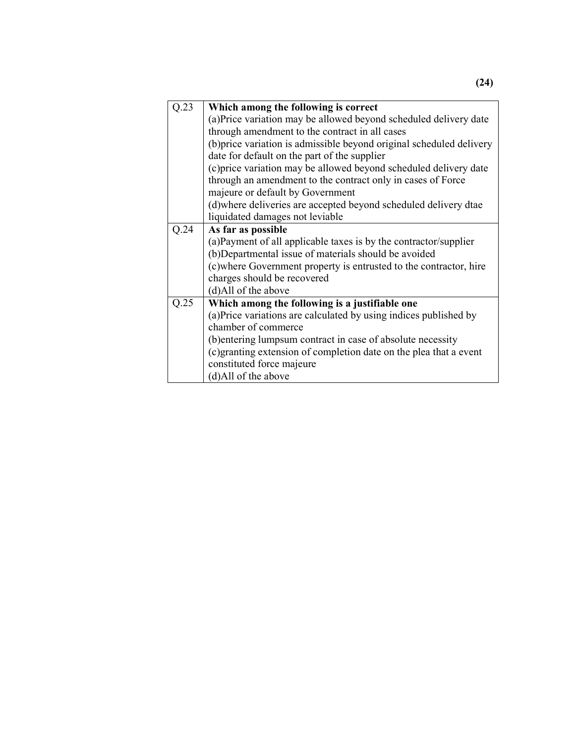| Q.23 | Which among the following is correct                                 |  |  |
|------|----------------------------------------------------------------------|--|--|
|      | (a) Price variation may be allowed beyond scheduled delivery date    |  |  |
|      | through amendment to the contract in all cases                       |  |  |
|      | (b) price variation is admissible beyond original scheduled delivery |  |  |
|      | date for default on the part of the supplier                         |  |  |
|      | (c) price variation may be allowed beyond scheduled delivery date    |  |  |
|      | through an amendment to the contract only in cases of Force          |  |  |
|      | majeure or default by Government                                     |  |  |
|      | (d)where deliveries are accepted beyond scheduled delivery dtae      |  |  |
|      | liquidated damages not leviable                                      |  |  |
| Q.24 | As far as possible                                                   |  |  |
|      | (a) Payment of all applicable taxes is by the contractor/supplier    |  |  |
|      | (b)Departmental issue of materials should be avoided                 |  |  |
|      | (c) where Government property is entrusted to the contractor, hire   |  |  |
|      | charges should be recovered                                          |  |  |
|      | (d)All of the above                                                  |  |  |
| Q.25 | Which among the following is a justifiable one                       |  |  |
|      | (a) Price variations are calculated by using indices published by    |  |  |
|      | chamber of commerce                                                  |  |  |
|      | (b) entering lumpsum contract in case of absolute necessity          |  |  |
|      | (c) granting extension of completion date on the plea that a event   |  |  |
|      | constituted force majeure                                            |  |  |
|      | (d)All of the above                                                  |  |  |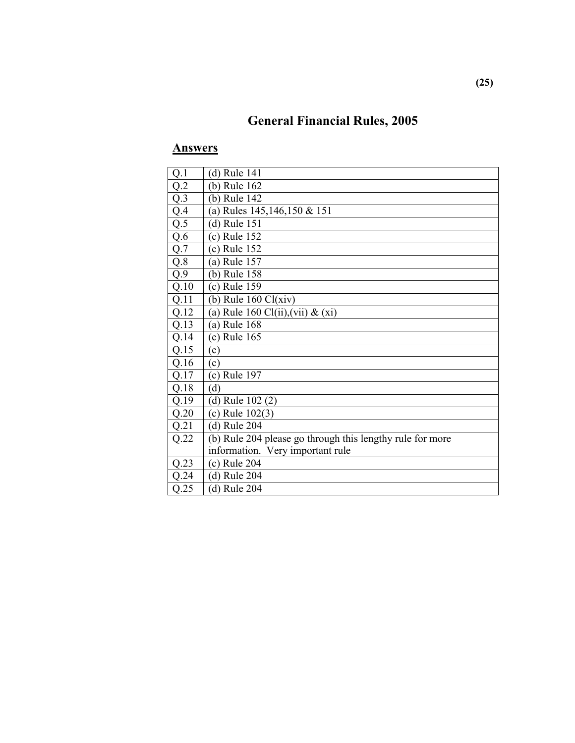# **General Financial Rules, 2005**

| Q.1  | (d) Rule 141                                              |
|------|-----------------------------------------------------------|
| Q.2  | (b) Rule 162                                              |
| Q.3  | (b) Rule 142                                              |
| Q.4  | (a) Rules 145,146,150 & 151                               |
| Q.5  | $(d)$ Rule 151                                            |
| Q.6  | (c) Rule 152                                              |
| Q.7  | (c) Rule 152                                              |
| Q.8  | (a) Rule 157                                              |
| Q.9  | (b) Rule 158                                              |
| Q.10 | (c) Rule 159                                              |
| Q.11 | (b) Rule $160 \text{ Cl}(xiv)$                            |
| Q.12 | (a) Rule 160 Cl(ii), (vii) $\&$ (xi)                      |
| Q.13 | (a) Rule 168                                              |
| Q.14 | (c) Rule 165                                              |
| Q.15 | (c)                                                       |
| Q.16 | (c)                                                       |
| Q.17 | (c) Rule 197                                              |
| Q.18 | (d)                                                       |
| Q.19 | (d) Rule $102(2)$                                         |
| Q.20 | (c) Rule $102(3)$                                         |
| Q.21 | (d) Rule 204                                              |
| Q.22 | (b) Rule 204 please go through this lengthy rule for more |
|      | information. Very important rule                          |
| Q.23 | $(c)$ Rule 204                                            |
| Q.24 | $(d)$ Rule 204                                            |
| Q.25 | (d) Rule 204                                              |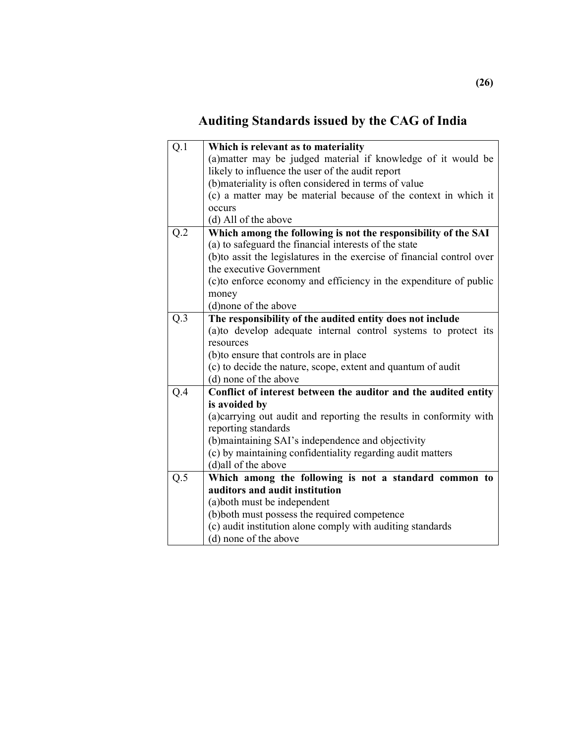# **Auditing Standards issued by the CAG of India**

| $Q.\overline{1}$ | Which is relevant as to materiality                                     |  |  |
|------------------|-------------------------------------------------------------------------|--|--|
|                  | (a) matter may be judged material if knowledge of it would be           |  |  |
|                  | likely to influence the user of the audit report                        |  |  |
|                  | (b) materiality is often considered in terms of value                   |  |  |
|                  | (c) a matter may be material because of the context in which it         |  |  |
|                  | occurs                                                                  |  |  |
|                  | (d) All of the above                                                    |  |  |
| Q.2              | Which among the following is not the responsibility of the SAI          |  |  |
|                  | (a) to safeguard the financial interests of the state                   |  |  |
|                  | (b) to assit the legislatures in the exercise of financial control over |  |  |
|                  | the executive Government                                                |  |  |
|                  | (c) to enforce economy and efficiency in the expenditure of public      |  |  |
|                  | money                                                                   |  |  |
|                  | (d)none of the above                                                    |  |  |
| Q.3              | The responsibility of the audited entity does not include               |  |  |
|                  | (a)to develop adequate internal control systems to protect its          |  |  |
|                  | resources                                                               |  |  |
|                  | (b) to ensure that controls are in place                                |  |  |
|                  | (c) to decide the nature, scope, extent and quantum of audit            |  |  |
|                  | (d) none of the above                                                   |  |  |
| Q.4              | Conflict of interest between the auditor and the audited entity         |  |  |
|                  | is avoided by                                                           |  |  |
|                  | (a) carrying out audit and reporting the results in conformity with     |  |  |
|                  | reporting standards                                                     |  |  |
|                  | (b) maintaining SAI's independence and objectivity                      |  |  |
|                  | (c) by maintaining confidentiality regarding audit matters              |  |  |
|                  | (d)all of the above                                                     |  |  |
| Q.5              | Which among the following is not a standard common to                   |  |  |
|                  | auditors and audit institution                                          |  |  |
|                  | (a) both must be independent                                            |  |  |
|                  | (b) both must possess the required competence                           |  |  |
|                  | (c) audit institution alone comply with auditing standards              |  |  |
|                  | (d) none of the above                                                   |  |  |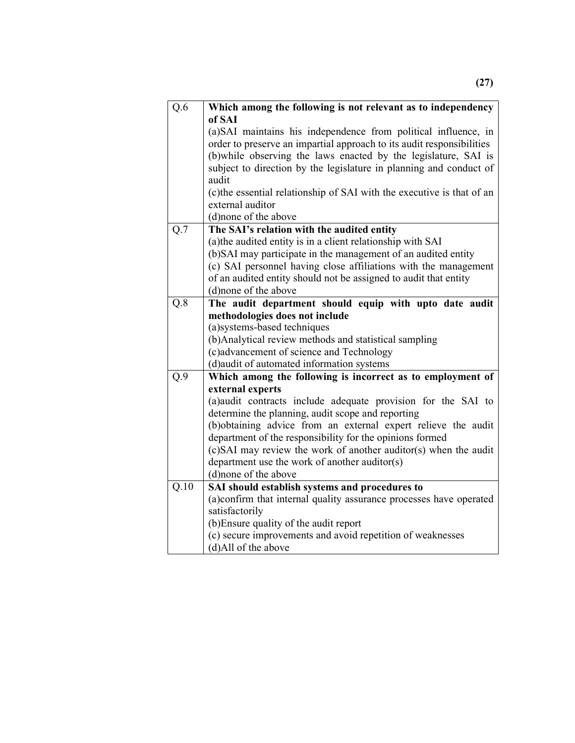| Q.6                                                           | Which among the following is not relevant as to independency<br>of SAI                                                                                                                                                                                                                                                                     |  |  |
|---------------------------------------------------------------|--------------------------------------------------------------------------------------------------------------------------------------------------------------------------------------------------------------------------------------------------------------------------------------------------------------------------------------------|--|--|
|                                                               | (a) SAI maintains his independence from political influence, in<br>order to preserve an impartial approach to its audit responsibilities<br>(b) while observing the laws enacted by the legislature, SAI is<br>subject to direction by the legislature in planning and conduct of<br>audit                                                 |  |  |
|                                                               | (c) the essential relationship of SAI with the executive is that of an<br>external auditor                                                                                                                                                                                                                                                 |  |  |
|                                                               | (d)none of the above                                                                                                                                                                                                                                                                                                                       |  |  |
| Q.7                                                           | The SAI's relation with the audited entity<br>(a) the audited entity is in a client relationship with SAI<br>(b)SAI may participate in the management of an audited entity<br>(c) SAI personnel having close affiliations with the management<br>of an audited entity should not be assigned to audit that entity<br>(d) none of the above |  |  |
| Q.8                                                           | The audit department should equip with upto date audit                                                                                                                                                                                                                                                                                     |  |  |
|                                                               | methodologies does not include                                                                                                                                                                                                                                                                                                             |  |  |
|                                                               | (a) systems-based techniques                                                                                                                                                                                                                                                                                                               |  |  |
|                                                               | (b)Analytical review methods and statistical sampling<br>(c)advancement of science and Technology                                                                                                                                                                                                                                          |  |  |
|                                                               | (d) audit of automated information systems                                                                                                                                                                                                                                                                                                 |  |  |
| Q.9                                                           | Which among the following is incorrect as to employment of                                                                                                                                                                                                                                                                                 |  |  |
|                                                               | external experts                                                                                                                                                                                                                                                                                                                           |  |  |
| (a) audit contracts include adequate provision for the SAI to |                                                                                                                                                                                                                                                                                                                                            |  |  |
|                                                               | determine the planning, audit scope and reporting                                                                                                                                                                                                                                                                                          |  |  |
|                                                               | (b)obtaining advice from an external expert relieve the audit                                                                                                                                                                                                                                                                              |  |  |
| department of the responsibility for the opinions formed      |                                                                                                                                                                                                                                                                                                                                            |  |  |
|                                                               | (c)SAI may review the work of another auditor(s) when the audit                                                                                                                                                                                                                                                                            |  |  |
|                                                               | department use the work of another auditor(s)<br>(d) none of the above                                                                                                                                                                                                                                                                     |  |  |
| Q.10                                                          | SAI should establish systems and procedures to                                                                                                                                                                                                                                                                                             |  |  |
|                                                               | (a)confirm that internal quality assurance processes have operated                                                                                                                                                                                                                                                                         |  |  |
|                                                               | satisfactorily                                                                                                                                                                                                                                                                                                                             |  |  |
|                                                               | (b) Ensure quality of the audit report                                                                                                                                                                                                                                                                                                     |  |  |
|                                                               | (c) secure improvements and avoid repetition of weaknesses                                                                                                                                                                                                                                                                                 |  |  |
|                                                               | (d)All of the above                                                                                                                                                                                                                                                                                                                        |  |  |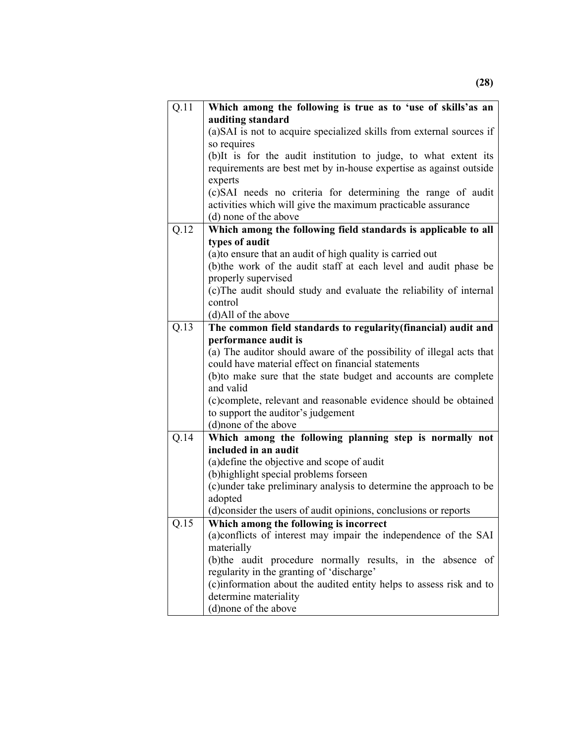| Q.11              | Which among the following is true as to 'use of skills'as an                    |  |  |
|-------------------|---------------------------------------------------------------------------------|--|--|
|                   | auditing standard                                                               |  |  |
|                   | (a) SAI is not to acquire specialized skills from external sources if           |  |  |
|                   | so requires                                                                     |  |  |
|                   | (b)It is for the audit institution to judge, to what extent its                 |  |  |
|                   | requirements are best met by in-house expertise as against outside              |  |  |
|                   | experts                                                                         |  |  |
|                   | (c)SAI needs no criteria for determining the range of audit                     |  |  |
|                   | activities which will give the maximum practicable assurance                    |  |  |
|                   | (d) none of the above                                                           |  |  |
| Q.12              | Which among the following field standards is applicable to all                  |  |  |
|                   | types of audit                                                                  |  |  |
|                   | (a) to ensure that an audit of high quality is carried out                      |  |  |
|                   | (b) the work of the audit staff at each level and audit phase be                |  |  |
|                   | properly supervised                                                             |  |  |
|                   | (c) The audit should study and evaluate the reliability of internal             |  |  |
|                   | control                                                                         |  |  |
|                   | (d)All of the above                                                             |  |  |
| $\overline{Q.13}$ | The common field standards to regularity(financial) audit and                   |  |  |
|                   | performance audit is                                                            |  |  |
|                   | (a) The auditor should aware of the possibility of illegal acts that            |  |  |
|                   | could have material effect on financial statements                              |  |  |
|                   | (b) to make sure that the state budget and accounts are complete                |  |  |
|                   | and valid                                                                       |  |  |
|                   | (c)complete, relevant and reasonable evidence should be obtained                |  |  |
|                   | to support the auditor's judgement                                              |  |  |
| Q.14              | (d)none of the above                                                            |  |  |
|                   | Which among the following planning step is normally not<br>included in an audit |  |  |
|                   | (a) define the objective and scope of audit                                     |  |  |
|                   | (b) highlight special problems forseen                                          |  |  |
|                   | (c)under take preliminary analysis to determine the approach to be              |  |  |
|                   | adopted                                                                         |  |  |
|                   | (d)consider the users of audit opinions, conclusions or reports                 |  |  |
| Q.15              | Which among the following is incorrect                                          |  |  |
|                   | (a) conflicts of interest may impair the independence of the SAI                |  |  |
|                   | materially                                                                      |  |  |
|                   | (b) the audit procedure normally results, in the absence of                     |  |  |
|                   | regularity in the granting of 'discharge'                                       |  |  |
|                   | (c)information about the audited entity helps to assess risk and to             |  |  |
|                   | determine materiality                                                           |  |  |
|                   | (d) none of the above                                                           |  |  |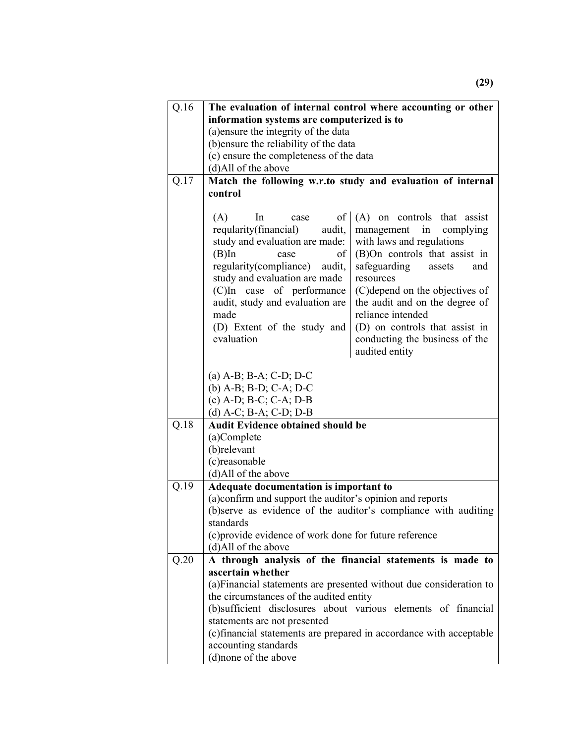| Q.16 | The evaluation of internal control where accounting or other                                                                            |                                                                     |  |
|------|-----------------------------------------------------------------------------------------------------------------------------------------|---------------------------------------------------------------------|--|
|      | information systems are computerized is to                                                                                              |                                                                     |  |
|      | (a) ensure the integrity of the data                                                                                                    |                                                                     |  |
|      | (b) ensure the reliability of the data                                                                                                  |                                                                     |  |
|      | (c) ensure the completeness of the data                                                                                                 |                                                                     |  |
|      | (d)All of the above                                                                                                                     |                                                                     |  |
| Q.17 |                                                                                                                                         | Match the following w.r.to study and evaluation of internal         |  |
|      | control                                                                                                                                 |                                                                     |  |
|      |                                                                                                                                         |                                                                     |  |
|      | (A)<br>of<br>In<br>case                                                                                                                 | (A) on controls that assist                                         |  |
|      | reqularity(financial)<br>audit,                                                                                                         | management<br>in<br>complying                                       |  |
|      | study and evaluation are made:                                                                                                          | with laws and regulations                                           |  |
|      | $(B)$ In<br>οf<br>case                                                                                                                  | (B)On controls that assist in                                       |  |
|      | regularity(compliance)<br>audit,                                                                                                        | safeguarding<br>assets<br>and                                       |  |
|      | study and evaluation are made                                                                                                           | resources                                                           |  |
|      | (C)In case of performance                                                                                                               | (C) depend on the objectives of                                     |  |
|      | audit, study and evaluation are                                                                                                         | the audit and on the degree of                                      |  |
|      | made                                                                                                                                    | reliance intended                                                   |  |
|      | (D) Extent of the study and<br>evaluation                                                                                               | (D) on controls that assist in                                      |  |
|      |                                                                                                                                         | conducting the business of the                                      |  |
|      |                                                                                                                                         | audited entity                                                      |  |
|      |                                                                                                                                         |                                                                     |  |
|      | (a) A-B; B-A; C-D; D-C                                                                                                                  |                                                                     |  |
|      | (b) $A-B$ ; $B-D$ ; $C-A$ ; $D-C$                                                                                                       |                                                                     |  |
|      | $(c)$ A-D; B-C; C-A; D-B<br>(d) $A-C$ ; $B-A$ ; $C-D$ ; $D-B$                                                                           |                                                                     |  |
| Q.18 | <b>Audit Evidence obtained should be</b>                                                                                                |                                                                     |  |
|      | (a)Complete                                                                                                                             |                                                                     |  |
|      | (b)relevant                                                                                                                             |                                                                     |  |
|      | (c)reasonable                                                                                                                           |                                                                     |  |
|      | (d)All of the above                                                                                                                     |                                                                     |  |
| Q.19 | Adequate documentation is important to                                                                                                  |                                                                     |  |
|      | (a)confirm and support the auditor's opinion and reports<br>(b)serve as evidence of the auditor's compliance with auditing<br>standards |                                                                     |  |
|      |                                                                                                                                         |                                                                     |  |
|      |                                                                                                                                         |                                                                     |  |
|      | (c) provide evidence of work done for future reference                                                                                  |                                                                     |  |
|      | (d)All of the above                                                                                                                     |                                                                     |  |
| Q.20 |                                                                                                                                         | A through analysis of the financial statements is made to           |  |
|      | ascertain whether                                                                                                                       |                                                                     |  |
|      |                                                                                                                                         | (a) Financial statements are presented without due consideration to |  |
|      | the circumstances of the audited entity                                                                                                 |                                                                     |  |
|      |                                                                                                                                         | (b)sufficient disclosures about various elements of financial       |  |
|      | statements are not presented                                                                                                            |                                                                     |  |
|      |                                                                                                                                         | (c) financial statements are prepared in accordance with acceptable |  |
|      | accounting standards                                                                                                                    |                                                                     |  |
|      | (d) none of the above                                                                                                                   |                                                                     |  |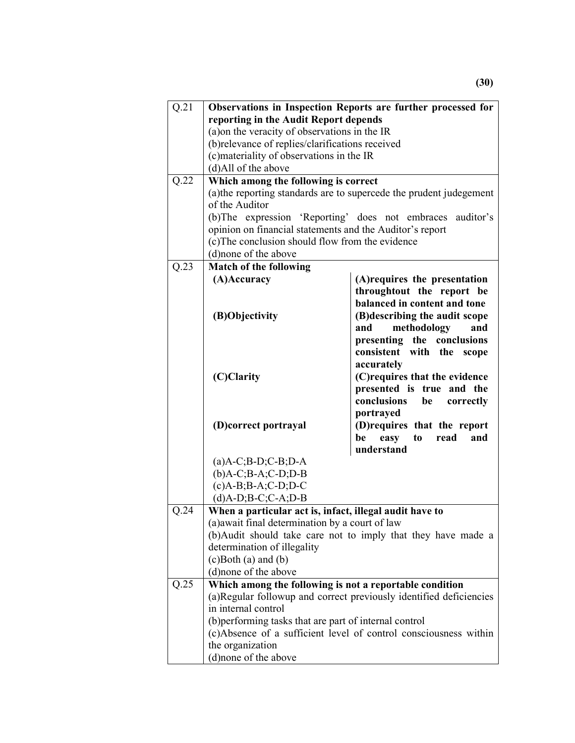| Q.21 | Observations in Inspection Reports are further processed for                          |                                                                    |  |
|------|---------------------------------------------------------------------------------------|--------------------------------------------------------------------|--|
|      | reporting in the Audit Report depends                                                 |                                                                    |  |
|      | (a) on the veracity of observations in the IR                                         |                                                                    |  |
|      | (b)relevance of replies/clarifications received                                       |                                                                    |  |
|      | (c) materiality of observations in the IR                                             |                                                                    |  |
|      | (d)All of the above                                                                   |                                                                    |  |
| Q.22 | Which among the following is correct                                                  |                                                                    |  |
|      |                                                                                       |                                                                    |  |
|      | (a) the reporting standards are to supercede the prudent judegement<br>of the Auditor |                                                                    |  |
|      |                                                                                       | (b) The expression 'Reporting' does not embraces auditor's         |  |
|      | opinion on financial statements and the Auditor's report                              |                                                                    |  |
|      |                                                                                       |                                                                    |  |
|      | (c) The conclusion should flow from the evidence<br>(d) none of the above             |                                                                    |  |
| Q.23 | <b>Match of the following</b>                                                         |                                                                    |  |
|      | (A)Accuracy                                                                           | (A) requires the presentation                                      |  |
|      |                                                                                       | throughtout the report be                                          |  |
|      |                                                                                       | balanced in content and tone                                       |  |
|      | (B)Objectivity                                                                        | (B) describing the audit scope                                     |  |
|      |                                                                                       | and<br>and                                                         |  |
|      |                                                                                       | methodology                                                        |  |
|      |                                                                                       | presenting the conclusions                                         |  |
|      |                                                                                       | consistent with the scope                                          |  |
|      |                                                                                       | accurately                                                         |  |
|      | (C)Clarity                                                                            | (C) requires that the evidence                                     |  |
|      |                                                                                       | presented is true and the                                          |  |
|      |                                                                                       | conclusions<br>be<br>correctly                                     |  |
|      |                                                                                       | portrayed                                                          |  |
|      | (D)correct portrayal                                                                  | (D) requires that the report                                       |  |
|      |                                                                                       | read<br>be<br>easy<br>t <sub>0</sub><br>and                        |  |
|      |                                                                                       | understand                                                         |  |
|      | $(a)$ A-C;B-D;C-B;D-A                                                                 |                                                                    |  |
|      | $(b)$ A-C;B-A;C-D;D-B<br>$(c)$ A-B;B-A;C-D;D-C                                        |                                                                    |  |
|      |                                                                                       |                                                                    |  |
|      | $(d)$ A-D;B-C;C-A;D-B                                                                 |                                                                    |  |
| Q.24 | When a particular act is, infact, illegal audit have to                               |                                                                    |  |
|      | (a) await final determination by a court of law                                       |                                                                    |  |
|      |                                                                                       | (b)Audit should take care not to imply that they have made a       |  |
|      | determination of illegality                                                           |                                                                    |  |
|      | $(c)$ Both $(a)$ and $(b)$                                                            |                                                                    |  |
|      | (d)none of the above                                                                  |                                                                    |  |
| Q.25 | Which among the following is not a reportable condition                               |                                                                    |  |
|      |                                                                                       | (a)Regular followup and correct previously identified deficiencies |  |
|      | in internal control                                                                   |                                                                    |  |
|      | (b) performing tasks that are part of internal control                                |                                                                    |  |
|      |                                                                                       | (c)Absence of a sufficient level of control consciousness within   |  |
|      | the organization                                                                      |                                                                    |  |
|      | (d)none of the above                                                                  |                                                                    |  |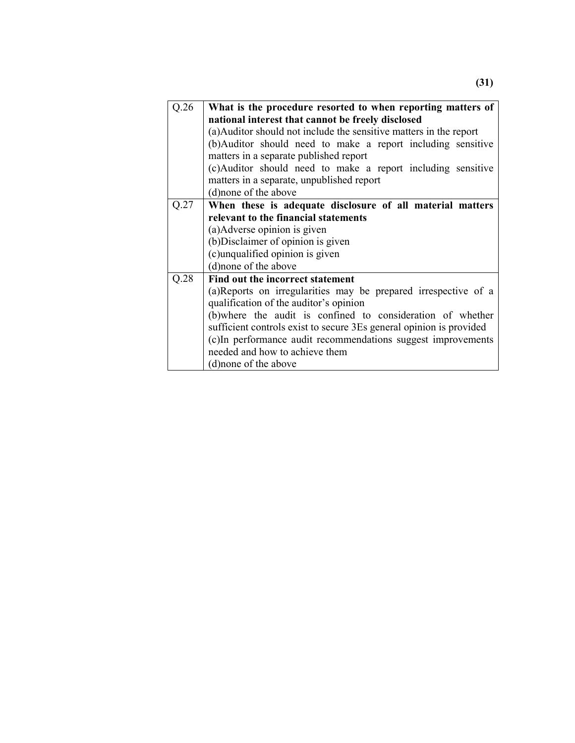| Q.26                                                                | What is the procedure resorted to when reporting matters of     |  |  |
|---------------------------------------------------------------------|-----------------------------------------------------------------|--|--|
|                                                                     | national interest that cannot be freely disclosed               |  |  |
| (a) Auditor should not include the sensitive matters in the report  |                                                                 |  |  |
| (b) Auditor should need to make a report including sensitive        |                                                                 |  |  |
| matters in a separate published report                              |                                                                 |  |  |
| (c)Auditor should need to make a report including sensitive         |                                                                 |  |  |
| matters in a separate, unpublished report                           |                                                                 |  |  |
| (d) none of the above                                               |                                                                 |  |  |
| Q.27                                                                | When these is adequate disclosure of all material matters       |  |  |
| relevant to the financial statements                                |                                                                 |  |  |
| (a) Adverse opinion is given                                        |                                                                 |  |  |
| (b) Disclaimer of opinion is given                                  |                                                                 |  |  |
| (c)unqualified opinion is given                                     |                                                                 |  |  |
| (d) none of the above                                               |                                                                 |  |  |
| Q.28<br>Find out the incorrect statement                            |                                                                 |  |  |
|                                                                     | (a) Reports on irregularities may be prepared irrespective of a |  |  |
| qualification of the auditor's opinion                              |                                                                 |  |  |
|                                                                     | (b) where the audit is confined to consideration of whether     |  |  |
| sufficient controls exist to secure 3Es general opinion is provided |                                                                 |  |  |
| (c)In performance audit recommendations suggest improvements        |                                                                 |  |  |
|                                                                     |                                                                 |  |  |
| needed and how to achieve them                                      |                                                                 |  |  |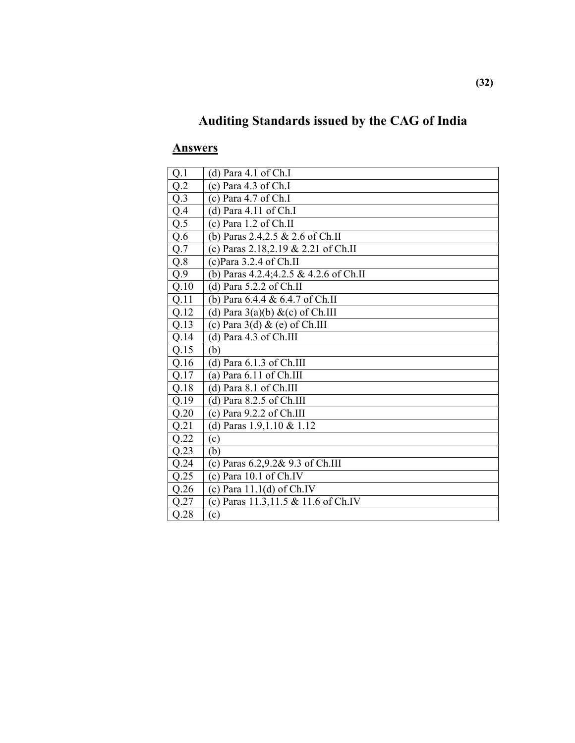# **Auditing Standards issued by the CAG of India**

| Q.1              | (d) Para $4.1$ of Ch.I                  |
|------------------|-----------------------------------------|
| Q.2              | (c) Para $4.3$ of Ch.I                  |
| Q.3              | (c) Para $4.7$ of Ch.I                  |
| Q.4              | (d) Para $4.11$ of Ch.I                 |
| $\overline{Q.5}$ | $(c)$ Para 1.2 of Ch.II                 |
| Q.6              | (b) Paras 2.4,2.5 & 2.6 of Ch.II        |
| Q.7              | (c) Paras 2.18,2.19 & 2.21 of Ch.II     |
| $Q.8$            | $(c)$ Para 3.2.4 of Ch.II               |
| Q.9              | (b) Paras 4.2.4;4.2.5 & 4.2.6 of Ch.II  |
| Q.10             | (d) Para $5.2.2$ of Ch.II               |
| Q.11             | (b) Para 6.4.4 & 6.4.7 of Ch.II         |
| Q.12             | (d) Para $3(a)(b)$ &(c) of Ch.III       |
| Q.13             | (c) Para $3(d)$ & (e) of Ch.III         |
| Q.14             | (d) Para 4.3 of Ch.III                  |
| Q.15             | (b)                                     |
| Q.16             | (d) Para $6.1.3$ of Ch.III              |
| Q.17             | (a) Para $6.11$ of Ch.III               |
| Q.18             | $(d)$ Para 8.1 of Ch.III                |
| Q.19             | (d) Para $8.2.5$ of Ch.III              |
| Q.20             | (c) Para $9.2.2$ of Ch.III              |
| Q.21             | (d) Paras $1.9, 1.10 \& 1.12$           |
| Q.22             | (c)                                     |
| Q.23             | (b)                                     |
| Q.24             | (c) Paras 6.2,9.2& 9.3 of Ch.III        |
| Q.25             | (c) Para $10.1$ of Ch.IV                |
| Q.26             | (c) Para $11.1(d)$ of Ch.IV             |
| Q.27             | (c) Paras $11.3, 11.5 \& 11.6$ of Ch.IV |
| Q.28             | (c)                                     |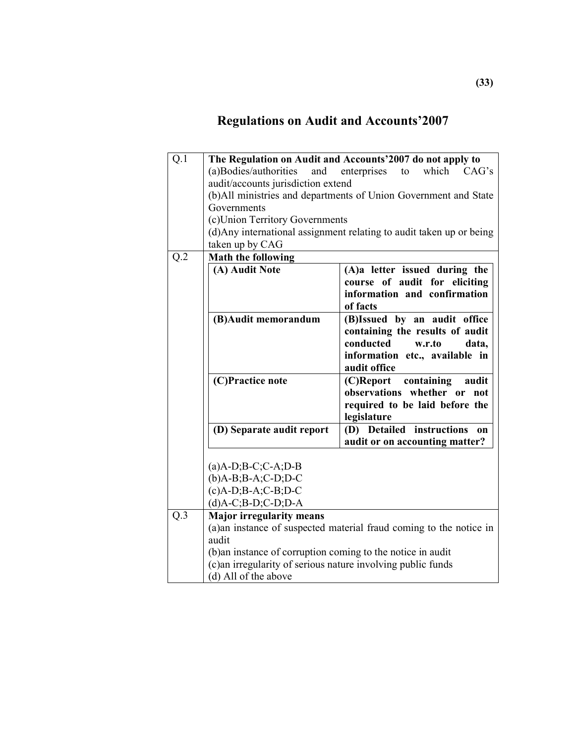# **Regulations on Audit and Accounts'2007**

| Q.1 |                                                              | The Regulation on Audit and Accounts'2007 do not apply to            |
|-----|--------------------------------------------------------------|----------------------------------------------------------------------|
|     |                                                              | which                                                                |
|     | (a)Bodies/authorities<br>and                                 | enterprises<br>to<br>CAG's                                           |
|     | audit/accounts jurisdiction extend                           |                                                                      |
|     |                                                              | (b)All ministries and departments of Union Government and State      |
|     | Governments                                                  |                                                                      |
|     | (c)Union Territory Governments                               |                                                                      |
|     |                                                              | (d) Any international assignment relating to audit taken up or being |
|     | taken up by CAG                                              |                                                                      |
| Q.2 | <b>Math the following</b>                                    |                                                                      |
|     | (A) Audit Note                                               | (A)a letter issued during the                                        |
|     |                                                              | course of audit for eliciting                                        |
|     |                                                              | information and confirmation                                         |
|     |                                                              | of facts                                                             |
|     | (B) Audit memorandum                                         | (B)Issued by an audit office                                         |
|     |                                                              | containing the results of audit                                      |
|     |                                                              | conducted<br>w.r.to<br>data,                                         |
|     |                                                              | information etc., available in                                       |
|     |                                                              | audit office                                                         |
|     | (C)Practice note                                             | (C)Report containing<br>audit                                        |
|     |                                                              | observations whether or<br>not                                       |
|     |                                                              | required to be laid before the                                       |
|     |                                                              | legislature                                                          |
|     | (D) Separate audit report                                    | (D) Detailed instructions<br>on                                      |
|     |                                                              | audit or on accounting matter?                                       |
|     |                                                              |                                                                      |
|     | $(a)$ A-D;B-C;C-A;D-B                                        |                                                                      |
|     | $(b)$ A-B;B-A;C-D;D-C                                        |                                                                      |
|     | $(c)$ A-D;B-A;C-B;D-C                                        |                                                                      |
|     | $(d)$ A-C;B-D;C-D;D-A                                        |                                                                      |
| Q.3 | <b>Major irregularity means</b>                              |                                                                      |
|     |                                                              | (a)an instance of suspected material fraud coming to the notice in   |
|     | audit                                                        |                                                                      |
|     |                                                              |                                                                      |
|     | (b)an instance of corruption coming to the notice in audit   |                                                                      |
|     | (c) an irregularity of serious nature involving public funds |                                                                      |
|     | (d) All of the above                                         |                                                                      |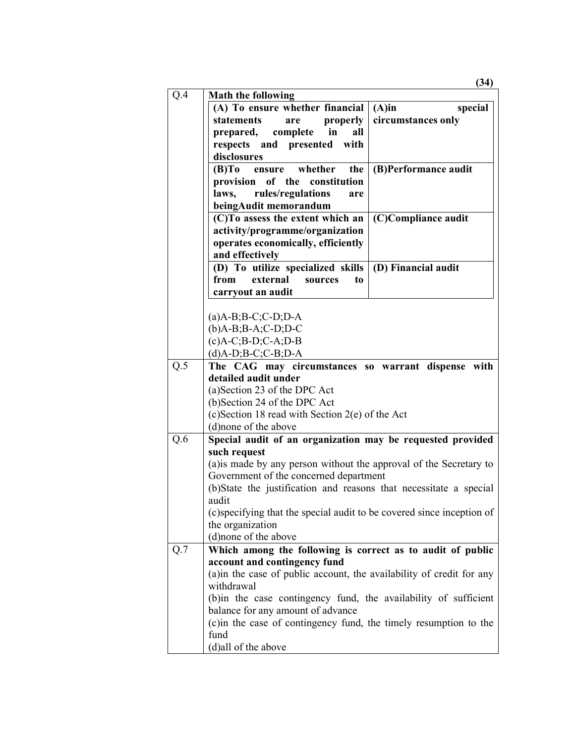| Q.4 | <b>Math the following</b>                                                  |  |  |
|-----|----------------------------------------------------------------------------|--|--|
|     | (A) To ensure whether financial<br>$(A)$ in<br>special                     |  |  |
|     | statements<br>properly<br>circumstances only<br>are                        |  |  |
|     | prepared,<br>complete<br>in<br>all                                         |  |  |
|     | respects and presented with                                                |  |  |
|     | disclosures                                                                |  |  |
|     | (B)To ensure whether<br>(B)Performance audit<br>the                        |  |  |
|     | provision<br>of the constitution                                           |  |  |
|     | rules/regulations<br>laws,<br>are                                          |  |  |
|     | beingAudit memorandum                                                      |  |  |
|     | (C)To assess the extent which an<br>(C)Compliance audit                    |  |  |
|     | activity/programme/organization                                            |  |  |
|     | operates economically, efficiently                                         |  |  |
|     | and effectively                                                            |  |  |
|     | (D) To utilize specialized skills<br>(D) Financial audit                   |  |  |
|     | from<br>external<br>to<br>sources                                          |  |  |
|     | carryout an audit                                                          |  |  |
|     |                                                                            |  |  |
|     | $(a)$ A-B;B-C;C-D;D-A                                                      |  |  |
|     | $(b)$ A-B;B-A;C-D;D-C                                                      |  |  |
|     | $(c)$ A-C;B-D;C-A;D-B                                                      |  |  |
|     | $(d)$ A-D;B-C;C-B;D-A                                                      |  |  |
| Q.5 | The CAG may circumstances so warrant dispense with                         |  |  |
|     | detailed audit under                                                       |  |  |
|     | (a) Section 23 of the DPC Act                                              |  |  |
|     | (b)Section 24 of the DPC Act                                               |  |  |
|     | (c)Section 18 read with Section 2(e) of the Act                            |  |  |
|     | (d) none of the above                                                      |  |  |
| Q.6 | Special audit of an organization may be requested provided<br>such request |  |  |
|     | (a) is made by any person without the approval of the Secretary to         |  |  |
|     | Government of the concerned department                                     |  |  |
|     | (b)State the justification and reasons that necessitate a special          |  |  |
|     | audit                                                                      |  |  |
|     | (c)specifying that the special audit to be covered since inception of      |  |  |
|     | the organization                                                           |  |  |
|     | (d)none of the above                                                       |  |  |
| Q.7 | Which among the following is correct as to audit of public                 |  |  |
|     | account and contingency fund                                               |  |  |
|     | (a)in the case of public account, the availability of credit for any       |  |  |
|     | withdrawal                                                                 |  |  |
|     | (b) in the case contingency fund, the availability of sufficient           |  |  |
|     | balance for any amount of advance                                          |  |  |
|     | (c) in the case of contingency fund, the timely resumption to the          |  |  |
|     | fund                                                                       |  |  |

**(34)**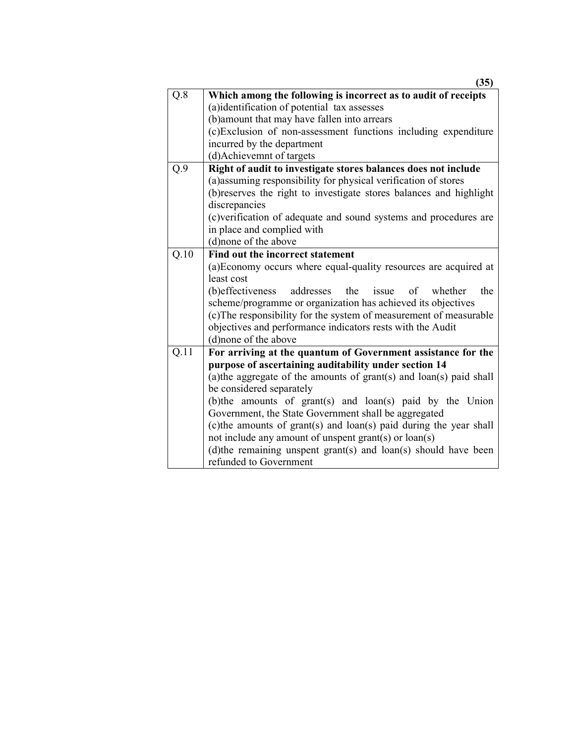|                   | (35)                                                                                                             |  |
|-------------------|------------------------------------------------------------------------------------------------------------------|--|
| Q.8               | Which among the following is incorrect as to audit of receipts                                                   |  |
|                   | (a)identification of potential tax assesses                                                                      |  |
|                   | (b) amount that may have fallen into arrears                                                                     |  |
|                   | (c)Exclusion of non-assessment functions including expenditure                                                   |  |
|                   | incurred by the department                                                                                       |  |
|                   | (d)Achievemnt of targets                                                                                         |  |
| Q.9               | Right of audit to investigate stores balances does not include                                                   |  |
|                   | (a) assuming responsibility for physical verification of stores                                                  |  |
|                   | (b) reserves the right to investigate stores balances and highlight                                              |  |
|                   | discrepancies                                                                                                    |  |
|                   | (c)verification of adequate and sound systems and procedures are                                                 |  |
|                   | in place and complied with                                                                                       |  |
|                   | (d)none of the above                                                                                             |  |
| $\overline{Q.10}$ | Find out the incorrect statement                                                                                 |  |
|                   | (a) Economy occurs where equal-quality resources are acquired at                                                 |  |
|                   | least cost                                                                                                       |  |
|                   | (b) effectiveness<br>addresses the<br>the<br>issue of<br>whether                                                 |  |
|                   | scheme/programme or organization has achieved its objectives                                                     |  |
|                   | (c) The responsibility for the system of measurement of measurable                                               |  |
|                   | objectives and performance indicators rests with the Audit                                                       |  |
|                   | (d)none of the above                                                                                             |  |
| Q.11              | For arriving at the quantum of Government assistance for the                                                     |  |
|                   | purpose of ascertaining auditability under section 14                                                            |  |
|                   | (a) the aggregate of the amounts of grant(s) and loan(s) paid shall                                              |  |
|                   | be considered separately                                                                                         |  |
|                   | (b)the amounts of grant(s) and loan(s) paid by the Union<br>Government, the State Government shall be aggregated |  |
|                   | (c) the amounts of grant(s) and loan(s) paid during the year shall                                               |  |
|                   | not include any amount of unspent grant(s) or loan(s)                                                            |  |
|                   | (d)the remaining unspent grant(s) and loan(s) should have been                                                   |  |
|                   | refunded to Government                                                                                           |  |
|                   |                                                                                                                  |  |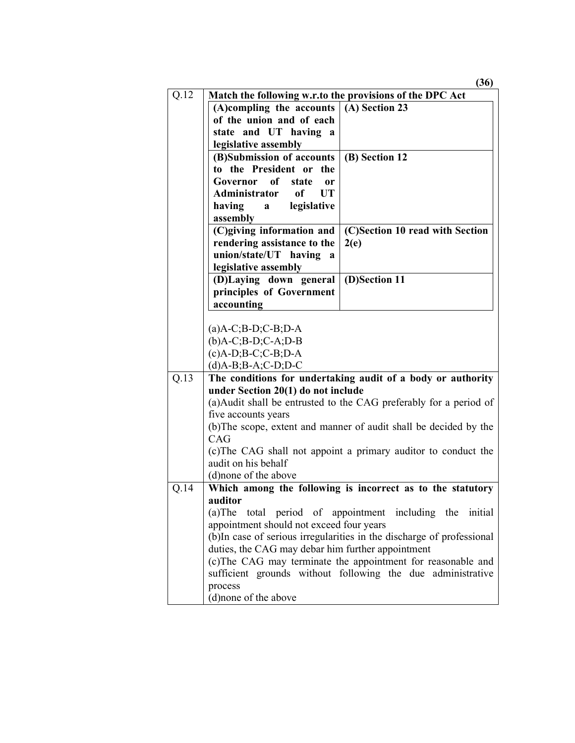|      |                                                          | (36)                                                                  |
|------|----------------------------------------------------------|-----------------------------------------------------------------------|
| Q.12 | Match the following w.r.to the provisions of the DPC Act |                                                                       |
|      | (A)compling the accounts                                 | (A) Section 23                                                        |
|      | of the union and of each                                 |                                                                       |
|      | state and UT having a                                    |                                                                       |
|      | legislative assembly                                     |                                                                       |
|      | (B)Submission of accounts                                | (B) Section 12                                                        |
|      | to the President or the                                  |                                                                       |
|      | of<br>Governor<br>state<br>0r                            |                                                                       |
|      | Administrator<br>of<br><b>UT</b>                         |                                                                       |
|      | having a<br>legislative                                  |                                                                       |
|      | assembly                                                 |                                                                       |
|      | (C)giving information and                                | (C)Section 10 read with Section                                       |
|      | rendering assistance to the                              | 2(e)                                                                  |
|      | union/state/UT having<br>a                               |                                                                       |
|      | legislative assembly                                     |                                                                       |
|      | (D)Laying down general                                   | (D)Section 11                                                         |
|      | principles of Government                                 |                                                                       |
|      | accounting                                               |                                                                       |
|      |                                                          |                                                                       |
|      | $(a)$ A-C;B-D;C-B;D-A                                    |                                                                       |
|      | $(b)$ A-C;B-D;C-A;D-B                                    |                                                                       |
|      | $(c)$ A-D;B-C;C-B;D-A                                    |                                                                       |
|      | $(d)$ A-B;B-A;C-D;D-C                                    |                                                                       |
| Q.13 |                                                          | The conditions for undertaking audit of a body or authority           |
|      | under Section 20(1) do not include                       |                                                                       |
|      |                                                          | (a) Audit shall be entrusted to the CAG preferably for a period of    |
|      | five accounts years                                      |                                                                       |
|      |                                                          | (b) The scope, extent and manner of audit shall be decided by the     |
|      | CAG                                                      |                                                                       |
|      |                                                          | (c) The CAG shall not appoint a primary auditor to conduct the        |
|      | audit on his behalf                                      |                                                                       |
|      | (d) none of the above                                    |                                                                       |
| Q.14 |                                                          | Which among the following is incorrect as to the statutory            |
|      | auditor                                                  |                                                                       |
|      |                                                          | (a) The total period of appointment including the initial             |
|      | appointment should not exceed four years                 |                                                                       |
|      | duties, the CAG may debar him further appointment        | (b)In case of serious irregularities in the discharge of professional |
|      |                                                          |                                                                       |
|      |                                                          | (c) The CAG may terminate the appointment for reasonable and          |
|      |                                                          | sufficient grounds without following the due administrative           |
|      | process                                                  |                                                                       |
|      | (d) none of the above                                    |                                                                       |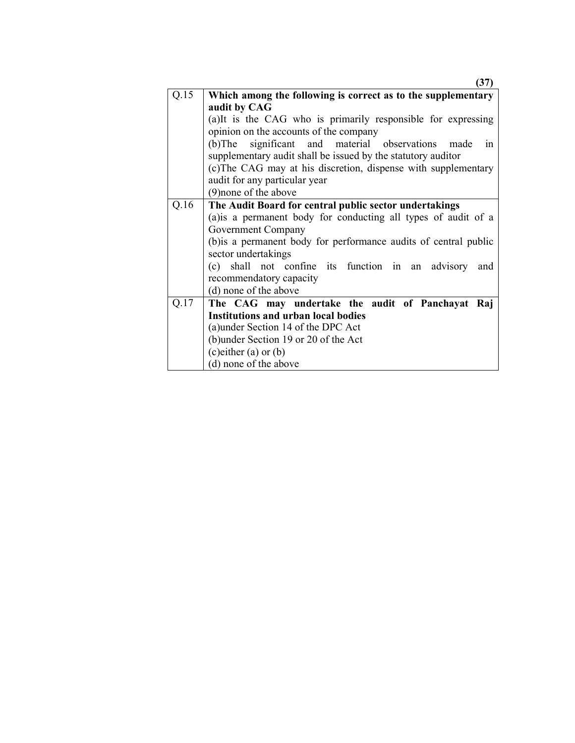|      | 37)                                                              |  |
|------|------------------------------------------------------------------|--|
| Q.15 | Which among the following is correct as to the supplementary     |  |
|      | audit by CAG                                                     |  |
|      | (a)It is the CAG who is primarily responsible for expressing     |  |
|      | opinion on the accounts of the company                           |  |
|      | significant and material observations made<br>$(b)$ The<br>in    |  |
|      | supplementary audit shall be issued by the statutory auditor     |  |
|      | (c) The CAG may at his discretion, dispense with supplementary   |  |
|      | audit for any particular year                                    |  |
|      | (9) none of the above                                            |  |
| Q.16 | The Audit Board for central public sector undertakings           |  |
|      | (a) is a permanent body for conducting all types of audit of a   |  |
|      | <b>Government Company</b>                                        |  |
|      | (b) is a permanent body for performance audits of central public |  |
|      | sector undertakings                                              |  |
|      | shall not confine its function in an advisory<br>(c)<br>and      |  |
|      | recommendatory capacity                                          |  |
|      | (d) none of the above                                            |  |
| Q.17 | The CAG may undertake the audit of Panchayat Raj                 |  |
|      | <b>Institutions and urban local bodies</b>                       |  |
|      | (a) under Section 14 of the DPC Act                              |  |
|      | (b) under Section 19 or 20 of the Act                            |  |
|      | (c) either $(a)$ or $(b)$                                        |  |
|      | (d) none of the above                                            |  |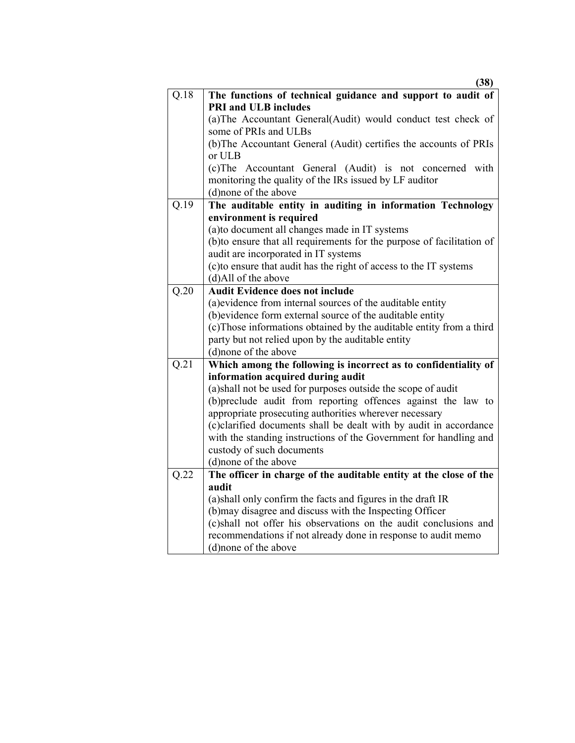|                   | (38)                                                                                                                                                                                                                                                                                                                                                                |
|-------------------|---------------------------------------------------------------------------------------------------------------------------------------------------------------------------------------------------------------------------------------------------------------------------------------------------------------------------------------------------------------------|
| Q.18              | The functions of technical guidance and support to audit of                                                                                                                                                                                                                                                                                                         |
|                   | <b>PRI and ULB includes</b>                                                                                                                                                                                                                                                                                                                                         |
|                   | (a) The Accountant General (Audit) would conduct test check of                                                                                                                                                                                                                                                                                                      |
|                   | some of PRIs and ULBs                                                                                                                                                                                                                                                                                                                                               |
|                   | (b) The Accountant General (Audit) certifies the accounts of PRIs                                                                                                                                                                                                                                                                                                   |
|                   | or ULB                                                                                                                                                                                                                                                                                                                                                              |
|                   | (c) The Accountant General (Audit) is not concerned with                                                                                                                                                                                                                                                                                                            |
|                   | monitoring the quality of the IRs issued by LF auditor                                                                                                                                                                                                                                                                                                              |
|                   | (d) none of the above                                                                                                                                                                                                                                                                                                                                               |
| Q.19              | The auditable entity in auditing in information Technology                                                                                                                                                                                                                                                                                                          |
|                   | environment is required                                                                                                                                                                                                                                                                                                                                             |
|                   | (a) to document all changes made in IT systems                                                                                                                                                                                                                                                                                                                      |
|                   | (b)to ensure that all requirements for the purpose of facilitation of                                                                                                                                                                                                                                                                                               |
|                   | audit are incorporated in IT systems                                                                                                                                                                                                                                                                                                                                |
|                   | (c) to ensure that audit has the right of access to the IT systems                                                                                                                                                                                                                                                                                                  |
|                   | (d)All of the above                                                                                                                                                                                                                                                                                                                                                 |
| $\overline{Q.20}$ | <b>Audit Evidence does not include</b>                                                                                                                                                                                                                                                                                                                              |
|                   | (a) evidence from internal sources of the auditable entity                                                                                                                                                                                                                                                                                                          |
|                   | (b) evidence form external source of the auditable entity                                                                                                                                                                                                                                                                                                           |
|                   | (c) Those informations obtained by the auditable entity from a third                                                                                                                                                                                                                                                                                                |
|                   | party but not relied upon by the auditable entity                                                                                                                                                                                                                                                                                                                   |
|                   | (d) none of the above                                                                                                                                                                                                                                                                                                                                               |
| Q.21              | Which among the following is incorrect as to confidentiality of                                                                                                                                                                                                                                                                                                     |
|                   | information acquired during audit                                                                                                                                                                                                                                                                                                                                   |
|                   | (a) shall not be used for purposes outside the scope of audit                                                                                                                                                                                                                                                                                                       |
|                   | (b)preclude audit from reporting offences against the law to                                                                                                                                                                                                                                                                                                        |
|                   | appropriate prosecuting authorities wherever necessary                                                                                                                                                                                                                                                                                                              |
|                   | (c)clarified documents shall be dealt with by audit in accordance                                                                                                                                                                                                                                                                                                   |
|                   | with the standing instructions of the Government for handling and                                                                                                                                                                                                                                                                                                   |
|                   | custody of such documents                                                                                                                                                                                                                                                                                                                                           |
|                   | (d)none of the above                                                                                                                                                                                                                                                                                                                                                |
|                   |                                                                                                                                                                                                                                                                                                                                                                     |
|                   |                                                                                                                                                                                                                                                                                                                                                                     |
|                   |                                                                                                                                                                                                                                                                                                                                                                     |
|                   |                                                                                                                                                                                                                                                                                                                                                                     |
|                   |                                                                                                                                                                                                                                                                                                                                                                     |
|                   |                                                                                                                                                                                                                                                                                                                                                                     |
|                   |                                                                                                                                                                                                                                                                                                                                                                     |
| Q.22              | The officer in charge of the auditable entity at the close of the<br>audit<br>(a) shall only confirm the facts and figures in the draft IR<br>(b) may disagree and discuss with the Inspecting Officer<br>(c)shall not offer his observations on the audit conclusions and<br>recommendations if not already done in response to audit memo<br>(d)none of the above |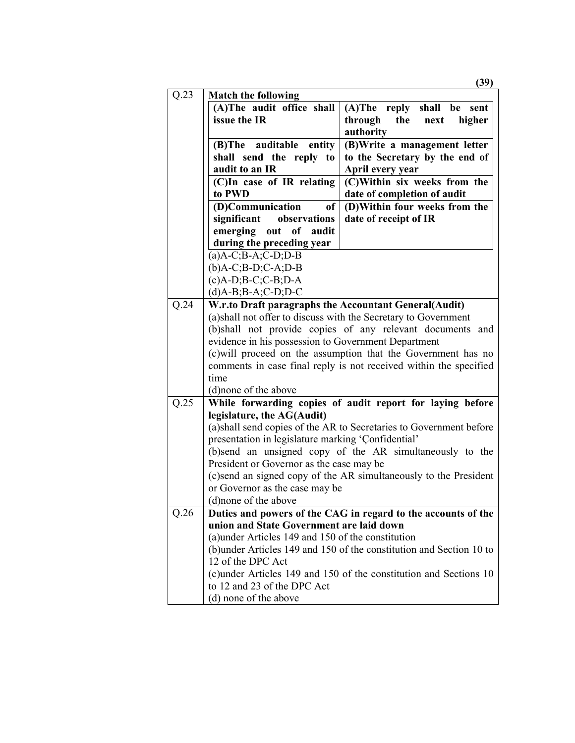|      |                                                       | (39)                                                                |
|------|-------------------------------------------------------|---------------------------------------------------------------------|
| Q.23 | <b>Match the following</b>                            |                                                                     |
|      | (A)The audit office shall                             | (A)The reply shall be<br>sent                                       |
|      | issue the IR                                          | through<br>the<br>higher<br>next                                    |
|      |                                                       | authority                                                           |
|      | (B)The auditable<br>entity                            | (B) Write a management letter                                       |
|      | shall send the reply to                               | to the Secretary by the end of                                      |
|      | audit to an IR                                        | April every year                                                    |
|      | (C)In case of IR relating                             | (C)Within six weeks from the                                        |
|      | to PWD                                                | date of completion of audit                                         |
|      | (D)Communication<br>of                                | (D)Within four weeks from the                                       |
|      | observations<br>significant                           | date of receipt of IR                                               |
|      | emerging out of audit                                 |                                                                     |
|      | during the preceding year                             |                                                                     |
|      | $(a)$ A-C;B-A;C-D;D-B                                 |                                                                     |
|      | $(b)$ A-C;B-D;C-A;D-B                                 |                                                                     |
|      | $(c)$ A-D;B-C;C-B;D-A                                 |                                                                     |
|      | $(d)$ A-B;B-A;C-D;D-C                                 |                                                                     |
| Q.24 | W.r.to Draft paragraphs the Accountant General(Audit) |                                                                     |
|      |                                                       | (a) shall not offer to discuss with the Secretary to Government     |
|      |                                                       | (b)shall not provide copies of any relevant documents and           |
|      | evidence in his possession to Government Department   |                                                                     |
|      |                                                       | (c) will proceed on the assumption that the Government has no       |
|      |                                                       | comments in case final reply is not received within the specified   |
|      | time                                                  |                                                                     |
|      | (d) none of the above                                 |                                                                     |
| Q.25 |                                                       | While forwarding copies of audit report for laying before           |
|      | legislature, the AG(Audit)                            | (a) shall send copies of the AR to Secretaries to Government before |
|      | presentation in legislature marking 'Confidential'    |                                                                     |
|      |                                                       | (b)send an unsigned copy of the AR simultaneously to the            |
|      | President or Governor as the case may be              |                                                                     |
|      |                                                       | (c)send an signed copy of the AR simultaneously to the President    |
|      | or Governor as the case may be                        |                                                                     |
|      | (d) none of the above                                 |                                                                     |
| Q.26 |                                                       | Duties and powers of the CAG in regard to the accounts of the       |
|      | union and State Government are laid down              |                                                                     |
|      | (a) under Articles 149 and 150 of the constitution    |                                                                     |
|      |                                                       | (b)under Articles 149 and 150 of the constitution and Section 10 to |
|      | 12 of the DPC Act                                     |                                                                     |
|      |                                                       | (c)under Articles 149 and 150 of the constitution and Sections 10   |
|      | to 12 and 23 of the DPC Act                           |                                                                     |
|      | (d) none of the above                                 |                                                                     |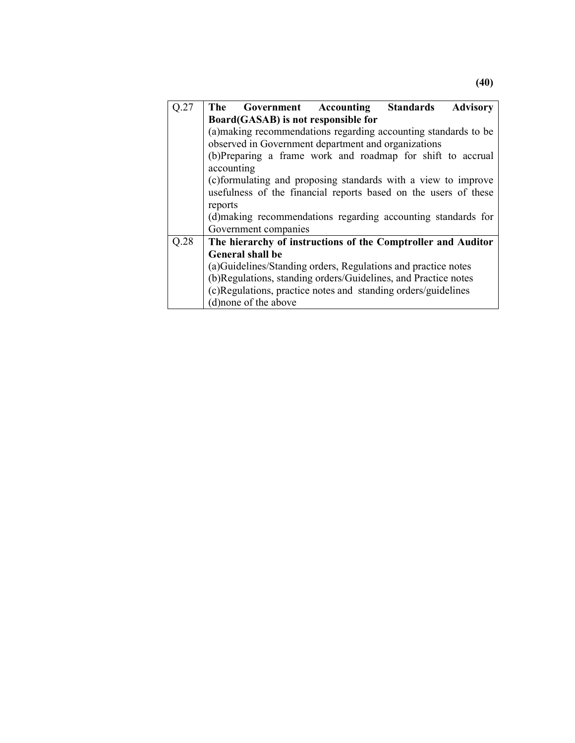| Q.27 | The Government Accounting Standards<br><b>Advisory</b>          |  |  |  |
|------|-----------------------------------------------------------------|--|--|--|
|      | Board(GASAB) is not responsible for                             |  |  |  |
|      | (a) making recommendations regarding accounting standards to be |  |  |  |
|      | observed in Government department and organizations             |  |  |  |
|      | (b)Preparing a frame work and roadmap for shift to accrual      |  |  |  |
|      | accounting                                                      |  |  |  |
|      | (c)formulating and proposing standards with a view to improve   |  |  |  |
|      | usefulness of the financial reports based on the users of these |  |  |  |
|      | reports                                                         |  |  |  |
|      | (d) making recommendations regarding accounting standards for   |  |  |  |
|      | Government companies                                            |  |  |  |
| Q.28 | The hierarchy of instructions of the Comptroller and Auditor    |  |  |  |
|      | <b>General shall be</b>                                         |  |  |  |
|      | (a) Guidelines/Standing orders, Regulations and practice notes  |  |  |  |
|      | (b)Regulations, standing orders/Guidelines, and Practice notes  |  |  |  |
|      | (c)Regulations, practice notes and standing orders/guidelines   |  |  |  |
|      | (d) none of the above                                           |  |  |  |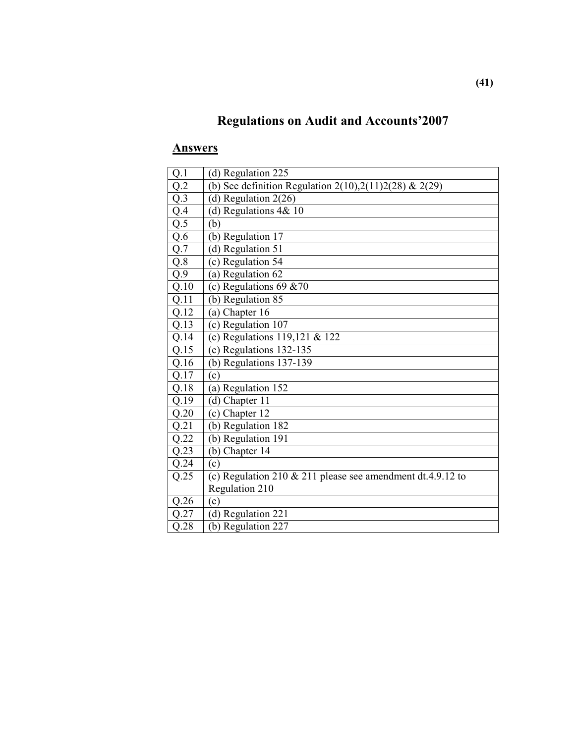## **Regulations on Audit and Accounts'2007**

| Q.1               | (d) Regulation 225                                           |
|-------------------|--------------------------------------------------------------|
| Q.2               | (b) See definition Regulation 2(10), 2(11) 2(28) & 2(29)     |
| Q.3               | (d) Regulation $2(26)$                                       |
| $rac{Q.4}{Q.5}$   | (d) Regulations $4&10$                                       |
|                   | (b)                                                          |
| Q.6               | (b) Regulation 17                                            |
| Q.7               | (d) Regulation 51                                            |
| Q.8               | (c) Regulation 54                                            |
| Q.9               | (a) Regulation $62$                                          |
| Q.10              | (c) Regulations 69 $&0$                                      |
| Q.11              | (b) Regulation 85                                            |
| $\overline{Q.12}$ | (a) Chapter 16                                               |
| Q.13              | (c) Regulation 107                                           |
| Q.14              | (c) Regulations $119,121$ & $122$                            |
| Q.15              | (c) Regulations 132-135                                      |
| Q.16              | (b) Regulations $137-139$                                    |
| Q.17              | (c)                                                          |
| Q.18              | (a) Regulation 152                                           |
| Q.19              | (d) Chapter 11                                               |
| Q.20              | (c) Chapter $12$                                             |
| Q.21              | (b) Regulation 182                                           |
| Q.22              | (b) Regulation 191                                           |
| Q.23              | (b) Chapter 14                                               |
| Q.24              | (c)                                                          |
| Q.25              | (c) Regulation 210 $&$ 211 please see amendment dt.4.9.12 to |
|                   | Regulation 210                                               |
| Q.26              | (c)                                                          |
| Q.27              | (d) Regulation 221                                           |
| Q.28              | (b) Regulation 227                                           |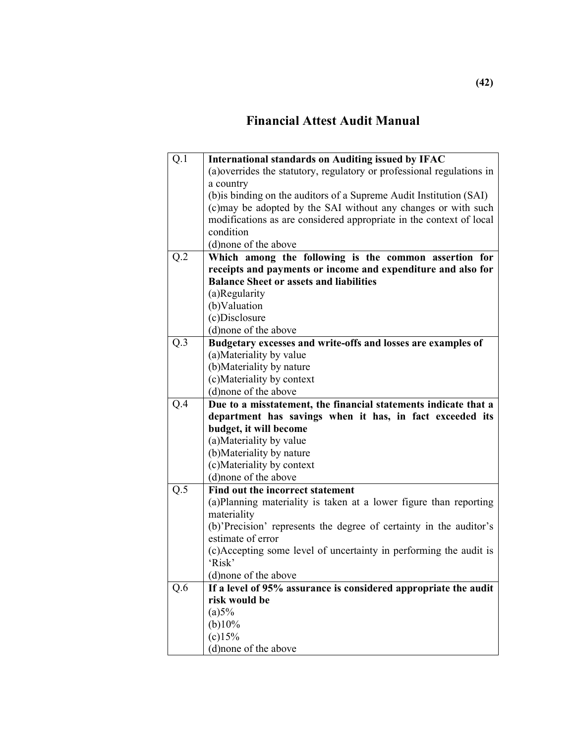## **Financial Attest Audit Manual**

| Q.1 | <b>International standards on Auditing issued by IFAC</b>              |
|-----|------------------------------------------------------------------------|
|     | (a) overrides the statutory, regulatory or professional regulations in |
|     | a country                                                              |
|     | (b) is binding on the auditors of a Supreme Audit Institution (SAI)    |
|     | (c) may be adopted by the SAI without any changes or with such         |
|     | modifications as are considered appropriate in the context of local    |
|     | condition                                                              |
|     | (d)none of the above                                                   |
| Q.2 | Which among the following is the common assertion for                  |
|     | receipts and payments or income and expenditure and also for           |
|     | <b>Balance Sheet or assets and liabilities</b>                         |
|     | (a)Regularity                                                          |
|     | (b)Valuation                                                           |
|     | (c)Disclosure                                                          |
|     | (d)none of the above                                                   |
| Q.3 | Budgetary excesses and write-offs and losses are examples of           |
|     | (a) Materiality by value                                               |
|     | (b) Materiality by nature                                              |
|     | (c)Materiality by context                                              |
|     | (d)none of the above                                                   |
| Q.4 | Due to a misstatement, the financial statements indicate that a        |
|     | department has savings when it has, in fact exceeded its               |
|     | budget, it will become                                                 |
|     | (a) Materiality by value                                               |
|     | (b) Materiality by nature                                              |
|     | (c) Materiality by context                                             |
|     | (d) none of the above                                                  |
| Q.5 | Find out the incorrect statement                                       |
|     | (a)Planning materiality is taken at a lower figure than reporting      |
|     | materiality                                                            |
|     | (b)'Precision' represents the degree of certainty in the auditor's     |
|     | estimate of error                                                      |
|     | (c)Accepting some level of uncertainty in performing the audit is      |
|     | 'Risk'                                                                 |
|     | (d) none of the above                                                  |
| Q.6 | If a level of 95% assurance is considered appropriate the audit        |
|     | risk would be                                                          |
|     | (a)5%                                                                  |
|     | (b)10%                                                                 |
|     | $(c)$ 15%                                                              |
|     | (d)none of the above                                                   |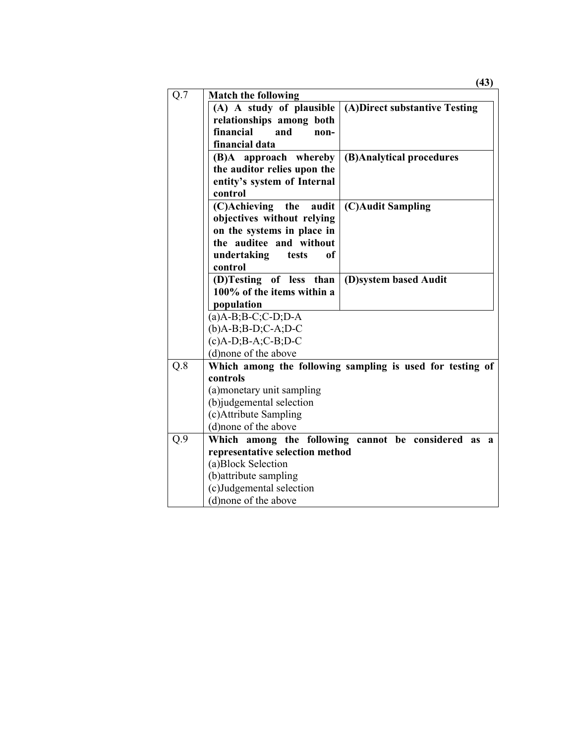|     |                                                       | (43)                                                      |
|-----|-------------------------------------------------------|-----------------------------------------------------------|
| Q.7 | <b>Match the following</b>                            |                                                           |
|     | (A) A study of plausible                              | (A)Direct substantive Testing                             |
|     | relationships among both                              |                                                           |
|     | financial<br>and<br>non-                              |                                                           |
|     | financial data                                        |                                                           |
|     | (B)A approach whereby                                 | (B)Analytical procedures                                  |
|     | the auditor relies upon the                           |                                                           |
|     | entity's system of Internal                           |                                                           |
|     | control                                               |                                                           |
|     | (C)Achieving<br>audit<br>the                          | (C)Audit Sampling                                         |
|     | objectives without relying                            |                                                           |
|     | on the systems in place in                            |                                                           |
|     | the auditee and without                               |                                                           |
|     | undertaking<br>of<br>tests                            |                                                           |
|     | control                                               |                                                           |
|     | (D)Testing of less than<br>100% of the items within a | (D)system based Audit                                     |
|     |                                                       |                                                           |
|     | population                                            |                                                           |
|     | $(a)$ A-B;B-C;C-D;D-A<br>$(b)$ A-B;B-D;C-A;D-C        |                                                           |
|     | $(c)$ A-D;B-A;C-B;D-C                                 |                                                           |
|     | (d)none of the above                                  |                                                           |
| Q.8 |                                                       | Which among the following sampling is used for testing of |
|     | controls                                              |                                                           |
|     | (a) monetary unit sampling                            |                                                           |
|     | (b)judgemental selection                              |                                                           |
|     | (c)Attribute Sampling                                 |                                                           |
|     | (d)none of the above                                  |                                                           |
| Q.9 | Which among the following cannot be considered        | <b>as</b><br>$\mathbf{a}$                                 |
|     | representative selection method                       |                                                           |
|     | (a)Block Selection                                    |                                                           |
|     | (b) attribute sampling                                |                                                           |
|     | (c)Judgemental selection                              |                                                           |
|     | (d) none of the above                                 |                                                           |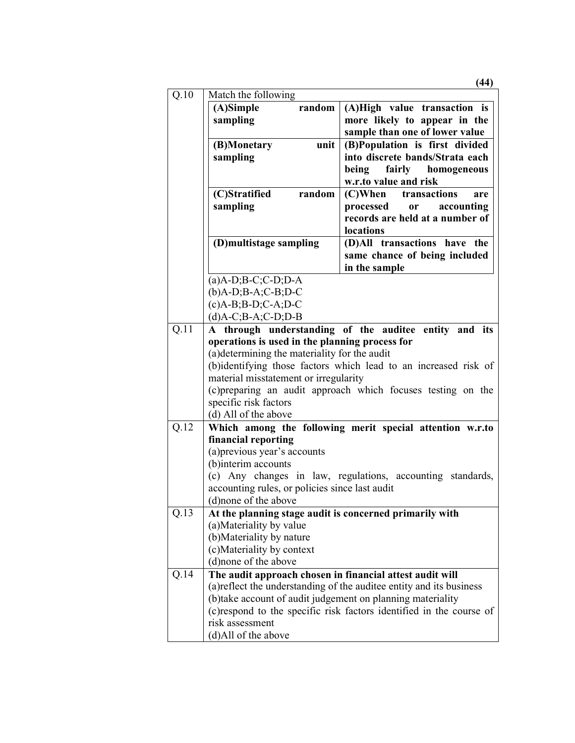|      |                                                                                     | (44)                                                                 |
|------|-------------------------------------------------------------------------------------|----------------------------------------------------------------------|
| Q.10 | Match the following                                                                 |                                                                      |
|      | (A)Simple<br>random                                                                 | (A)High value transaction is                                         |
|      | sampling                                                                            | more likely to appear in the                                         |
|      |                                                                                     | sample than one of lower value                                       |
|      | (B)Monetary<br>unit                                                                 | (B)Population is first divided                                       |
|      | sampling                                                                            | into discrete bands/Strata each                                      |
|      |                                                                                     | being<br>fairly homogeneous                                          |
|      | (C)Stratified<br>random                                                             | w.r.to value and risk<br>transactions<br>$(C)$ When<br>are           |
|      | sampling                                                                            | accounting<br>processed<br><b>or</b>                                 |
|      |                                                                                     | records are held at a number of                                      |
|      |                                                                                     | locations                                                            |
|      | (D)multistage sampling                                                              | (D)All transactions have the                                         |
|      |                                                                                     | same chance of being included                                        |
|      |                                                                                     | in the sample                                                        |
|      | $(a)$ A-D;B-C;C-D;D-A                                                               |                                                                      |
|      | $(b)$ A-D;B-A;C-B;D-C                                                               |                                                                      |
|      | $(c)$ A-B;B-D;C-A;D-C                                                               |                                                                      |
|      | $(d)$ A-C;B-A;C-D;D-B                                                               |                                                                      |
| Q.11 |                                                                                     | A through understanding of the auditee entity and its                |
|      | operations is used in the planning process for                                      |                                                                      |
|      | (a) determining the materiality for the audit                                       |                                                                      |
|      |                                                                                     | (b)identifying those factors which lead to an increased risk of      |
|      | material misstatement or irregularity                                               |                                                                      |
|      |                                                                                     | (c) preparing an audit approach which focuses testing on the         |
|      | specific risk factors                                                               |                                                                      |
|      | (d) All of the above                                                                |                                                                      |
| Q.12 |                                                                                     | Which among the following merit special attention w.r.to             |
|      | financial reporting                                                                 |                                                                      |
|      | (a) previous year's accounts                                                        |                                                                      |
|      | (b)interim accounts                                                                 |                                                                      |
|      |                                                                                     | (c) Any changes in law, regulations, accounting standards,           |
|      | accounting rules, or policies since last audit<br>(d)none of the above              |                                                                      |
| Q.13 |                                                                                     |                                                                      |
|      | At the planning stage audit is concerned primarily with<br>(a) Materiality by value |                                                                      |
|      | (b) Materiality by nature                                                           |                                                                      |
|      | (c)Materiality by context                                                           |                                                                      |
|      | (d) none of the above                                                               |                                                                      |
| Q.14 | The audit approach chosen in financial attest audit will                            |                                                                      |
|      |                                                                                     | (a) reflect the understanding of the auditee entity and its business |
|      | (b) take account of audit judgement on planning materiality                         |                                                                      |
|      |                                                                                     |                                                                      |
|      |                                                                                     |                                                                      |
|      | risk assessment                                                                     | (c) respond to the specific risk factors identified in the course of |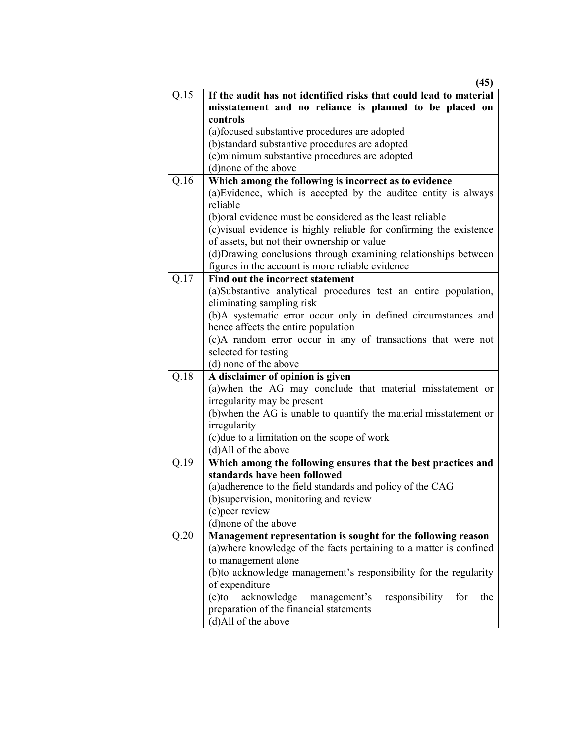|      | (45)                                                                                          |
|------|-----------------------------------------------------------------------------------------------|
| Q.15 | If the audit has not identified risks that could lead to material                             |
|      | misstatement and no reliance is planned to be placed on                                       |
|      | controls                                                                                      |
|      | (a) focused substantive procedures are adopted                                                |
|      | (b)standard substantive procedures are adopted                                                |
|      | (c) minimum substantive procedures are adopted                                                |
|      | (d) none of the above                                                                         |
| Q.16 | Which among the following is incorrect as to evidence                                         |
|      | (a) Evidence, which is accepted by the auditee entity is always                               |
|      | reliable                                                                                      |
|      | (b) oral evidence must be considered as the least reliable                                    |
|      | (c) visual evidence is highly reliable for confirming the existence                           |
|      | of assets, but not their ownership or value                                                   |
|      | (d) Drawing conclusions through examining relationships between                               |
|      | figures in the account is more reliable evidence                                              |
| Q.17 | Find out the incorrect statement                                                              |
|      | (a)Substantive analytical procedures test an entire population,                               |
|      | eliminating sampling risk                                                                     |
|      | (b)A systematic error occur only in defined circumstances and                                 |
|      | hence affects the entire population                                                           |
|      | (c)A random error occur in any of transactions that were not                                  |
|      | selected for testing                                                                          |
|      | (d) none of the above                                                                         |
| Q.18 | A disclaimer of opinion is given                                                              |
|      | (a)when the AG may conclude that material misstatement or                                     |
|      | irregularity may be present                                                                   |
|      | (b) when the AG is unable to quantify the material misstatement or                            |
|      | irregularity                                                                                  |
|      | (c) due to a limitation on the scope of work                                                  |
|      | (d)All of the above                                                                           |
| Q.19 | Which among the following ensures that the best practices and<br>standards have been followed |
|      | (a)adherence to the field standards and policy of the CAG                                     |
|      | (b) supervision, monitoring and review                                                        |
|      | (c) peer review                                                                               |
|      | (d)none of the above                                                                          |
|      |                                                                                               |
| Q.20 | Management representation is sought for the following reason                                  |
|      | (a) where knowledge of the facts pertaining to a matter is confined                           |
|      | to management alone                                                                           |
|      | (b) to acknowledge management's responsibility for the regularity                             |
|      | of expenditure                                                                                |
|      | (c)to acknowledge<br>management's<br>responsibility<br>for<br>the                             |
|      | preparation of the financial statements                                                       |
|      | (d)All of the above                                                                           |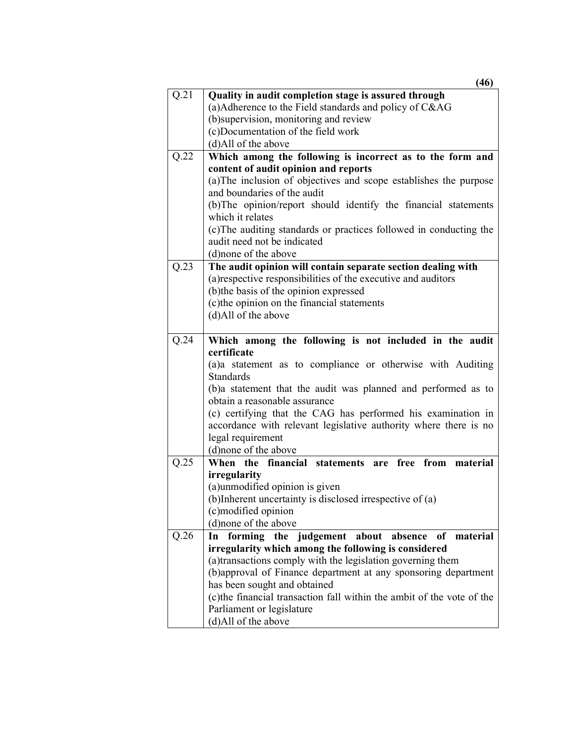|      | (46)                                                                                                    |
|------|---------------------------------------------------------------------------------------------------------|
| Q.21 | Quality in audit completion stage is assured through                                                    |
|      | (a)Adherence to the Field standards and policy of C&AG                                                  |
|      | (b) supervision, monitoring and review                                                                  |
|      | (c)Documentation of the field work                                                                      |
|      | (d)All of the above                                                                                     |
| Q.22 | Which among the following is incorrect as to the form and                                               |
|      | content of audit opinion and reports                                                                    |
|      | (a) The inclusion of objectives and scope establishes the purpose                                       |
|      | and boundaries of the audit                                                                             |
|      | (b) The opinion/report should identify the financial statements                                         |
|      | which it relates                                                                                        |
|      | (c) The auditing standards or practices followed in conducting the                                      |
|      | audit need not be indicated<br>(d)none of the above                                                     |
|      |                                                                                                         |
| Q.23 | The audit opinion will contain separate section dealing with                                            |
|      | (a) respective responsibilities of the executive and auditors<br>(b) the basis of the opinion expressed |
|      | (c) the opinion on the financial statements                                                             |
|      | (d)All of the above                                                                                     |
|      |                                                                                                         |
| Q.24 | Which among the following is not included in the audit                                                  |
|      | certificate                                                                                             |
|      | (a)a statement as to compliance or otherwise with Auditing                                              |
|      | Standards                                                                                               |
|      | (b)a statement that the audit was planned and performed as to                                           |
|      | obtain a reasonable assurance                                                                           |
|      | (c) certifying that the CAG has performed his examination in                                            |
|      | accordance with relevant legislative authority where there is no                                        |
|      | legal requirement                                                                                       |
|      | (d)none of the above                                                                                    |
| Q.25 | When the financial statements<br>are free<br>from<br>material                                           |
|      | irregularity                                                                                            |
|      | (a)unmodified opinion is given                                                                          |
|      | (b)Inherent uncertainty is disclosed irrespective of (a)                                                |
|      | (c)modified opinion                                                                                     |
|      | (d)none of the above                                                                                    |
| Q.26 | forming the judgement about absence<br>of<br>material<br>In                                             |
|      | irregularity which among the following is considered                                                    |
|      | (a)transactions comply with the legislation governing them                                              |
|      | (b)approval of Finance department at any sponsoring department                                          |
|      | has been sought and obtained                                                                            |
|      | (c) the financial transaction fall within the ambit of the vote of the                                  |
|      | Parliament or legislature                                                                               |
|      | (d)All of the above                                                                                     |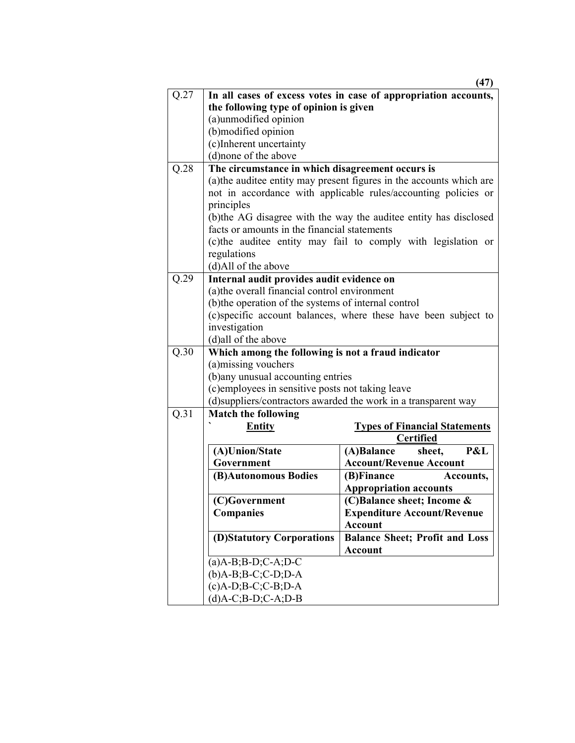|      |                                                      | (47)                                                                |
|------|------------------------------------------------------|---------------------------------------------------------------------|
| Q.27 |                                                      | In all cases of excess votes in case of appropriation accounts,     |
|      | the following type of opinion is given               |                                                                     |
|      | (a)unmodified opinion                                |                                                                     |
|      | (b)modified opinion                                  |                                                                     |
|      | (c)Inherent uncertainty                              |                                                                     |
|      | (d)none of the above                                 |                                                                     |
| Q.28 | The circumstance in which disagreement occurs is     |                                                                     |
|      |                                                      | (a)the auditee entity may present figures in the accounts which are |
|      |                                                      | not in accordance with applicable rules/accounting policies or      |
|      | principles                                           |                                                                     |
|      |                                                      | (b)the AG disagree with the way the auditee entity has disclosed    |
|      | facts or amounts in the financial statements         |                                                                     |
|      |                                                      | (c) the auditee entity may fail to comply with legislation or       |
|      | regulations                                          |                                                                     |
|      | (d)All of the above                                  |                                                                     |
| Q.29 | Internal audit provides audit evidence on            |                                                                     |
|      | (a) the overall financial control environment        |                                                                     |
|      | (b) the operation of the systems of internal control |                                                                     |
|      |                                                      | (c) specific account balances, where these have been subject to     |
|      | investigation                                        |                                                                     |
|      | (d)all of the above                                  |                                                                     |
| Q.30 | Which among the following is not a fraud indicator   |                                                                     |
|      | (a) missing vouchers                                 |                                                                     |
|      | (b) any unusual accounting entries                   |                                                                     |
|      | (c) employees in sensitive posts not taking leave    |                                                                     |
|      |                                                      | (d) suppliers/contractors awarded the work in a transparent way     |
| Q.31 | <b>Match the following</b>                           |                                                                     |
|      | <b>Entity</b>                                        | <b>Types of Financial Statements</b>                                |
|      |                                                      | <b>Certified</b>                                                    |
|      | (A)Union/State                                       | (A)Balance<br>P&L<br>sheet,                                         |
|      | Government                                           | <b>Account/Revenue Account</b>                                      |
|      | (B)Autonomous Bodies                                 | (B)Finance<br>Accounts,                                             |
|      |                                                      | <b>Appropriation accounts</b>                                       |
|      | (C)Government                                        | (C)Balance sheet; Income &                                          |
|      | <b>Companies</b>                                     | <b>Expenditure Account/Revenue</b>                                  |
|      |                                                      | <b>Account</b>                                                      |
|      | (D)Statutory Corporations                            | <b>Balance Sheet; Profit and Loss</b>                               |
|      |                                                      | <b>Account</b>                                                      |
|      | $(a)$ A-B;B-D;C-A;D-C                                |                                                                     |
|      | $(b)$ A-B;B-C;C-D;D-A                                |                                                                     |
|      | $(c)$ A-D;B-C;C-B;D-A                                |                                                                     |
|      | $(d)$ A-C;B-D;C-A;D-B                                |                                                                     |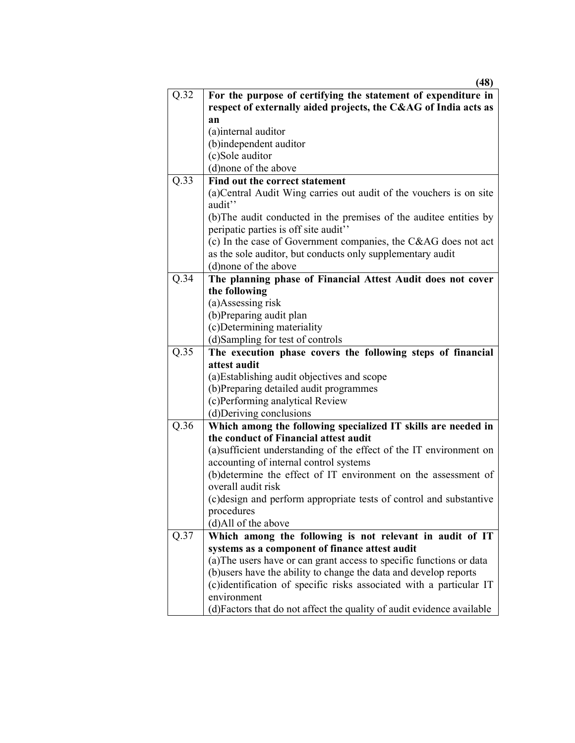|      | (48)                                                                                                     |  |
|------|----------------------------------------------------------------------------------------------------------|--|
| Q.32 | For the purpose of certifying the statement of expenditure in                                            |  |
|      | respect of externally aided projects, the C&AG of India acts as                                          |  |
|      | an                                                                                                       |  |
|      | (a)internal auditor                                                                                      |  |
|      | (b)independent auditor                                                                                   |  |
|      | (c)Sole auditor                                                                                          |  |
|      | (d)none of the above                                                                                     |  |
| Q.33 | Find out the correct statement                                                                           |  |
|      | (a) Central Audit Wing carries out audit of the vouchers is on site                                      |  |
|      | audit"                                                                                                   |  |
|      | (b) The audit conducted in the premises of the auditee entities by                                       |  |
|      | peripatic parties is off site audit"                                                                     |  |
|      | (c) In the case of Government companies, the C&AG does not act                                           |  |
|      | as the sole auditor, but conducts only supplementary audit                                               |  |
|      | (d) none of the above                                                                                    |  |
| Q.34 | The planning phase of Financial Attest Audit does not cover                                              |  |
|      | the following                                                                                            |  |
|      | (a)Assessing risk                                                                                        |  |
|      | (b)Preparing audit plan                                                                                  |  |
|      | (c)Determining materiality                                                                               |  |
|      | (d)Sampling for test of controls                                                                         |  |
| Q.35 | The execution phase covers the following steps of financial                                              |  |
|      | attest audit                                                                                             |  |
|      | (a) Establishing audit objectives and scope                                                              |  |
|      | (b)Preparing detailed audit programmes                                                                   |  |
|      | (c)Performing analytical Review                                                                          |  |
|      | (d)Deriving conclusions                                                                                  |  |
| Q.36 | Which among the following specialized IT skills are needed in                                            |  |
|      | the conduct of Financial attest audit                                                                    |  |
|      | (a)sufficient understanding of the effect of the IT environment on                                       |  |
|      | accounting of internal control systems<br>(b)determine the effect of IT environment on the assessment of |  |
|      | overall audit risk                                                                                       |  |
|      | (c) design and perform appropriate tests of control and substantive                                      |  |
|      | procedures                                                                                               |  |
|      | (d)All of the above                                                                                      |  |
| Q.37 | Which among the following is not relevant in audit of IT                                                 |  |
|      | systems as a component of finance attest audit                                                           |  |
|      | (a) The users have or can grant access to specific functions or data                                     |  |
|      | (b) users have the ability to change the data and develop reports                                        |  |
|      | (c)identification of specific risks associated with a particular IT                                      |  |
|      | environment                                                                                              |  |
|      | (d) Factors that do not affect the quality of audit evidence available                                   |  |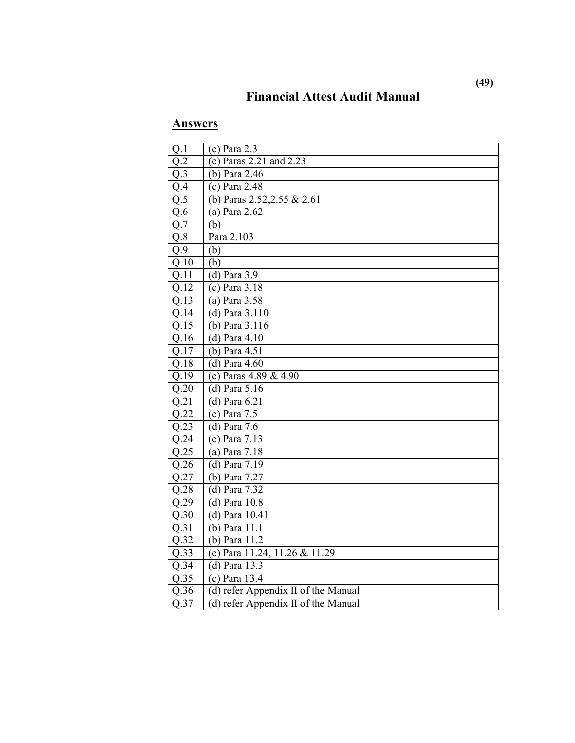## **Financial Attest Audit Manual**

| Q.1               | $(c)$ Para 2.3                      |
|-------------------|-------------------------------------|
| $Q.\overline{2}$  | (c) Paras $2.21$ and $2.23$         |
| $Q.\overline{3}$  | (b) Para $2.\overline{46}$          |
| $Q.\overline{4}$  | (c) Para 2.48                       |
| $Q.\overline{5}$  | (b) Paras 2.52, 2.55 & 2.61         |
| Q.6               | (a) Para $2.62$                     |
| $Q.\overline{7}$  | (b)                                 |
| $Q.\overline{8}$  | Para 2.103                          |
| Q.9               | (b)                                 |
| Q.10              | (b)                                 |
| Q.11              | $(d)$ Para 3.9                      |
| Q.12              | (c) Para 3.18                       |
| Q.13              | (a) Para $3.58$                     |
| Q.14              | (d) Para $3.\overline{110}$         |
| Q.15              | (b) Para 3.116                      |
| Q.16              | $(d)$ Para 4.10                     |
| Q.17              | (b) Para 4.51                       |
| Q.18              | $(d)$ Para 4.60                     |
| Q.19              | (c) Paras 4.89 & $4.\overline{90}$  |
| Q.20              | $(d)$ Para 5.16                     |
| Q.21              | $(d)$ Para $6.21$                   |
| Q.22              | $(c)$ Para 7.5                      |
| $\overline{Q.23}$ | (d) Para $7.6$                      |
| $Q.\overline{24}$ | (c) Para $7.13$                     |
| $\overline{Q.25}$ | (a) Para $7.18$                     |
| Q.26              | (d) Para 7.19                       |
| Q.27              | (b) Para 7.27                       |
| Q.28              | (d) Para 7.32                       |
| Q.29              | $(d)$ Para $10.8$                   |
| Q.30              | (d) Para 10.41                      |
| Q.31              | (b) Para 11.1                       |
| Q.32              | (b) Para 11.2                       |
| Q.33              | (c) Para 11.24, 11.26 & 11.29       |
| Q.34              | (d) Para 13.3                       |
| $Q.\overline{35}$ | (c) Para $\overline{13.4}$          |
| Q.36              | (d) refer Appendix II of the Manual |
| $\overline{Q.37}$ | (d) refer Appendix II of the Manual |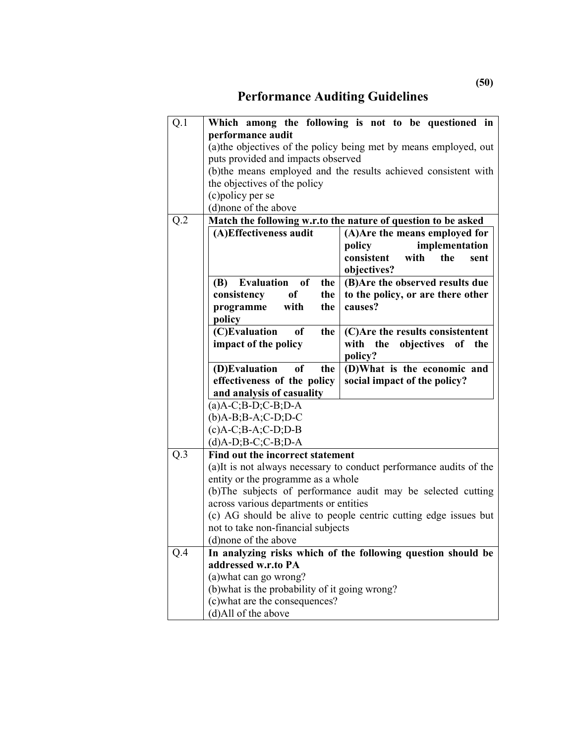# **Performance Auditing Guidelines**

| Q.1                                                                                                                                                                                    |                                                                   | Which among the following is not to be questioned in               |
|----------------------------------------------------------------------------------------------------------------------------------------------------------------------------------------|-------------------------------------------------------------------|--------------------------------------------------------------------|
|                                                                                                                                                                                        | performance audit                                                 |                                                                    |
|                                                                                                                                                                                        | (a) the objectives of the policy being met by means employed, out |                                                                    |
|                                                                                                                                                                                        | puts provided and impacts observed                                | (b)the means employed and the results achieved consistent with     |
|                                                                                                                                                                                        | the objectives of the policy                                      |                                                                    |
|                                                                                                                                                                                        | (c) policy per se                                                 |                                                                    |
|                                                                                                                                                                                        | (d)none of the above                                              |                                                                    |
| Q.2                                                                                                                                                                                    | Match the following w.r.to the nature of question to be asked     |                                                                    |
|                                                                                                                                                                                        | (A)Effectiveness audit                                            | (A) Are the means employed for                                     |
|                                                                                                                                                                                        |                                                                   | implementation<br>policy                                           |
|                                                                                                                                                                                        |                                                                   | consistent<br>the<br>with<br>sent                                  |
|                                                                                                                                                                                        |                                                                   | objectives?                                                        |
|                                                                                                                                                                                        | Evaluation of<br><b>(B)</b><br>the                                | (B) Are the observed results due                                   |
|                                                                                                                                                                                        | consistency<br><sub>of</sub><br>the                               | to the policy, or are there other                                  |
|                                                                                                                                                                                        | with<br>the<br>programme                                          | causes?                                                            |
|                                                                                                                                                                                        | policy                                                            |                                                                    |
|                                                                                                                                                                                        | (C)Evaluation<br>of<br>the                                        | (C)Are the results consistentent                                   |
|                                                                                                                                                                                        | impact of the policy                                              | with the<br>objectives of the<br>policy?                           |
|                                                                                                                                                                                        | (D)Evaluation<br>of<br>the                                        | (D)What is the economic and                                        |
|                                                                                                                                                                                        | effectiveness of the policy                                       | social impact of the policy?                                       |
|                                                                                                                                                                                        | and analysis of casuality                                         |                                                                    |
|                                                                                                                                                                                        | $(a)$ A-C;B-D;C-B;D-A<br>$(b)$ A-B;B-A;C-D;D-C                    |                                                                    |
|                                                                                                                                                                                        |                                                                   |                                                                    |
|                                                                                                                                                                                        | $(c)$ A-C;B-A;C-D;D-B                                             |                                                                    |
|                                                                                                                                                                                        | $(d)$ A-D;B-C;C-B;D-A                                             |                                                                    |
| Q.3                                                                                                                                                                                    | Find out the incorrect statement                                  |                                                                    |
|                                                                                                                                                                                        |                                                                   | (a)It is not always necessary to conduct performance audits of the |
| entity or the programme as a whole<br>across various departments or entities<br>(c) AG should be alive to people centric cutting edge issues but<br>not to take non-financial subjects |                                                                   |                                                                    |
|                                                                                                                                                                                        | (b) The subjects of performance audit may be selected cutting     |                                                                    |
|                                                                                                                                                                                        |                                                                   |                                                                    |
|                                                                                                                                                                                        |                                                                   |                                                                    |
|                                                                                                                                                                                        | (d) none of the above                                             |                                                                    |
| Q.4                                                                                                                                                                                    | In analyzing risks which of the following question should be      |                                                                    |
|                                                                                                                                                                                        | addressed w.r.to PA                                               |                                                                    |
|                                                                                                                                                                                        | (a) what can go wrong?                                            |                                                                    |
|                                                                                                                                                                                        | (b) what is the probability of it going wrong?                    |                                                                    |
|                                                                                                                                                                                        | (c) what are the consequences?                                    |                                                                    |
|                                                                                                                                                                                        | (d)All of the above                                               |                                                                    |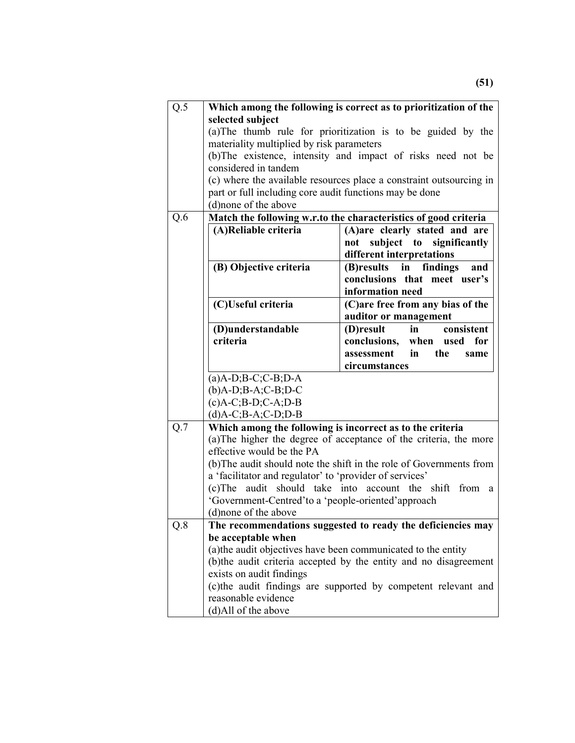| Q.5                                                              | Which among the following is correct as to prioritization of the    |                                                                     |  |
|------------------------------------------------------------------|---------------------------------------------------------------------|---------------------------------------------------------------------|--|
|                                                                  | selected subject                                                    |                                                                     |  |
|                                                                  |                                                                     | (a) The thumb rule for prioritization is to be guided by the        |  |
|                                                                  | materiality multiplied by risk parameters                           |                                                                     |  |
|                                                                  |                                                                     | (b) The existence, intensity and impact of risks need not be        |  |
|                                                                  | considered in tandem                                                |                                                                     |  |
|                                                                  |                                                                     | (c) where the available resources place a constraint outsourcing in |  |
|                                                                  | part or full including core audit functions may be done             |                                                                     |  |
|                                                                  | (d) none of the above                                               |                                                                     |  |
| Q.6                                                              |                                                                     | Match the following w.r.to the characteristics of good criteria     |  |
|                                                                  | (A)Reliable criteria                                                | (A)are clearly stated and are                                       |  |
|                                                                  |                                                                     | subject to significantly<br>not                                     |  |
|                                                                  |                                                                     | different interpretations                                           |  |
|                                                                  | (B) Objective criteria                                              | (B)results in<br>findings<br>and                                    |  |
|                                                                  |                                                                     | conclusions that meet user's                                        |  |
|                                                                  |                                                                     | information need                                                    |  |
|                                                                  | (C)Useful criteria                                                  | (C) are free from any bias of the<br>auditor or management          |  |
|                                                                  | (D)understandable                                                   | consistent<br>(D)result<br>in                                       |  |
|                                                                  | criteria                                                            | conclusions, when used for                                          |  |
|                                                                  |                                                                     | assessment<br>$\mathbf{in}$<br>the<br>same                          |  |
|                                                                  |                                                                     | circumstances                                                       |  |
|                                                                  | $(a)$ A-D;B-C;C-B;D-A                                               |                                                                     |  |
|                                                                  | $(b)$ A-D;B-A;C-B;D-C                                               |                                                                     |  |
|                                                                  | $(c)A-C$ ; $B-D$ ; $C-A$ ; $D-B$                                    |                                                                     |  |
|                                                                  | $(d)$ A-C;B-A;C-D;D-B                                               |                                                                     |  |
| Q.7<br>Which among the following is incorrect as to the criteria |                                                                     |                                                                     |  |
|                                                                  |                                                                     | (a) The higher the degree of acceptance of the criteria, the more   |  |
|                                                                  | effective would be the PA                                           |                                                                     |  |
|                                                                  | (b) The audit should note the shift in the role of Governments from |                                                                     |  |
|                                                                  | a 'facilitator and regulator' to 'provider of services'             |                                                                     |  |
|                                                                  | (c)The audit should take into account the shift from<br>a           |                                                                     |  |
|                                                                  | 'Government-Centred'to a 'people-oriented'approach                  |                                                                     |  |
|                                                                  | (d) none of the above                                               |                                                                     |  |
| Q.8                                                              | The recommendations suggested to ready the deficiencies may         |                                                                     |  |
|                                                                  | be acceptable when                                                  |                                                                     |  |
|                                                                  | (a) the audit objectives have been communicated to the entity       |                                                                     |  |
|                                                                  | (b) the audit criteria accepted by the entity and no disagreement   |                                                                     |  |
|                                                                  | exists on audit findings                                            |                                                                     |  |
|                                                                  |                                                                     | (c)the audit findings are supported by competent relevant and       |  |
|                                                                  | reasonable evidence                                                 |                                                                     |  |
|                                                                  | (d)All of the above                                                 |                                                                     |  |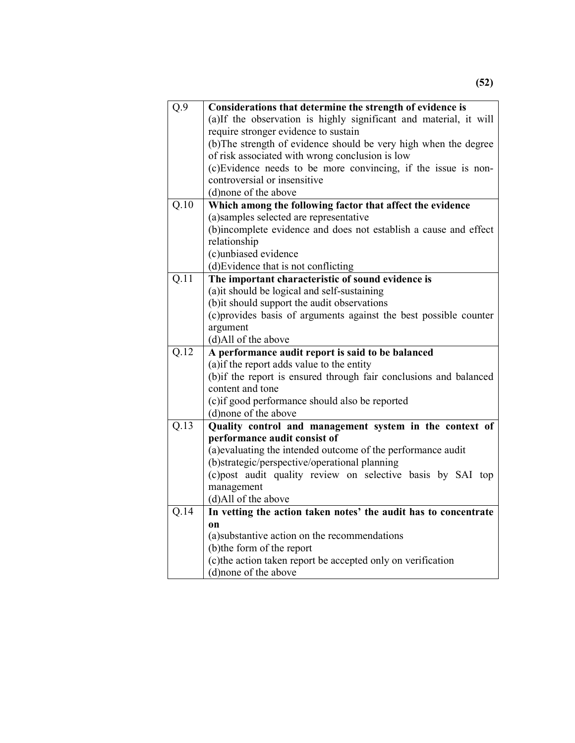| Q.9  | Considerations that determine the strength of evidence is                                                                                                                                 |  |  |
|------|-------------------------------------------------------------------------------------------------------------------------------------------------------------------------------------------|--|--|
|      | (a)If the observation is highly significant and material, it will                                                                                                                         |  |  |
|      | require stronger evidence to sustain                                                                                                                                                      |  |  |
|      | (b) The strength of evidence should be very high when the degree                                                                                                                          |  |  |
|      | of risk associated with wrong conclusion is low                                                                                                                                           |  |  |
|      | (c) Evidence needs to be more convincing, if the issue is non-                                                                                                                            |  |  |
|      | controversial or insensitive                                                                                                                                                              |  |  |
|      | (d)none of the above                                                                                                                                                                      |  |  |
| Q.10 | Which among the following factor that affect the evidence                                                                                                                                 |  |  |
|      | (a) samples selected are representative                                                                                                                                                   |  |  |
|      | (b)incomplete evidence and does not establish a cause and effect                                                                                                                          |  |  |
|      | relationship                                                                                                                                                                              |  |  |
|      | (c)unbiased evidence                                                                                                                                                                      |  |  |
|      | (d) Evidence that is not conflicting                                                                                                                                                      |  |  |
| Q.11 | The important characteristic of sound evidence is                                                                                                                                         |  |  |
|      | (a) it should be logical and self-sustaining                                                                                                                                              |  |  |
|      | (b) it should support the audit observations                                                                                                                                              |  |  |
|      | (c) provides basis of arguments against the best possible counter                                                                                                                         |  |  |
|      | argument                                                                                                                                                                                  |  |  |
|      | (d)All of the above                                                                                                                                                                       |  |  |
| Q.12 | A performance audit report is said to be balanced<br>(a) if the report adds value to the entity<br>(b) if the report is ensured through fair conclusions and balanced<br>content and tone |  |  |
|      |                                                                                                                                                                                           |  |  |
|      |                                                                                                                                                                                           |  |  |
|      |                                                                                                                                                                                           |  |  |
|      | (c) if good performance should also be reported                                                                                                                                           |  |  |
|      | (d) none of the above                                                                                                                                                                     |  |  |
| Q.13 | Quality control and management system in the context of                                                                                                                                   |  |  |
|      | performance audit consist of                                                                                                                                                              |  |  |
|      | (a) evaluating the intended outcome of the performance audit                                                                                                                              |  |  |
|      | (b)strategic/perspective/operational planning                                                                                                                                             |  |  |
|      | (c)post audit quality review on selective basis by SAI top                                                                                                                                |  |  |
|      | management                                                                                                                                                                                |  |  |
|      | (d)All of the above                                                                                                                                                                       |  |  |
| Q.14 | In vetting the action taken notes' the audit has to concentrate                                                                                                                           |  |  |
|      | <b>on</b>                                                                                                                                                                                 |  |  |
|      | (a) substantive action on the recommendations                                                                                                                                             |  |  |
|      | (b)the form of the report                                                                                                                                                                 |  |  |
|      | (c) the action taken report be accepted only on verification                                                                                                                              |  |  |
|      | (d) none of the above                                                                                                                                                                     |  |  |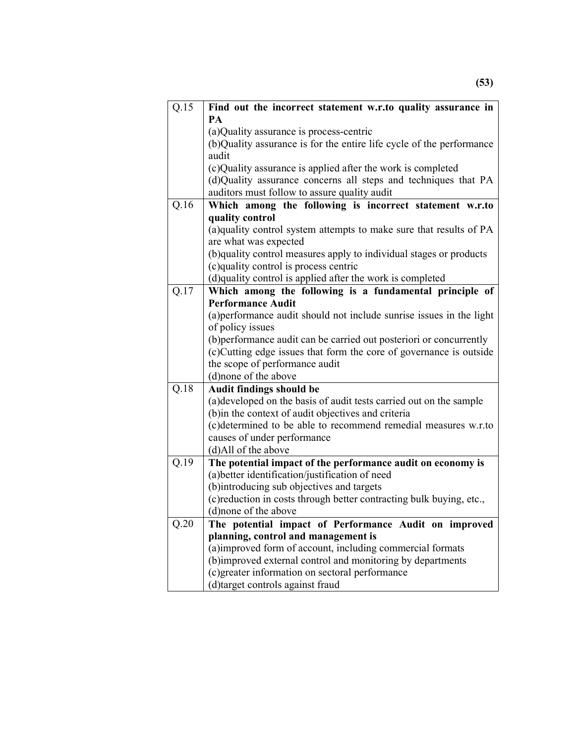| Q.15              | Find out the incorrect statement w.r.to quality assurance in                                          |  |  |
|-------------------|-------------------------------------------------------------------------------------------------------|--|--|
|                   | PА<br>(a) Quality assurance is process-centric                                                        |  |  |
|                   |                                                                                                       |  |  |
|                   | (b)Quality assurance is for the entire life cycle of the performance<br>audit                         |  |  |
|                   |                                                                                                       |  |  |
|                   | (c)Quality assurance is applied after the work is completed                                           |  |  |
|                   | (d)Quality assurance concerns all steps and techniques that PA                                        |  |  |
|                   | auditors must follow to assure quality audit                                                          |  |  |
| Q.16              | Which among the following is incorrect statement w.r.to                                               |  |  |
|                   | quality control                                                                                       |  |  |
|                   | (a)quality control system attempts to make sure that results of PA                                    |  |  |
|                   | are what was expected                                                                                 |  |  |
|                   | (b)quality control measures apply to individual stages or products                                    |  |  |
|                   | (c)quality control is process centric                                                                 |  |  |
| Q.17              | (d)quality control is applied after the work is completed                                             |  |  |
|                   | Which among the following is a fundamental principle of<br><b>Performance Audit</b>                   |  |  |
|                   | (a) performance audit should not include sunrise issues in the light                                  |  |  |
|                   | of policy issues                                                                                      |  |  |
|                   | (b) performance audit can be carried out posteriori or concurrently                                   |  |  |
|                   | (c) Cutting edge issues that form the core of governance is outside<br>the scope of performance audit |  |  |
|                   |                                                                                                       |  |  |
|                   | (d)none of the above                                                                                  |  |  |
| $\overline{Q.18}$ | <b>Audit findings should be</b>                                                                       |  |  |
|                   | (a) developed on the basis of audit tests carried out on the sample                                   |  |  |
|                   | (b) in the context of audit objectives and criteria                                                   |  |  |
|                   | (c)determined to be able to recommend remedial measures w.r.to                                        |  |  |
|                   | causes of under performance                                                                           |  |  |
|                   | (d)All of the above                                                                                   |  |  |
| Q.19              | The potential impact of the performance audit on economy is                                           |  |  |
|                   | (a) better identification/justification of need                                                       |  |  |
|                   | (b)introducing sub objectives and targets                                                             |  |  |
|                   | (c) reduction in costs through better contracting bulk buying, etc.,                                  |  |  |
|                   | (d) none of the above                                                                                 |  |  |
| Q.20              | The potential impact of Performance Audit on improved                                                 |  |  |
|                   | planning, control and management is                                                                   |  |  |
|                   | (a)improved form of account, including commercial formats                                             |  |  |
|                   | (b)improved external control and monitoring by departments                                            |  |  |
|                   | (c) greater information on sectoral performance                                                       |  |  |
|                   | (d)target controls against fraud                                                                      |  |  |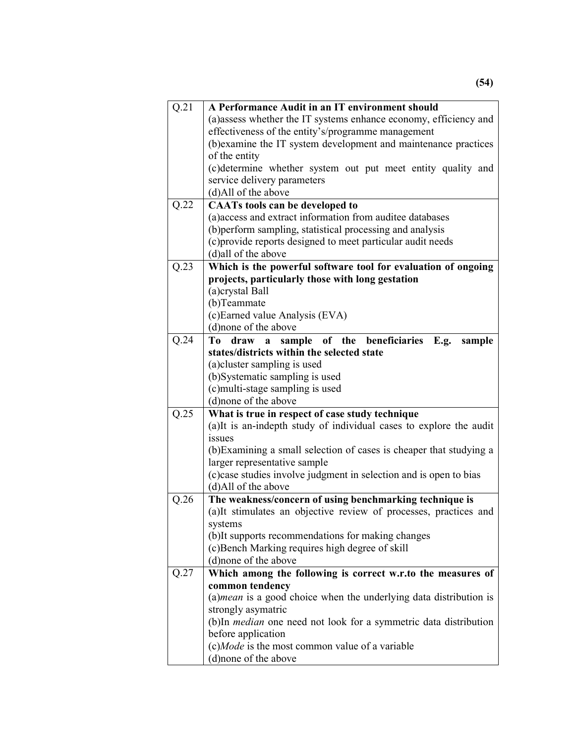| Q.21 | A Performance Audit in an IT environment should                                                                                                                                                                                                                                                                                     |  |
|------|-------------------------------------------------------------------------------------------------------------------------------------------------------------------------------------------------------------------------------------------------------------------------------------------------------------------------------------|--|
|      | (a) assess whether the IT systems enhance economy, efficiency and                                                                                                                                                                                                                                                                   |  |
|      | effectiveness of the entity's/programme management                                                                                                                                                                                                                                                                                  |  |
|      | (b) examine the IT system development and maintenance practices                                                                                                                                                                                                                                                                     |  |
|      | of the entity                                                                                                                                                                                                                                                                                                                       |  |
|      | (c)determine whether system out put meet entity quality and                                                                                                                                                                                                                                                                         |  |
|      | service delivery parameters                                                                                                                                                                                                                                                                                                         |  |
|      | (d)All of the above                                                                                                                                                                                                                                                                                                                 |  |
| Q.22 | <b>CAATs tools can be developed to</b>                                                                                                                                                                                                                                                                                              |  |
|      | (a) access and extract information from auditee databases                                                                                                                                                                                                                                                                           |  |
|      | (b) perform sampling, statistical processing and analysis                                                                                                                                                                                                                                                                           |  |
|      | (c) provide reports designed to meet particular audit needs                                                                                                                                                                                                                                                                         |  |
|      | (d) all of the above                                                                                                                                                                                                                                                                                                                |  |
| Q.23 | Which is the powerful software tool for evaluation of ongoing                                                                                                                                                                                                                                                                       |  |
|      | projects, particularly those with long gestation                                                                                                                                                                                                                                                                                    |  |
|      | (a)crystal Ball                                                                                                                                                                                                                                                                                                                     |  |
|      | (b)Teammate                                                                                                                                                                                                                                                                                                                         |  |
|      | (c) Earned value Analysis (EVA)                                                                                                                                                                                                                                                                                                     |  |
|      | (d) none of the above                                                                                                                                                                                                                                                                                                               |  |
| Q.24 | draw a sample of the beneficiaries<br>To<br>E.g.<br>sample                                                                                                                                                                                                                                                                          |  |
|      | states/districts within the selected state                                                                                                                                                                                                                                                                                          |  |
|      | (a) cluster sampling is used                                                                                                                                                                                                                                                                                                        |  |
|      | (b)Systematic sampling is used                                                                                                                                                                                                                                                                                                      |  |
|      |                                                                                                                                                                                                                                                                                                                                     |  |
|      | (c)multi-stage sampling is used<br>(d) none of the above                                                                                                                                                                                                                                                                            |  |
|      |                                                                                                                                                                                                                                                                                                                                     |  |
| Q.25 | What is true in respect of case study technique<br>(a)It is an-indepth study of individual cases to explore the audit<br>issues<br>(b) Examining a small selection of cases is cheaper that studying a<br>larger representative sample<br>(c) case studies involve judgment in selection and is open to bias<br>(d)All of the above |  |
|      |                                                                                                                                                                                                                                                                                                                                     |  |
|      |                                                                                                                                                                                                                                                                                                                                     |  |
|      |                                                                                                                                                                                                                                                                                                                                     |  |
|      |                                                                                                                                                                                                                                                                                                                                     |  |
|      |                                                                                                                                                                                                                                                                                                                                     |  |
| Q.26 |                                                                                                                                                                                                                                                                                                                                     |  |
|      | The weakness/concern of using benchmarking technique is<br>(a)It stimulates an objective review of processes, practices and                                                                                                                                                                                                         |  |
|      | systems                                                                                                                                                                                                                                                                                                                             |  |
|      | (b)It supports recommendations for making changes                                                                                                                                                                                                                                                                                   |  |
|      | (c) Bench Marking requires high degree of skill                                                                                                                                                                                                                                                                                     |  |
|      | (d) none of the above                                                                                                                                                                                                                                                                                                               |  |
| Q.27 | Which among the following is correct w.r.to the measures of                                                                                                                                                                                                                                                                         |  |
|      | common tendency                                                                                                                                                                                                                                                                                                                     |  |
|      | $(a)$ <i>mean</i> is a good choice when the underlying data distribution is                                                                                                                                                                                                                                                         |  |
|      | strongly asymatric                                                                                                                                                                                                                                                                                                                  |  |
|      | (b)In <i>median</i> one need not look for a symmetric data distribution                                                                                                                                                                                                                                                             |  |
|      | before application                                                                                                                                                                                                                                                                                                                  |  |
|      | (c)Mode is the most common value of a variable                                                                                                                                                                                                                                                                                      |  |
|      | (d) none of the above                                                                                                                                                                                                                                                                                                               |  |
|      |                                                                                                                                                                                                                                                                                                                                     |  |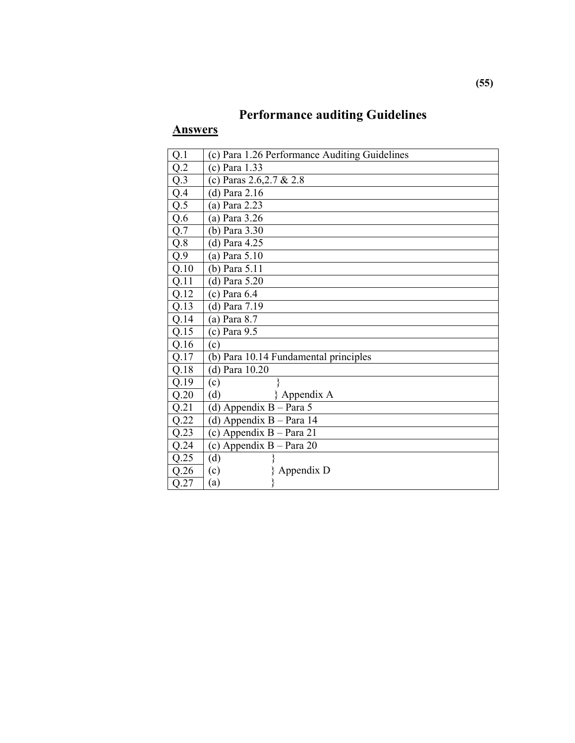# **Performance auditing Guidelines**

| Q.1  | (c) Para 1.26 Performance Auditing Guidelines |
|------|-----------------------------------------------|
| Q.2  | (c) Para 1.33                                 |
| Q.3  | (c) Paras $2.6, 2.7 \& 2.8$                   |
| Q.4  | (d) Para $2.16$                               |
| Q.5  | (a) Para 2.23                                 |
| Q.6  | (a) Para 3.26                                 |
| Q.7  | (b) Para 3.30                                 |
| Q.8  | (d) Para 4.25                                 |
| Q.9  | (a) Para $5.10$                               |
| Q.10 | (b) Para 5.11                                 |
| Q.11 | $(d)$ Para 5.20                               |
| Q.12 | $(c)$ Para $6.4$                              |
| Q.13 | (d) Para 7.19                                 |
| Q.14 | $(a)$ Para 8.7                                |
| Q.15 | $(c)$ Para 9.5                                |
| Q.16 | (c)                                           |
| Q.17 | (b) Para 10.14 Fundamental principles         |
| Q.18 | (d) Para 10.20                                |
| Q.19 | (c)                                           |
| Q.20 | (d)<br>Appendix A                             |
| Q.21 | (d) Appendix $B - Para 5$                     |
| Q.22 | (d) Appendix $B - Para$ 14                    |
| Q.23 | (c) Appendix $B - Para 21$                    |
| Q.24 | (c) Appendix $B - Para 20$                    |
| Q.25 | (d)                                           |
| Q.26 | Appendix D<br>(c)                             |
| Q.27 | (a)                                           |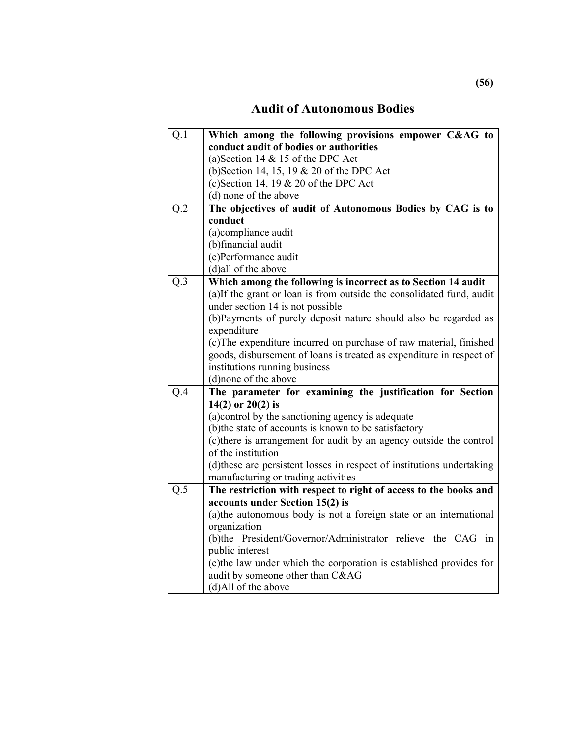### **Audit of Autonomous Bodies**

| Q.1              | Which among the following provisions empower C&AG to                   |  |
|------------------|------------------------------------------------------------------------|--|
|                  | conduct audit of bodies or authorities                                 |  |
|                  | (a) Section 14 $&$ 15 of the DPC Act                                   |  |
|                  | (b) Section 14, 15, 19 & 20 of the DPC Act                             |  |
|                  | (c) Section 14, 19 $& 20$ of the DPC Act                               |  |
|                  | (d) none of the above                                                  |  |
| Q.2              | The objectives of audit of Autonomous Bodies by CAG is to              |  |
|                  | conduct                                                                |  |
|                  | (a)compliance audit                                                    |  |
|                  | (b)financial audit                                                     |  |
|                  | (c)Performance audit                                                   |  |
|                  | (d)all of the above                                                    |  |
| Q.3              | Which among the following is incorrect as to Section 14 audit          |  |
|                  | (a)If the grant or loan is from outside the consolidated fund, audit   |  |
|                  | under section 14 is not possible                                       |  |
|                  | (b)Payments of purely deposit nature should also be regarded as        |  |
|                  | expenditure                                                            |  |
|                  | (c) The expenditure incurred on purchase of raw material, finished     |  |
|                  | goods, disbursement of loans is treated as expenditure in respect of   |  |
|                  | institutions running business                                          |  |
|                  | (d)none of the above                                                   |  |
| Q.4              | The parameter for examining the justification for Section              |  |
|                  | 14(2) or $20(2)$ is                                                    |  |
|                  | (a) control by the sanctioning agency is adequate                      |  |
|                  | (b) the state of accounts is known to be satisfactory                  |  |
|                  | (c) there is arrangement for audit by an agency outside the control    |  |
|                  | of the institution                                                     |  |
|                  | (d) these are persistent losses in respect of institutions undertaking |  |
|                  | manufacturing or trading activities                                    |  |
| $Q.\overline{5}$ | The restriction with respect to right of access to the books and       |  |
|                  | accounts under Section 15(2) is                                        |  |
|                  | (a) the autonomous body is not a foreign state or an international     |  |
|                  | organization                                                           |  |
|                  | (b)the President/Governor/Administrator relieve the CAG in             |  |
|                  | public interest                                                        |  |
|                  | (c) the law under which the corporation is established provides for    |  |
|                  | audit by someone other than C&AG                                       |  |
|                  | (d)All of the above                                                    |  |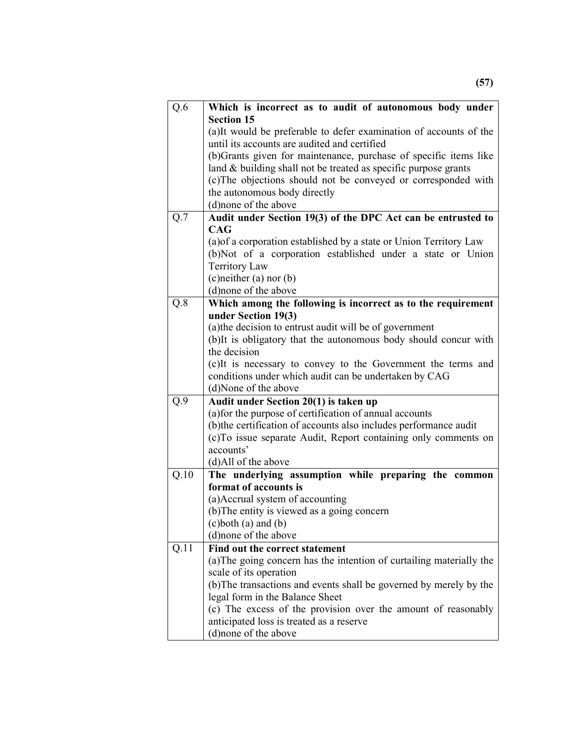| Q.6              | Which is incorrect as to audit of autonomous body under                                                                      |  |
|------------------|------------------------------------------------------------------------------------------------------------------------------|--|
|                  | <b>Section 15</b>                                                                                                            |  |
|                  | (a)It would be preferable to defer examination of accounts of the                                                            |  |
|                  | until its accounts are audited and certified                                                                                 |  |
|                  | (b)Grants given for maintenance, purchase of specific items like                                                             |  |
|                  | land $&$ building shall not be treated as specific purpose grants                                                            |  |
|                  | (c) The objections should not be conveyed or corresponded with                                                               |  |
|                  | the autonomous body directly<br>(d)none of the above                                                                         |  |
| Q.7              | Audit under Section 19(3) of the DPC Act can be entrusted to                                                                 |  |
|                  | CAG                                                                                                                          |  |
|                  | (a) of a corporation established by a state or Union Territory Law                                                           |  |
|                  | (b)Not of a corporation established under a state or Union                                                                   |  |
|                  | <b>Territory Law</b>                                                                                                         |  |
|                  | $(c)$ neither $(a)$ nor $(b)$                                                                                                |  |
|                  | (d) none of the above                                                                                                        |  |
| $Q.\overline{8}$ | Which among the following is incorrect as to the requirement                                                                 |  |
|                  | under Section 19(3)                                                                                                          |  |
|                  | (a) the decision to entrust audit will be of government                                                                      |  |
|                  | (b) It is obligatory that the autonomous body should concur with                                                             |  |
|                  | the decision                                                                                                                 |  |
|                  | (c) It is necessary to convey to the Government the terms and                                                                |  |
|                  | conditions under which audit can be undertaken by CAG                                                                        |  |
|                  | (d)None of the above                                                                                                         |  |
| Q.9              | Audit under Section 20(1) is taken up                                                                                        |  |
|                  | (a) for the purpose of certification of annual accounts<br>(b) the certification of accounts also includes performance audit |  |
|                  | (c)To issue separate Audit, Report containing only comments on                                                               |  |
|                  | accounts'                                                                                                                    |  |
|                  | (d)All of the above                                                                                                          |  |
| Q.10             | The underlying assumption while preparing the common                                                                         |  |
|                  | format of accounts is                                                                                                        |  |
|                  | (a)Accrual system of accounting                                                                                              |  |
|                  | (b) The entity is viewed as a going concern                                                                                  |  |
|                  | $(c)$ both $(a)$ and $(b)$                                                                                                   |  |
|                  | (d) none of the above                                                                                                        |  |
| Q.11             | Find out the correct statement                                                                                               |  |
|                  | (a) The going concern has the intention of curtailing materially the                                                         |  |
|                  | scale of its operation                                                                                                       |  |
|                  | (b) The transactions and events shall be governed by merely by the                                                           |  |
|                  | legal form in the Balance Sheet                                                                                              |  |
|                  | (c) The excess of the provision over the amount of reasonably                                                                |  |
|                  | anticipated loss is treated as a reserve                                                                                     |  |
|                  | (d)none of the above                                                                                                         |  |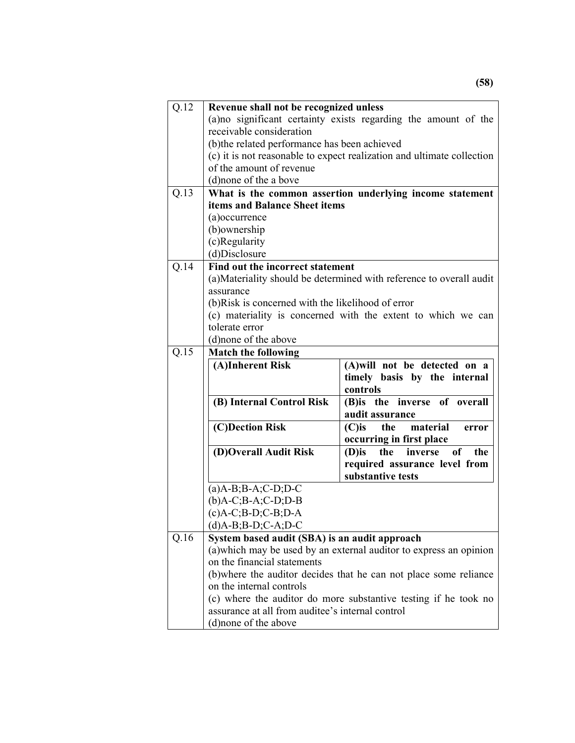| Q.12           | Revenue shall not be recognized unless                                                                            |                                                                      |
|----------------|-------------------------------------------------------------------------------------------------------------------|----------------------------------------------------------------------|
|                |                                                                                                                   | (a) no significant certainty exists regarding the amount of the      |
|                | receivable consideration<br>(b) the related performance has been achieved                                         |                                                                      |
|                |                                                                                                                   |                                                                      |
|                | (c) it is not reasonable to expect realization and ultimate collection                                            |                                                                      |
|                | of the amount of revenue                                                                                          |                                                                      |
|                | (d) none of the a bove                                                                                            |                                                                      |
| Q.13           | What is the common assertion underlying income statement                                                          |                                                                      |
|                | items and Balance Sheet items                                                                                     |                                                                      |
|                | (a) occurrence                                                                                                    |                                                                      |
|                | (b) ownership                                                                                                     |                                                                      |
|                | (c)Regularity                                                                                                     |                                                                      |
|                | (d)Disclosure                                                                                                     |                                                                      |
| Q.14           | Find out the incorrect statement                                                                                  |                                                                      |
|                |                                                                                                                   | (a) Materiality should be determined with reference to overall audit |
|                | assurance                                                                                                         |                                                                      |
|                | (b)Risk is concerned with the likelihood of error<br>(c) materiality is concerned with the extent to which we can |                                                                      |
|                |                                                                                                                   |                                                                      |
| tolerate error |                                                                                                                   |                                                                      |
|                | (d) none of the above                                                                                             |                                                                      |
| Q.15           | <b>Match the following</b>                                                                                        |                                                                      |
|                | (A)Inherent Risk                                                                                                  | (A) will not be detected on a                                        |
|                |                                                                                                                   | timely basis by the internal<br>controls                             |
|                | (B) Internal Control Risk                                                                                         | (B) is the inverse of overall                                        |
|                |                                                                                                                   | audit assurance                                                      |
|                | (C)Dection Risk                                                                                                   | material<br>$(C)$ is<br>the<br>error                                 |
|                |                                                                                                                   | occurring in first place                                             |
|                | (D)Overall Audit Risk                                                                                             | the<br>inverse<br>$(D)$ is<br><sub>of</sub><br>the                   |
|                |                                                                                                                   | required assurance level from                                        |
|                |                                                                                                                   | substantive tests                                                    |
|                | $(a)$ A-B;B-A;C-D;D-C                                                                                             |                                                                      |
|                | $(b)$ A-C;B-A;C-D;D-B                                                                                             |                                                                      |
|                | $(c)A-C$ ; $B-D$ ; $C-B$ ; $D-A$                                                                                  |                                                                      |
|                | $(d)$ A-B;B-D;C-A;D-C                                                                                             |                                                                      |
| Q.16           | System based audit (SBA) is an audit approach                                                                     |                                                                      |
|                | (a) which may be used by an external auditor to express an opinion                                                |                                                                      |
|                | on the financial statements                                                                                       |                                                                      |
|                | (b) where the auditor decides that he can not place some reliance                                                 |                                                                      |
|                | on the internal controls                                                                                          |                                                                      |
|                |                                                                                                                   |                                                                      |
|                |                                                                                                                   | (c) where the auditor do more substantive testing if he took no      |
|                | assurance at all from auditee's internal control<br>(d) none of the above                                         |                                                                      |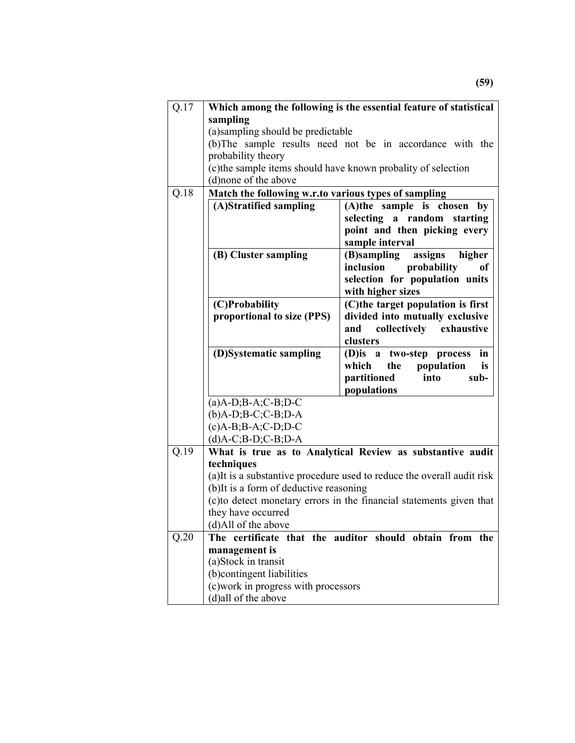| Q.17 |                                                               | Which among the following is the essential feature of statistical       |
|------|---------------------------------------------------------------|-------------------------------------------------------------------------|
|      | sampling                                                      |                                                                         |
|      | (a) sampling should be predictable                            |                                                                         |
|      |                                                               | (b) The sample results need not be in accordance with the               |
|      | probability theory                                            |                                                                         |
|      | (c) the sample items should have known probality of selection |                                                                         |
|      | (d)none of the above                                          |                                                                         |
| Q.18 | Match the following w.r.to various types of sampling          |                                                                         |
|      | (A)Stratified sampling                                        | (A)the sample is chosen by                                              |
|      |                                                               | selecting a random starting                                             |
|      |                                                               | point and then picking every                                            |
|      |                                                               | sample interval                                                         |
|      | (B) Cluster sampling                                          | assigns<br>(B)sampling<br>higher                                        |
|      |                                                               | inclusion<br>probability<br>оf                                          |
|      |                                                               | selection for population units                                          |
|      |                                                               | with higher sizes                                                       |
|      | (C)Probability                                                | (C)the target population is first                                       |
|      | proportional to size (PPS)                                    | divided into mutually exclusive                                         |
|      |                                                               | and<br>collectively<br>exhaustive<br>clusters                           |
|      | (D)Systematic sampling                                        | two-step process<br>in<br>$(D)$ is a                                    |
|      |                                                               | which<br>the<br>population<br>is                                        |
|      |                                                               | partitioned<br>into<br>sub-                                             |
|      |                                                               | populations                                                             |
|      | $(a)$ A-D;B-A;C-B;D-C                                         |                                                                         |
|      | $(b)$ A-D;B-C;C-B;D-A                                         |                                                                         |
|      | $(c)$ A-B;B-A;C-D;D-C                                         |                                                                         |
|      | $(d)$ A-C;B-D;C-B;D-A                                         |                                                                         |
| Q.19 |                                                               | What is true as to Analytical Review as substantive audit               |
|      | techniques                                                    |                                                                         |
|      |                                                               | (a) It is a substantive procedure used to reduce the overall audit risk |
|      | (b) It is a form of deductive reasoning                       |                                                                         |
|      |                                                               | (c) to detect monetary errors in the financial statements given that    |
|      | they have occurred                                            |                                                                         |
|      | (d)All of the above                                           |                                                                         |
| Q.20 |                                                               | The certificate that the auditor should obtain from the                 |
|      | management is                                                 |                                                                         |
|      | (a)Stock in transit                                           |                                                                         |
|      | (b)contingent liabilities                                     |                                                                         |
|      | (c) work in progress with processors                          |                                                                         |
|      | (d)all of the above                                           |                                                                         |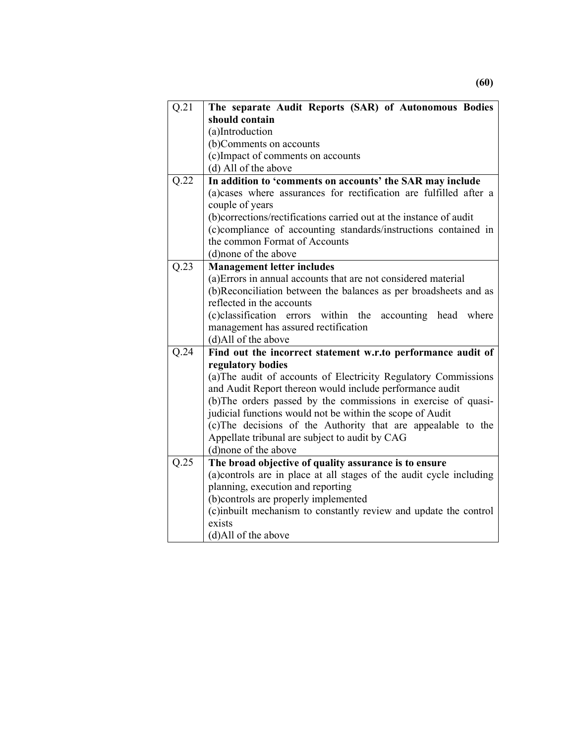| Q.21              | The separate Audit Reports (SAR) of Autonomous Bodies                |  |
|-------------------|----------------------------------------------------------------------|--|
|                   | should contain                                                       |  |
|                   | (a)Introduction                                                      |  |
|                   | (b)Comments on accounts                                              |  |
|                   | (c)Impact of comments on accounts                                    |  |
|                   | (d) All of the above                                                 |  |
| Q.22              | In addition to 'comments on accounts' the SAR may include            |  |
|                   | (a)cases where assurances for rectification are fulfilled after a    |  |
|                   | couple of years                                                      |  |
|                   | (b)corrections/rectifications carried out at the instance of audit   |  |
|                   | (c)compliance of accounting standards/instructions contained in      |  |
|                   | the common Format of Accounts                                        |  |
|                   | (d) none of the above                                                |  |
| $\overline{Q.23}$ | <b>Management letter includes</b>                                    |  |
|                   | (a) Errors in annual accounts that are not considered material       |  |
|                   | (b)Reconciliation between the balances as per broadsheets and as     |  |
|                   | reflected in the accounts                                            |  |
|                   | (c)classification errors within the<br>accounting head<br>where      |  |
|                   | management has assured rectification                                 |  |
|                   | (d)All of the above                                                  |  |
| Q.24              | Find out the incorrect statement w.r.to performance audit of         |  |
|                   | regulatory bodies                                                    |  |
|                   | (a) The audit of accounts of Electricity Regulatory Commissions      |  |
|                   | and Audit Report thereon would include performance audit             |  |
|                   | (b) The orders passed by the commissions in exercise of quasi-       |  |
|                   | judicial functions would not be within the scope of Audit            |  |
|                   | (c) The decisions of the Authority that are appealable to the        |  |
|                   | Appellate tribunal are subject to audit by CAG                       |  |
|                   | (d)none of the above                                                 |  |
| Q.25              | The broad objective of quality assurance is to ensure                |  |
|                   | (a) controls are in place at all stages of the audit cycle including |  |
|                   | planning, execution and reporting                                    |  |
|                   | (b)controls are properly implemented                                 |  |
|                   | (c)inbuilt mechanism to constantly review and update the control     |  |
|                   | exists                                                               |  |
|                   | (d)All of the above                                                  |  |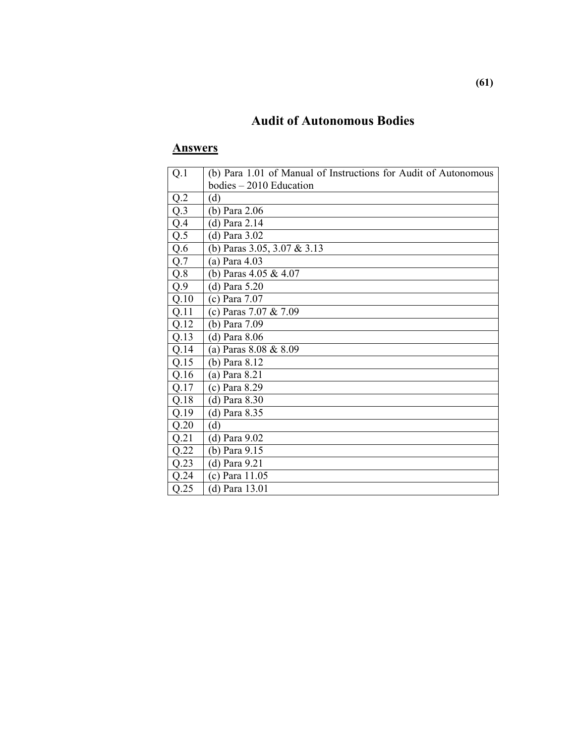## **Audit of Autonomous Bodies**

| Q.1              | (b) Para 1.01 of Manual of Instructions for Audit of Autonomous |
|------------------|-----------------------------------------------------------------|
|                  | $bodies - 2010$ Education                                       |
| Q.2              | (d)                                                             |
| Q.3              | (b) Para 2.06                                                   |
| Q.4              | (d) Para 2.14                                                   |
| $Q.\overline{5}$ | (d) Para $3.02$                                                 |
| Q.6              | (b) Paras $3.05$ , $3.07$ & $3.13$                              |
| Q.7              | (a) Para 4.03                                                   |
| Q.8              | (b) Paras $4.05 \& 4.07$                                        |
| Q.9              | (d) Para $5.20$                                                 |
| Q.10             | (c) Para $7.07$                                                 |
| Q.11             | (c) Paras $7.07 \& 7.09$                                        |
| Q.12             | (b) Para 7.09                                                   |
| Q.13             | (d) Para 8.06                                                   |
| Q.14             | (a) Paras $8.08 \& 8.09$                                        |
| Q.15             | (b) Para 8.12                                                   |
| Q.16             | (a) Para 8.21                                                   |
| Q.17             | (c) Para 8.29                                                   |
| Q.18             | (d) Para 8.30                                                   |
| Q.19             | (d) Para 8.35                                                   |
| Q.20             | (d)                                                             |
| Q.21             | (d) Para 9.02                                                   |
| Q.22             | (b) Para 9.15                                                   |
| Q.23             | (d) Para 9.21                                                   |
| Q.24             | (c) Para 11.05                                                  |
| Q.25             | (d) Para 13.01                                                  |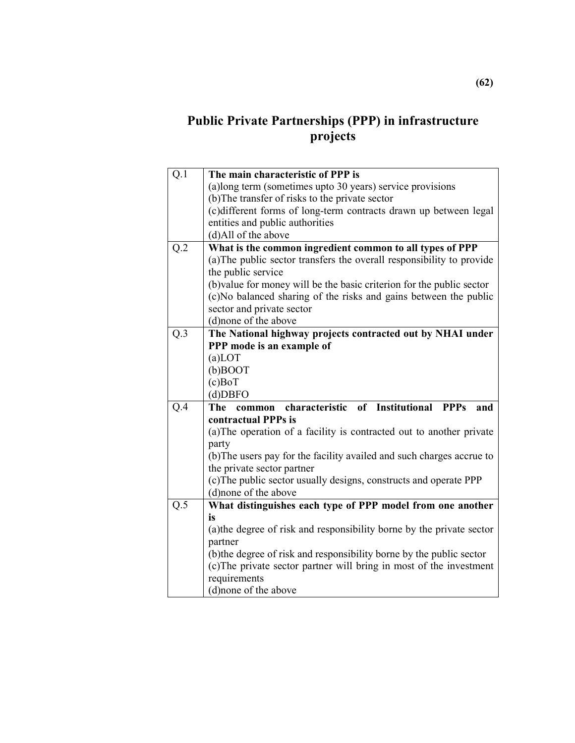### **Public Private Partnerships (PPP) in infrastructure projects**

| Q.1              | The main characteristic of PPP is                                     |
|------------------|-----------------------------------------------------------------------|
|                  | (a)long term (sometimes upto 30 years) service provisions             |
|                  | (b) The transfer of risks to the private sector                       |
|                  | (c)different forms of long-term contracts drawn up between legal      |
|                  | entities and public authorities                                       |
|                  | (d)All of the above                                                   |
| $Q.\overline{2}$ | What is the common ingredient common to all types of PPP              |
|                  | (a) The public sector transfers the overall responsibility to provide |
|                  | the public service                                                    |
|                  | (b) value for money will be the basic criterion for the public sector |
|                  | (c)No balanced sharing of the risks and gains between the public      |
|                  | sector and private sector                                             |
|                  | (d)none of the above                                                  |
| Q.3              | The National highway projects contracted out by NHAI under            |
|                  | PPP mode is an example of                                             |
|                  | $(a)$ LOT                                                             |
|                  | $(b)$ BOOT                                                            |
|                  | $(c)$ BoT                                                             |
|                  | $(d)$ DBFO                                                            |
| Q.4              | characteristic of Institutional PPPs<br>The<br>and<br>common          |
|                  | contractual PPPs is                                                   |
|                  | (a) The operation of a facility is contracted out to another private  |
|                  | party                                                                 |
|                  | (b) The users pay for the facility availed and such charges accrue to |
|                  | the private sector partner                                            |
|                  | (c) The public sector usually designs, constructs and operate PPP     |
|                  | (d)none of the above                                                  |
| Q.5              | What distinguishes each type of PPP model from one another            |
|                  | is                                                                    |
|                  | (a) the degree of risk and responsibility borne by the private sector |
|                  | partner                                                               |
|                  | (b) the degree of risk and responsibility borne by the public sector  |
|                  | (c) The private sector partner will bring in most of the investment   |
|                  | requirements                                                          |
|                  | (d) none of the above                                                 |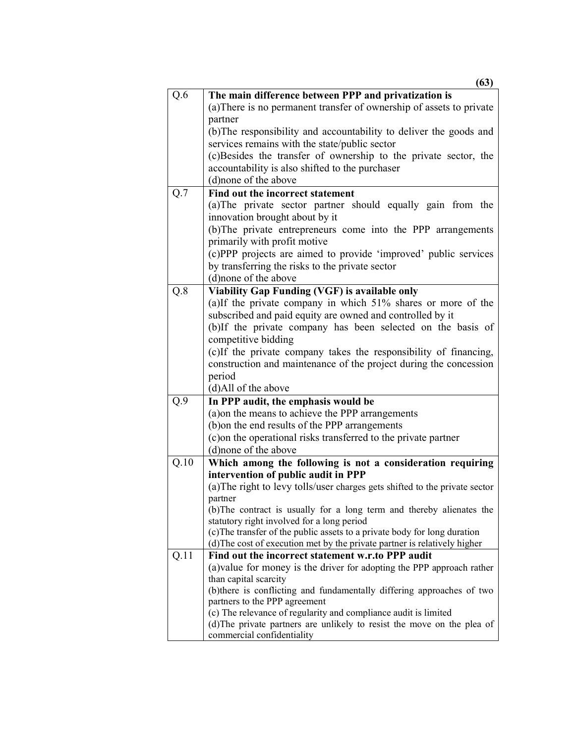|      | ιvν,                                                                                                    |
|------|---------------------------------------------------------------------------------------------------------|
| Q.6  | The main difference between PPP and privatization is                                                    |
|      | (a) There is no permanent transfer of ownership of assets to private                                    |
|      | partner                                                                                                 |
|      | (b) The responsibility and accountability to deliver the goods and                                      |
|      | services remains with the state/public sector                                                           |
|      | (c)Besides the transfer of ownership to the private sector, the                                         |
|      | accountability is also shifted to the purchaser                                                         |
|      | (d) none of the above                                                                                   |
| Q.7  | Find out the incorrect statement                                                                        |
|      | (a) The private sector partner should equally gain from the                                             |
|      | innovation brought about by it                                                                          |
|      | (b) The private entrepreneurs come into the PPP arrangements                                            |
|      | primarily with profit motive                                                                            |
|      | (c)PPP projects are aimed to provide 'improved' public services                                         |
|      | by transferring the risks to the private sector                                                         |
|      | (d) none of the above                                                                                   |
| Q.8  | Viability Gap Funding (VGF) is available only                                                           |
|      | (a)If the private company in which 51% shares or more of the                                            |
|      | subscribed and paid equity are owned and controlled by it                                               |
|      | (b)If the private company has been selected on the basis of                                             |
|      | competitive bidding                                                                                     |
|      | (c)If the private company takes the responsibility of financing,                                        |
|      | construction and maintenance of the project during the concession                                       |
|      | period                                                                                                  |
| Q.9  | (d)All of the above<br>In PPP audit, the emphasis would be                                              |
|      | (a) on the means to achieve the PPP arrangements                                                        |
|      | (b) on the end results of the PPP arrangements                                                          |
|      | (c) on the operational risks transferred to the private partner                                         |
|      | (d)none of the above                                                                                    |
| Q.10 | Which among the following is not a consideration requiring                                              |
|      | intervention of public audit in PPP                                                                     |
|      | (a) The right to levy tolls/user charges gets shifted to the private sector                             |
|      | partner                                                                                                 |
|      | (b) The contract is usually for a long term and thereby alienates the                                   |
|      | statutory right involved for a long period                                                              |
|      | (c) The transfer of the public assets to a private body for long duration                               |
|      | (d) The cost of execution met by the private partner is relatively higher                               |
| Q.11 | Find out the incorrect statement w.r.to PPP audit                                                       |
|      | (a) value for money is the driver for adopting the PPP approach rather                                  |
|      | than capital scarcity                                                                                   |
|      | (b) there is conflicting and fundamentally differing approaches of two<br>partners to the PPP agreement |
|      | (c) The relevance of regularity and compliance audit is limited                                         |
|      | (d) The private partners are unlikely to resist the move on the plea of                                 |
|      | commercial confidentiality                                                                              |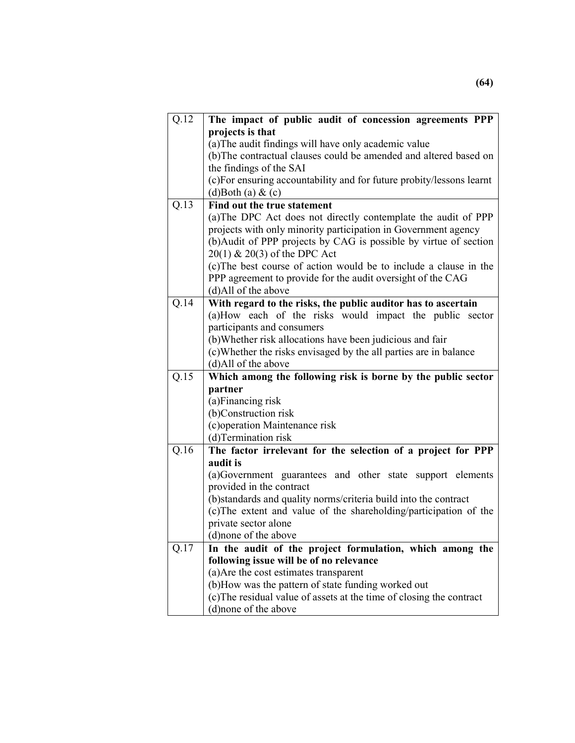| Q.12 | The impact of public audit of concession agreements PPP               |
|------|-----------------------------------------------------------------------|
|      | projects is that                                                      |
|      | (a) The audit findings will have only academic value                  |
|      | (b) The contractual clauses could be amended and altered based on     |
|      | the findings of the SAI                                               |
|      | (c) For ensuring accountability and for future probity/lessons learnt |
|      | $(d)$ Both $(a)$ & $(c)$                                              |
| Q.13 | Find out the true statement                                           |
|      | (a) The DPC Act does not directly contemplate the audit of PPP        |
|      | projects with only minority participation in Government agency        |
|      | (b) Audit of PPP projects by CAG is possible by virtue of section     |
|      | $20(1)$ & $20(3)$ of the DPC Act                                      |
|      | (c) The best course of action would be to include a clause in the     |
|      | PPP agreement to provide for the audit oversight of the CAG           |
|      | (d)All of the above                                                   |
| Q.14 | With regard to the risks, the public auditor has to ascertain         |
|      | (a)How each of the risks would impact the public sector               |
|      | participants and consumers                                            |
|      | (b) Whether risk allocations have been judicious and fair             |
|      | (c) Whether the risks envisaged by the all parties are in balance     |
|      | (d)All of the above                                                   |
| Q.15 | Which among the following risk is borne by the public sector          |
|      | partner                                                               |
|      | (a)Financing risk                                                     |
|      | (b)Construction risk                                                  |
|      | (c) operation Maintenance risk                                        |
|      | (d)Termination risk                                                   |
| Q.16 | The factor irrelevant for the selection of a project for PPP          |
|      | audit is                                                              |
|      | (a)Government guarantees and other state support elements             |
|      | provided in the contract                                              |
|      | (b) standards and quality norms/criteria build into the contract      |
|      | (c) The extent and value of the shareholding/participation of the     |
|      | private sector alone                                                  |
|      | (d) none of the above                                                 |
| Q.17 | In the audit of the project formulation, which among the              |
|      | following issue will be of no relevance                               |
|      | (a) Are the cost estimates transparent                                |
|      | (b)How was the pattern of state funding worked out                    |
|      | (c) The residual value of assets at the time of closing the contract  |
|      | (d)none of the above                                                  |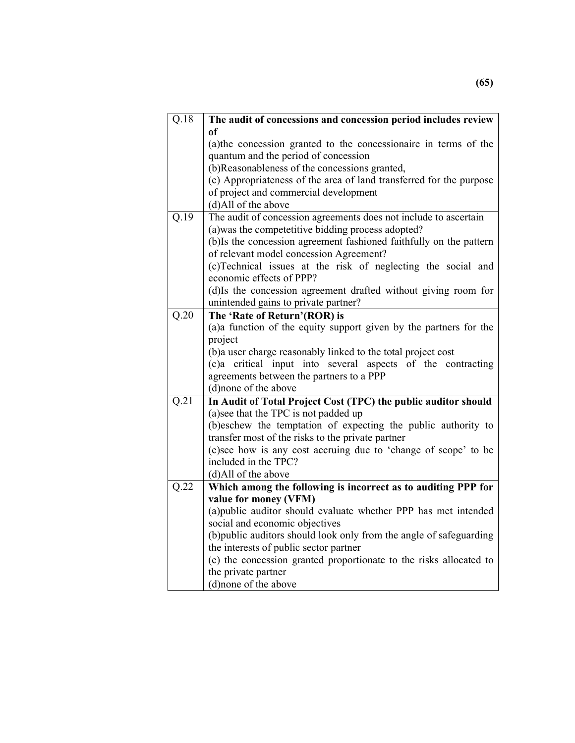| Q.18              | The audit of concessions and concession period includes review      |
|-------------------|---------------------------------------------------------------------|
|                   | of                                                                  |
|                   | (a) the concession granted to the concessionaire in terms of the    |
|                   | quantum and the period of concession                                |
|                   | (b)Reasonableness of the concessions granted,                       |
|                   | (c) Appropriateness of the area of land transferred for the purpose |
|                   | of project and commercial development                               |
|                   | (d)All of the above                                                 |
| $\overline{Q.19}$ | The audit of concession agreements does not include to ascertain    |
|                   | (a) was the competetitive bidding process adopted?                  |
|                   | (b)Is the concession agreement fashioned faithfully on the pattern  |
|                   | of relevant model concession Agreement?                             |
|                   | (c)Technical issues at the risk of neglecting the social and        |
|                   | economic effects of PPP?                                            |
|                   | (d)Is the concession agreement drafted without giving room for      |
|                   | unintended gains to private partner?                                |
| $\overline{Q.20}$ | The 'Rate of Return'(ROR) is                                        |
|                   | (a)a function of the equity support given by the partners for the   |
|                   | project                                                             |
|                   | (b)a user charge reasonably linked to the total project cost        |
|                   | (c)a critical input into several aspects of the contracting         |
|                   | agreements between the partners to a PPP                            |
|                   | (d) none of the above                                               |
| Q.21              | In Audit of Total Project Cost (TPC) the public auditor should      |
|                   | (a) see that the TPC is not padded up                               |
|                   | (b)eschew the temptation of expecting the public authority to       |
|                   | transfer most of the risks to the private partner                   |
|                   | (c)see how is any cost accruing due to 'change of scope' to be      |
|                   | included in the TPC?                                                |
|                   | (d)All of the above                                                 |
| Q.22              | Which among the following is incorrect as to auditing PPP for       |
|                   | value for money (VFM)                                               |
|                   | (a)public auditor should evaluate whether PPP has met intended      |
|                   | social and economic objectives                                      |
|                   | (b)public auditors should look only from the angle of safeguarding  |
|                   | the interests of public sector partner                              |
|                   | (c) the concession granted proportionate to the risks allocated to  |
|                   | the private partner                                                 |
|                   | (d)none of the above                                                |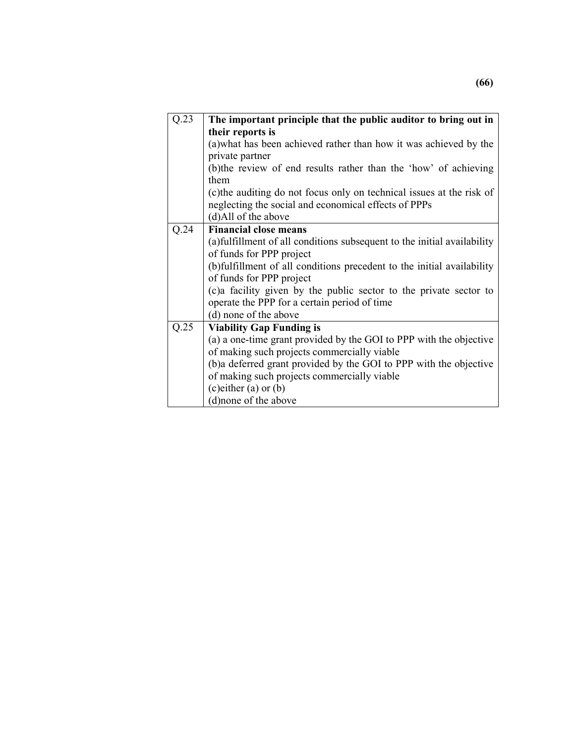| Q.23 | The important principle that the public auditor to bring out in          |
|------|--------------------------------------------------------------------------|
|      | their reports is                                                         |
|      | (a) what has been achieved rather than how it was achieved by the        |
|      | private partner                                                          |
|      | (b) the review of end results rather than the 'how' of achieving         |
|      | them                                                                     |
|      | (c) the auditing do not focus only on technical issues at the risk of    |
|      | neglecting the social and economical effects of PPPs                     |
|      | (d)All of the above                                                      |
| Q.24 | <b>Financial close means</b>                                             |
|      | (a) fulfillment of all conditions subsequent to the initial availability |
|      | of funds for PPP project                                                 |
|      | (b)fulfillment of all conditions precedent to the initial availability   |
|      | of funds for PPP project                                                 |
|      | (c) a facility given by the public sector to the private sector to       |
|      | operate the PPP for a certain period of time                             |
|      | (d) none of the above                                                    |
| Q.25 | <b>Viability Gap Funding is</b>                                          |
|      | (a) a one-time grant provided by the GOI to PPP with the objective       |
|      | of making such projects commercially viable                              |
|      | (b)a deferred grant provided by the GOI to PPP with the objective        |
|      | of making such projects commercially viable                              |
|      | $(c)$ either $(a)$ or $(b)$                                              |
|      | (d) none of the above                                                    |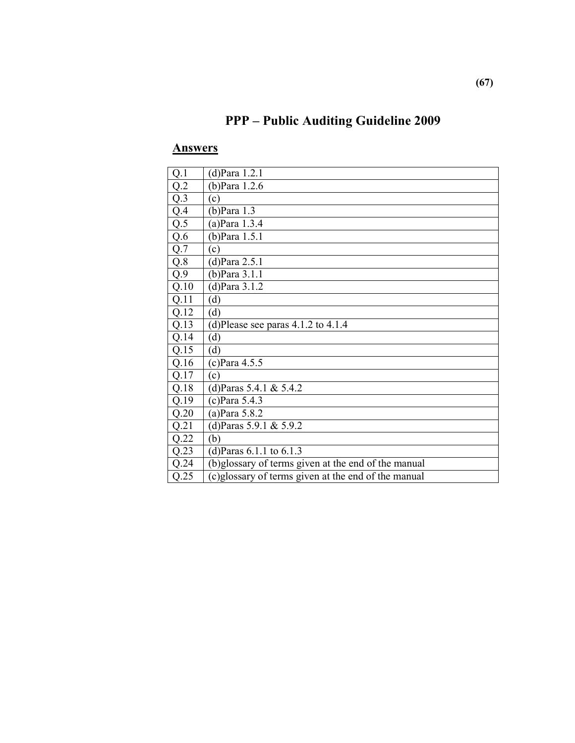## **PPP – Public Auditing Guideline 2009**

| Q.1  | $(d)$ Para 1.2.1                                    |
|------|-----------------------------------------------------|
| Q.2  | $(b)$ Para 1.2.6                                    |
| Q.3  | (c)                                                 |
| Q.4  | $(b)$ Para 1.3                                      |
| Q.5  | $(a)$ Para 1.3.4                                    |
| Q.6  | (b) Para 1.5.1                                      |
| Q.7  | (c)                                                 |
| Q.8  | $(d)$ Para 2.5.1                                    |
| Q.9  | $(b)$ Para 3.1.1                                    |
| Q.10 | $(d)$ Para 3.1.2                                    |
| Q.11 | (d)                                                 |
| Q.12 | (d)                                                 |
| Q.13 | (d)Please see paras $4.1.2$ to $4.1.4$              |
| Q.14 | (d)                                                 |
| Q.15 | (d)                                                 |
| Q.16 | $(c)$ Para 4.5.5                                    |
| Q.17 | (c)                                                 |
| Q.18 | (d)Paras 5.4.1 & 5.4.2                              |
| Q.19 | $(c)$ Para 5.4.3                                    |
| Q.20 | $(a)$ Para 5.8.2                                    |
| Q.21 | (d)Paras 5.9.1 & 5.9.2                              |
| Q.22 | (b)                                                 |
| Q.23 | (d) Paras $6.1.1$ to $6.1.3$                        |
| Q.24 | (b)glossary of terms given at the end of the manual |
| Q.25 | (c)glossary of terms given at the end of the manual |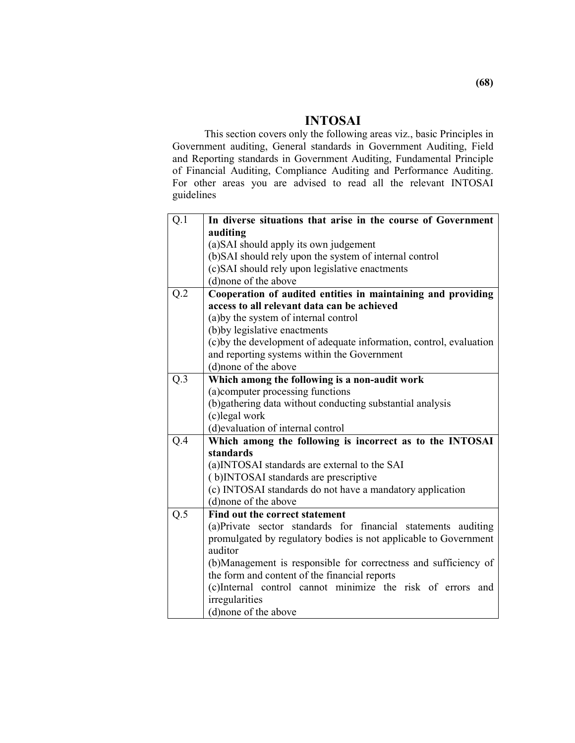### **INTOSAI**

 This section covers only the following areas viz., basic Principles in Government auditing, General standards in Government Auditing, Field and Reporting standards in Government Auditing, Fundamental Principle of Financial Auditing, Compliance Auditing and Performance Auditing. For other areas you are advised to read all the relevant INTOSAI guidelines

| Q.1 | In diverse situations that arise in the course of Government        |
|-----|---------------------------------------------------------------------|
|     | auditing                                                            |
|     | (a) SAI should apply its own judgement                              |
|     | (b) SAI should rely upon the system of internal control             |
|     | (c)SAI should rely upon legislative enactments                      |
|     | (d) none of the above                                               |
| Q.2 | Cooperation of audited entities in maintaining and providing        |
|     | access to all relevant data can be achieved                         |
|     | (a) by the system of internal control                               |
|     | (b)by legislative enactments                                        |
|     | (c) by the development of adequate information, control, evaluation |
|     | and reporting systems within the Government                         |
|     | (d) none of the above                                               |
| Q.3 | Which among the following is a non-audit work                       |
|     | (a) computer processing functions                                   |
|     | (b) gathering data without conducting substantial analysis          |
|     | (c)legal work                                                       |
|     | (d) evaluation of internal control                                  |
| Q.4 | Which among the following is incorrect as to the INTOSAI            |
|     | standards                                                           |
|     | (a)INTOSAI standards are external to the SAI                        |
|     | (b)INTOSAI standards are prescriptive                               |
|     | (c) INTOSAI standards do not have a mandatory application           |
|     | (d)none of the above                                                |
| Q.5 | Find out the correct statement                                      |
|     | (a)Private sector standards for financial statements auditing       |
|     | promulgated by regulatory bodies is not applicable to Government    |
|     | auditor                                                             |
|     | (b) Management is responsible for correctness and sufficiency of    |
|     | the form and content of the financial reports                       |
|     | (c)Internal control cannot minimize the risk of errors and          |
|     | irregularities                                                      |
|     | (d) none of the above                                               |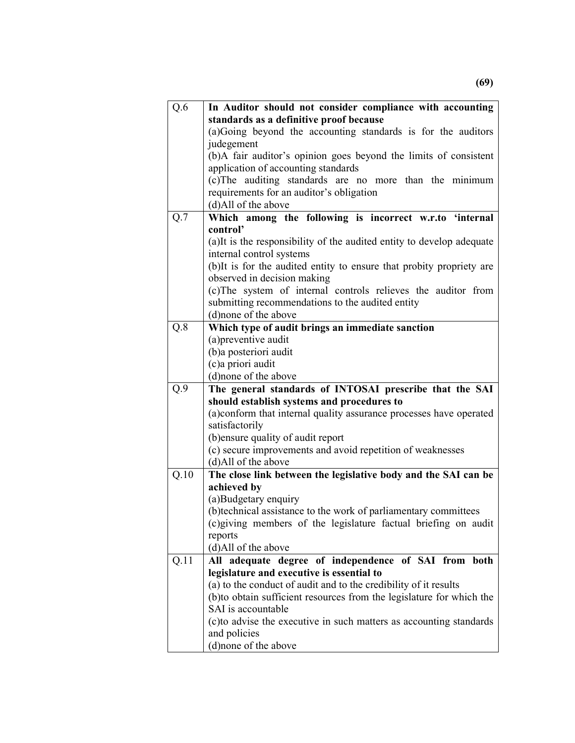| standards as a definitive proof because<br>(a)Going beyond the accounting standards is for the auditors<br>judegement<br>(b)A fair auditor's opinion goes beyond the limits of consistent<br>application of accounting standards<br>(c) The auditing standards are no more than the minimum<br>requirements for an auditor's obligation<br>(d)All of the above<br>Which among the following is incorrect w.r.to 'internal<br>Q.7<br>control' |
|----------------------------------------------------------------------------------------------------------------------------------------------------------------------------------------------------------------------------------------------------------------------------------------------------------------------------------------------------------------------------------------------------------------------------------------------|
|                                                                                                                                                                                                                                                                                                                                                                                                                                              |
|                                                                                                                                                                                                                                                                                                                                                                                                                                              |
|                                                                                                                                                                                                                                                                                                                                                                                                                                              |
|                                                                                                                                                                                                                                                                                                                                                                                                                                              |
|                                                                                                                                                                                                                                                                                                                                                                                                                                              |
|                                                                                                                                                                                                                                                                                                                                                                                                                                              |
|                                                                                                                                                                                                                                                                                                                                                                                                                                              |
|                                                                                                                                                                                                                                                                                                                                                                                                                                              |
|                                                                                                                                                                                                                                                                                                                                                                                                                                              |
|                                                                                                                                                                                                                                                                                                                                                                                                                                              |
| (a) It is the responsibility of the audited entity to develop adequate                                                                                                                                                                                                                                                                                                                                                                       |
| internal control systems                                                                                                                                                                                                                                                                                                                                                                                                                     |
| (b)It is for the audited entity to ensure that probity propriety are                                                                                                                                                                                                                                                                                                                                                                         |
| observed in decision making                                                                                                                                                                                                                                                                                                                                                                                                                  |
| (c)The system of internal controls relieves the auditor from                                                                                                                                                                                                                                                                                                                                                                                 |
| submitting recommendations to the audited entity                                                                                                                                                                                                                                                                                                                                                                                             |
| (d)none of the above                                                                                                                                                                                                                                                                                                                                                                                                                         |
| Q.8<br>Which type of audit brings an immediate sanction                                                                                                                                                                                                                                                                                                                                                                                      |
| (a) preventive audit                                                                                                                                                                                                                                                                                                                                                                                                                         |
| (b)a posteriori audit                                                                                                                                                                                                                                                                                                                                                                                                                        |
| (c)a priori audit                                                                                                                                                                                                                                                                                                                                                                                                                            |
| (d) none of the above                                                                                                                                                                                                                                                                                                                                                                                                                        |
| Q.9<br>The general standards of INTOSAI prescribe that the SAI                                                                                                                                                                                                                                                                                                                                                                               |
| should establish systems and procedures to                                                                                                                                                                                                                                                                                                                                                                                                   |
| (a)conform that internal quality assurance processes have operated                                                                                                                                                                                                                                                                                                                                                                           |
| satisfactorily                                                                                                                                                                                                                                                                                                                                                                                                                               |
| (b) ensure quality of audit report                                                                                                                                                                                                                                                                                                                                                                                                           |
| (c) secure improvements and avoid repetition of weaknesses                                                                                                                                                                                                                                                                                                                                                                                   |
| (d)All of the above                                                                                                                                                                                                                                                                                                                                                                                                                          |
| Q.10<br>The close link between the legislative body and the SAI can be<br>achieved by                                                                                                                                                                                                                                                                                                                                                        |
| (a)Budgetary enquiry                                                                                                                                                                                                                                                                                                                                                                                                                         |
| (b)technical assistance to the work of parliamentary committees                                                                                                                                                                                                                                                                                                                                                                              |
| (c)giving members of the legislature factual briefing on audit                                                                                                                                                                                                                                                                                                                                                                               |
| reports                                                                                                                                                                                                                                                                                                                                                                                                                                      |
| (d)All of the above                                                                                                                                                                                                                                                                                                                                                                                                                          |
| Q.11<br>All adequate degree of independence of SAI from both                                                                                                                                                                                                                                                                                                                                                                                 |
| legislature and executive is essential to                                                                                                                                                                                                                                                                                                                                                                                                    |
| (a) to the conduct of audit and to the credibility of it results                                                                                                                                                                                                                                                                                                                                                                             |
| (b)to obtain sufficient resources from the legislature for which the                                                                                                                                                                                                                                                                                                                                                                         |
| SAI is accountable                                                                                                                                                                                                                                                                                                                                                                                                                           |
| (c) to advise the executive in such matters as accounting standards                                                                                                                                                                                                                                                                                                                                                                          |
| and policies                                                                                                                                                                                                                                                                                                                                                                                                                                 |
| (d) none of the above                                                                                                                                                                                                                                                                                                                                                                                                                        |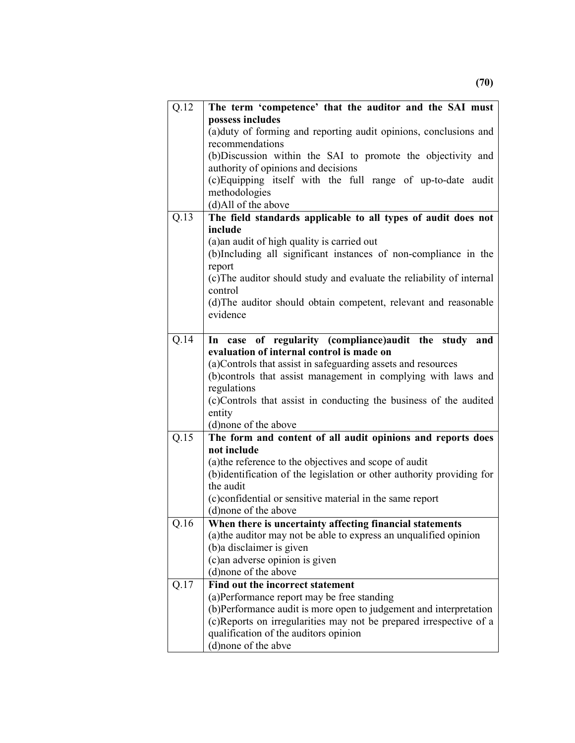| Q.12 | The term 'competence' that the auditor and the SAI must                                                        |
|------|----------------------------------------------------------------------------------------------------------------|
|      | possess includes                                                                                               |
|      | (a) duty of forming and reporting audit opinions, conclusions and                                              |
|      | recommendations                                                                                                |
|      | (b)Discussion within the SAI to promote the objectivity and                                                    |
|      | authority of opinions and decisions                                                                            |
|      | (c) Equipping itself with the full range of up-to-date audit                                                   |
|      | methodologies                                                                                                  |
|      | (d)All of the above                                                                                            |
| Q.13 | The field standards applicable to all types of audit does not                                                  |
|      | include                                                                                                        |
|      | (a) an audit of high quality is carried out<br>(b)Including all significant instances of non-compliance in the |
|      | report                                                                                                         |
|      | (c) The auditor should study and evaluate the reliability of internal                                          |
|      | control                                                                                                        |
|      | (d) The auditor should obtain competent, relevant and reasonable                                               |
|      | evidence                                                                                                       |
|      |                                                                                                                |
| Q.14 | In case of regularity (compliance) audit the study and                                                         |
|      | evaluation of internal control is made on                                                                      |
|      | (a) Controls that assist in safeguarding assets and resources                                                  |
|      | (b)controls that assist management in complying with laws and                                                  |
|      | regulations                                                                                                    |
|      | (c)Controls that assist in conducting the business of the audited                                              |
|      | entity                                                                                                         |
|      | (d)none of the above                                                                                           |
| Q.15 | The form and content of all audit opinions and reports does                                                    |
|      | not include                                                                                                    |
|      | (a) the reference to the objectives and scope of audit                                                         |
|      | (b) identification of the legislation or other authority providing for                                         |
|      | the audit                                                                                                      |
|      | (c)confidential or sensitive material in the same report<br>(d)none of the above                               |
| Q.16 | When there is uncertainty affecting financial statements                                                       |
|      | (a) the auditor may not be able to express an unqualified opinion                                              |
|      | (b) a disclaimer is given                                                                                      |
|      | (c) an adverse opinion is given                                                                                |
|      | (d) none of the above                                                                                          |
| Q.17 | Find out the incorrect statement                                                                               |
|      | (a)Performance report may be free standing                                                                     |
|      | (b)Performance audit is more open to judgement and interpretation                                              |
|      | (c)Reports on irregularities may not be prepared irrespective of a                                             |
|      | qualification of the auditors opinion                                                                          |
|      | (d)none of the abve                                                                                            |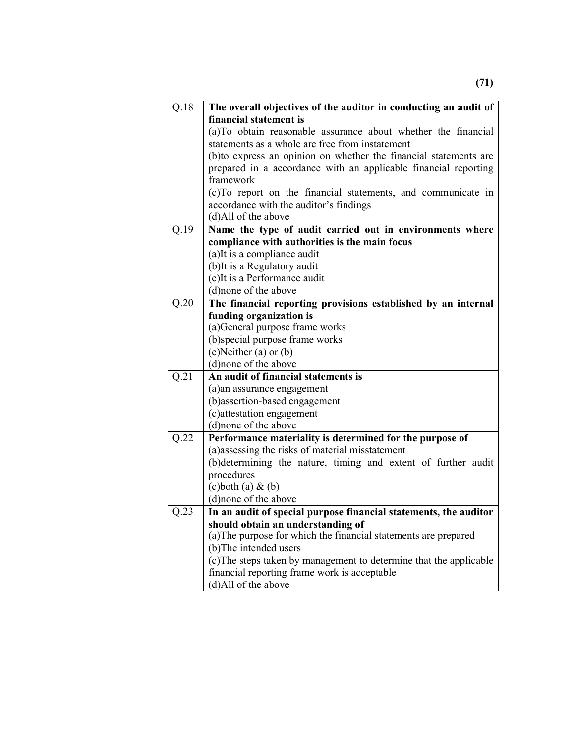| Q.18              | The overall objectives of the auditor in conducting an audit of                                      |  |  |
|-------------------|------------------------------------------------------------------------------------------------------|--|--|
|                   | financial statement is                                                                               |  |  |
|                   | (a)To obtain reasonable assurance about whether the financial                                        |  |  |
|                   | statements as a whole are free from instatement                                                      |  |  |
|                   | (b) to express an opinion on whether the financial statements are                                    |  |  |
|                   | prepared in a accordance with an applicable financial reporting                                      |  |  |
|                   | framework                                                                                            |  |  |
|                   | (c)To report on the financial statements, and communicate in                                         |  |  |
|                   | accordance with the auditor's findings                                                               |  |  |
|                   | (d)All of the above                                                                                  |  |  |
| $\overline{Q.19}$ | Name the type of audit carried out in environments where                                             |  |  |
|                   | compliance with authorities is the main focus                                                        |  |  |
|                   | (a) It is a compliance audit                                                                         |  |  |
|                   | (b) It is a Regulatory audit                                                                         |  |  |
|                   | (c)It is a Performance audit                                                                         |  |  |
|                   | (d)none of the above                                                                                 |  |  |
| Q.20              | The financial reporting provisions established by an internal                                        |  |  |
|                   | funding organization is                                                                              |  |  |
|                   | (a) General purpose frame works                                                                      |  |  |
|                   | (b)special purpose frame works                                                                       |  |  |
|                   | $(c)$ Neither $(a)$ or $(b)$                                                                         |  |  |
|                   | (d)none of the above                                                                                 |  |  |
| $\overline{Q.21}$ | An audit of financial statements is                                                                  |  |  |
|                   | (a)an assurance engagement                                                                           |  |  |
|                   | (b) assertion-based engagement                                                                       |  |  |
|                   | (c) attestation engagement                                                                           |  |  |
|                   | (d)none of the above                                                                                 |  |  |
| Q.22              | Performance materiality is determined for the purpose of                                             |  |  |
|                   | (a)assessing the risks of material misstatement                                                      |  |  |
|                   | (b)determining the nature, timing and extent of further audit                                        |  |  |
|                   | procedures                                                                                           |  |  |
|                   | $(c)$ both $(a)$ & $(b)$                                                                             |  |  |
| Q.23              | (d)none of the above                                                                                 |  |  |
|                   | In an audit of special purpose financial statements, the auditor                                     |  |  |
|                   | should obtain an understanding of<br>(a) The purpose for which the financial statements are prepared |  |  |
|                   |                                                                                                      |  |  |
|                   | (b) The intended users<br>(c) The steps taken by management to determine that the applicable         |  |  |
|                   | financial reporting frame work is acceptable                                                         |  |  |
|                   | (d)All of the above                                                                                  |  |  |
|                   |                                                                                                      |  |  |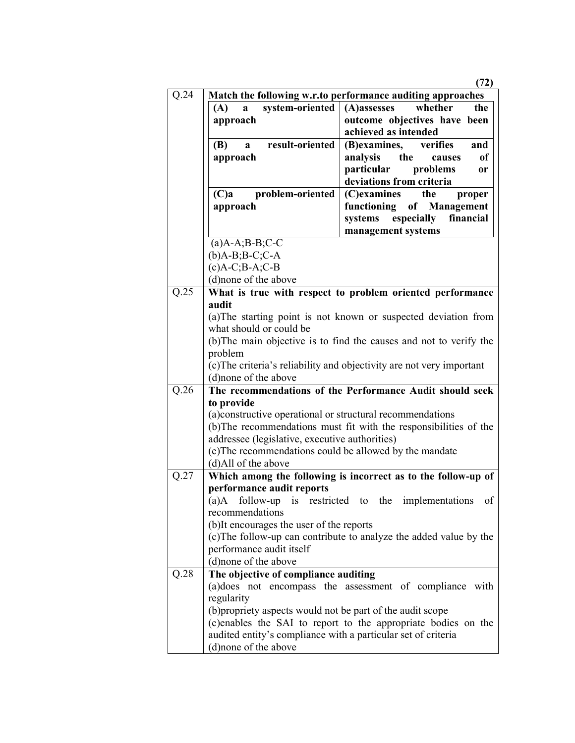|      |                                                               | (72)                                                                  |
|------|---------------------------------------------------------------|-----------------------------------------------------------------------|
| Q.24 |                                                               | Match the following w.r.to performance auditing approaches            |
|      | system-oriented<br>(A)<br>a                                   | whether<br>(A)assesses<br>the                                         |
|      | approach                                                      | outcome objectives have been                                          |
|      |                                                               | achieved as intended                                                  |
|      | result-oriented<br><b>(B)</b><br>a                            | (B)examines,<br>verifies<br>and                                       |
|      | approach                                                      | the<br>analysis<br>of<br>causes                                       |
|      |                                                               | particular<br>problems<br>0r                                          |
|      |                                                               | deviations from criteria                                              |
|      | problem-oriented<br>(C)a                                      | (C)examines<br>the<br>proper                                          |
|      | approach                                                      | functioning of Management                                             |
|      |                                                               | especially<br>financial<br>systems                                    |
|      |                                                               | management systems                                                    |
|      | $(a)$ A-A;B-B;C-C                                             |                                                                       |
|      | $(b)$ A-B;B-C;C-A                                             |                                                                       |
|      | $(c)A-C$ ; $B-A$ ; $C-B$                                      |                                                                       |
|      | (d)none of the above                                          |                                                                       |
| Q.25 |                                                               | What is true with respect to problem oriented performance             |
|      | audit                                                         |                                                                       |
|      |                                                               | (a) The starting point is not known or suspected deviation from       |
|      | what should or could be                                       |                                                                       |
|      |                                                               | (b) The main objective is to find the causes and not to verify the    |
|      | problem                                                       |                                                                       |
|      |                                                               | (c) The criteria's reliability and objectivity are not very important |
|      | (d)none of the above                                          |                                                                       |
| Q.26 |                                                               | The recommendations of the Performance Audit should seek              |
|      | to provide                                                    |                                                                       |
|      | (a) constructive operational or structural recommendations    |                                                                       |
|      |                                                               | (b) The recommendations must fit with the responsibilities of the     |
|      | addressee (legislative, executive authorities)                |                                                                       |
|      | (c) The recommendations could be allowed by the mandate       |                                                                       |
|      | (d)All of the above                                           |                                                                       |
| Q.27 |                                                               | Which among the following is incorrect as to the follow-up of         |
|      | performance audit reports                                     |                                                                       |
|      | $(a)$ A follow-up is                                          | restricted to the implementations<br>οf                               |
|      | recommendations                                               |                                                                       |
|      | (b)It encourages the user of the reports                      |                                                                       |
|      |                                                               | (c) The follow-up can contribute to analyze the added value by the    |
|      | performance audit itself                                      |                                                                       |
|      | (d) none of the above                                         |                                                                       |
| Q.28 | The objective of compliance auditing                          |                                                                       |
|      |                                                               | (a) does not encompass the assessment of compliance with              |
|      | regularity                                                    |                                                                       |
|      | (b) propriety aspects would not be part of the audit scope    |                                                                       |
|      |                                                               | (c)enables the SAI to report to the appropriate bodies on the         |
|      | audited entity's compliance with a particular set of criteria |                                                                       |
|      | (d) none of the above                                         |                                                                       |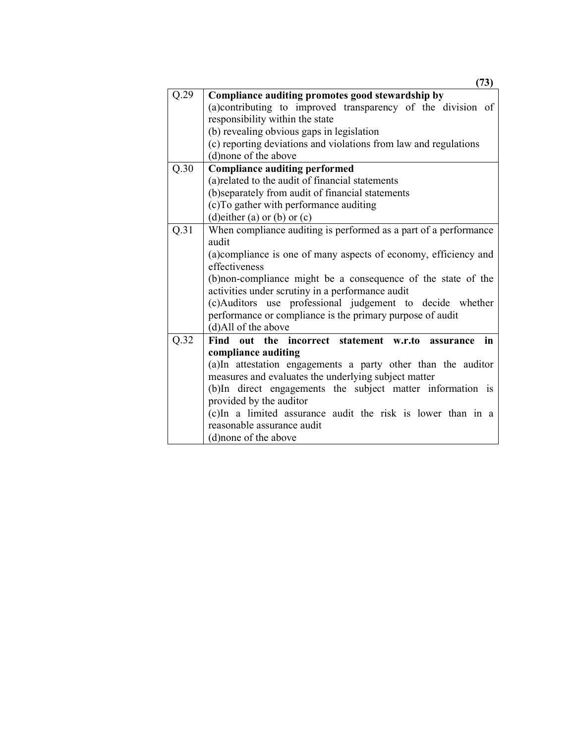|                   | (73)                                                               |
|-------------------|--------------------------------------------------------------------|
| Q.29              | Compliance auditing promotes good stewardship by                   |
|                   | (a)contributing to improved transparency of the division of        |
|                   | responsibility within the state                                    |
|                   | (b) revealing obvious gaps in legislation                          |
|                   | (c) reporting deviations and violations from law and regulations   |
|                   | (d)none of the above                                               |
| Q.30              | <b>Compliance auditing performed</b>                               |
|                   | (a) related to the audit of financial statements                   |
|                   | (b)separately from audit of financial statements                   |
|                   | (c)To gather with performance auditing                             |
|                   | (d) either (a) or (b) or $(c)$                                     |
| Q.31              | When compliance auditing is performed as a part of a performance   |
|                   | audit                                                              |
|                   | (a) compliance is one of many aspects of economy, efficiency and   |
|                   | effectiveness                                                      |
|                   | (b) non-compliance might be a consequence of the state of the      |
|                   | activities under scrutiny in a performance audit                   |
|                   | (c)Auditors use professional judgement to decide whether           |
|                   | performance or compliance is the primary purpose of audit          |
|                   | (d)All of the above                                                |
| $\overline{Q}.32$ | Find out the incorrect statement w.r.to assurance<br>$\mathbf{in}$ |
|                   | compliance auditing                                                |
|                   | (a)In attestation engagements a party other than the auditor       |
|                   | measures and evaluates the underlying subject matter               |
|                   | (b)In direct engagements the subject matter information is         |
|                   | provided by the auditor                                            |
|                   | (c)In a limited assurance audit the risk is lower than in a        |
|                   | reasonable assurance audit                                         |
|                   | (d) none of the above                                              |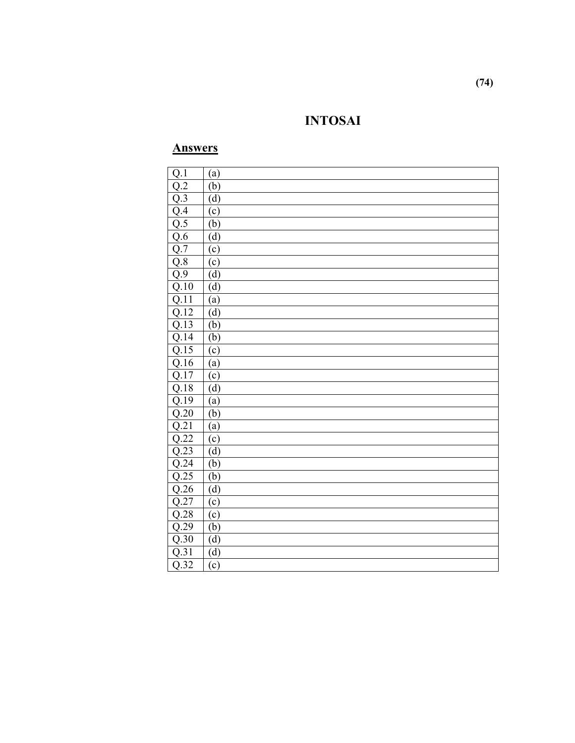# **INTOSAI**

## **Answers**

| Q.1               | (a)     |
|-------------------|---------|
| $\overline{Q.2}$  | (b)     |
| $\overline{Q.3}$  | (d)     |
| Q.4               | (c)     |
| Q.5               | (b)     |
| Q.6               | (d)     |
| $Q.\overline{7}$  | (c)     |
| Q.8               | (c)     |
| $Q.\overline{9}$  | (d)     |
| Q.10              | (d)     |
| $\overline{Q.11}$ | (a)     |
| $\overline{Q.12}$ | (d)     |
| Q.13              | (b)     |
| Q.14              | (b)     |
| Q.15              | (c)     |
| Q.16              | (a)     |
| Q.17              | (c)     |
| Q.18              | (d)     |
| Q.19              | (a)     |
| $\overline{Q.20}$ | (b)     |
| Q.21              | (a)     |
| $\overline{Q.22}$ | (c)     |
| $\overline{Q.23}$ | (d)     |
| Q.24              | (b)     |
| $\overline{Q.25}$ | (b)     |
| $\overline{Q.26}$ | (d)     |
| $\overline{Q.27}$ | $\circ$ |
| $\overline{Q.28}$ | (c)     |
| Q.29              | (b)     |
| Q.30              | (d)     |
| $\overline{Q.31}$ | (d)     |
| $\overline{Q.32}$ | (c)     |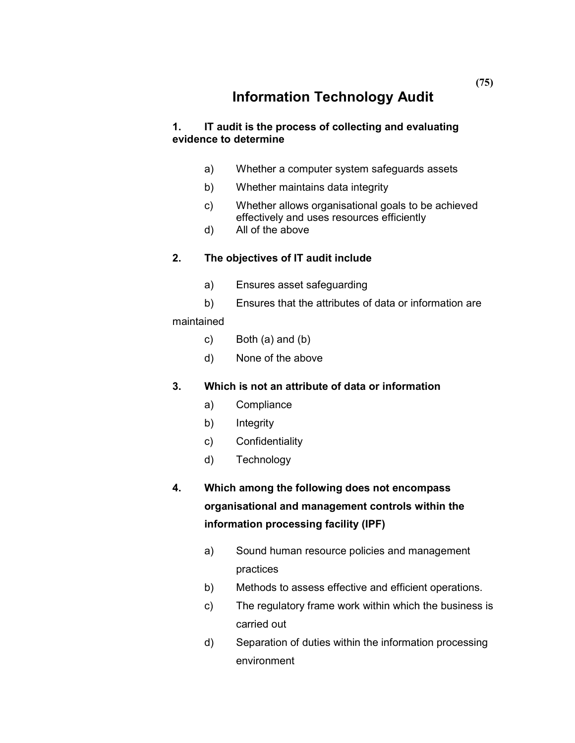# **Information Technology Audit**

### **1. IT audit is the process of collecting and evaluating evidence to determine**

- a) Whether a computer system safeguards assets
- b) Whether maintains data integrity
- c) Whether allows organisational goals to be achieved effectively and uses resources efficiently
- d) All of the above

### **2. The objectives of IT audit include**

- a) Ensures asset safeguarding
- b) Ensures that the attributes of data or information are

#### maintained

- c) Both (a) and (b)
- d) None of the above

#### **3. Which is not an attribute of data or information**

- a) Compliance
- b) Integrity
- c) Confidentiality
- d) Technology
- **4. Which among the following does not encompass organisational and management controls within the information processing facility (IPF)** 
	- a) Sound human resource policies and management practices
	- b) Methods to assess effective and efficient operations.
	- c) The regulatory frame work within which the business is carried out
	- d) Separation of duties within the information processing environment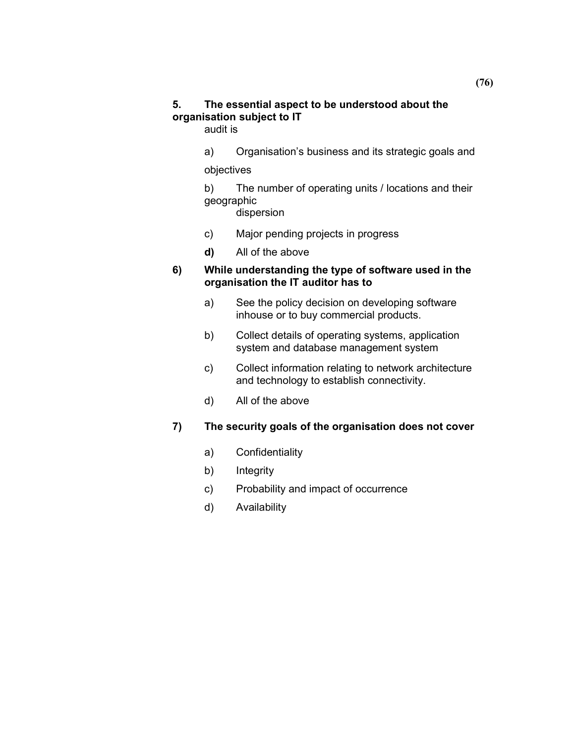### **5. The essential aspect to be understood about the organisation subject to IT**

audit is

a) Organisation's business and its strategic goals and

objectives

 b) The number of operating units / locations and their geographic

dispersion

- c) Major pending projects in progress
- **d)** All of the above

### **6) While understanding the type of software used in the organisation the IT auditor has to**

- a) See the policy decision on developing software inhouse or to buy commercial products.
- b) Collect details of operating systems, application system and database management system
- c) Collect information relating to network architecture and technology to establish connectivity.
- d) All of the above

### **7) The security goals of the organisation does not cover**

- a) Confidentiality
- b) Integrity
- c) Probability and impact of occurrence
- d) Availability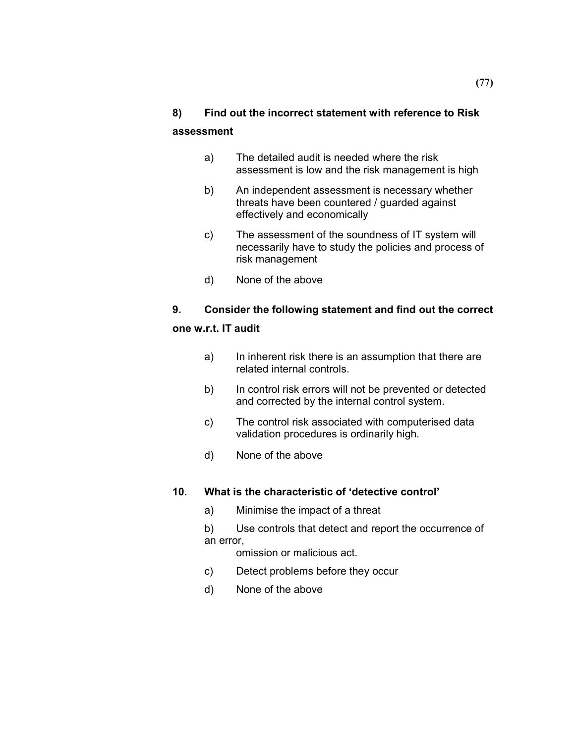# **8) Find out the incorrect statement with reference to Risk assessment**

- a) The detailed audit is needed where the risk assessment is low and the risk management is high
- b) An independent assessment is necessary whether threats have been countered / guarded against effectively and economically
- c) The assessment of the soundness of IT system will necessarily have to study the policies and process of risk management
- d) None of the above

# **9. Consider the following statement and find out the correct**

### **one w.r.t. IT audit**

- a) In inherent risk there is an assumption that there are related internal controls.
- b) In control risk errors will not be prevented or detected and corrected by the internal control system.
- c) The control risk associated with computerised data validation procedures is ordinarily high.
- d) None of the above

### **10. What is the characteristic of 'detective control'**

- a) Minimise the impact of a threat
- b) Use controls that detect and report the occurrence of an error,
	- omission or malicious act.
- c) Detect problems before they occur
- d) None of the above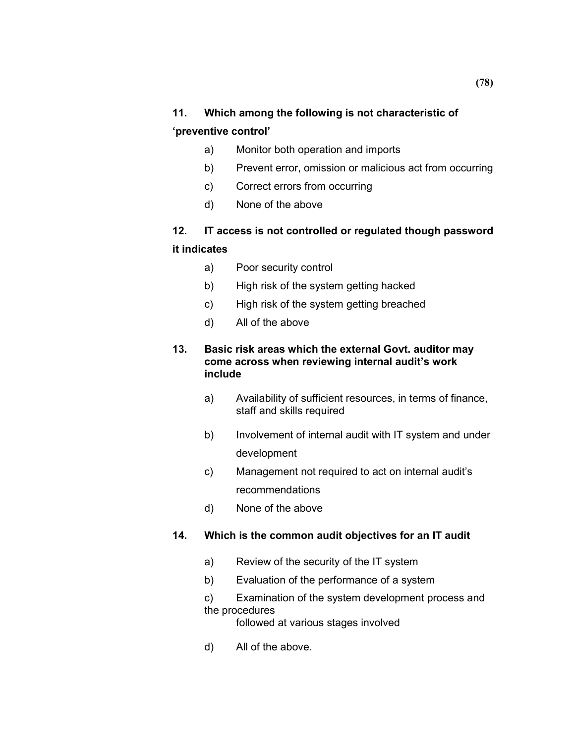## **11. Which among the following is not characteristic of 'preventive control'**

## a) Monitor both operation and imports

- b) Prevent error, omission or malicious act from occurring
- c) Correct errors from occurring
- d) None of the above

# **12. IT access is not controlled or regulated though password it indicates**

- a) Poor security control
- b) High risk of the system getting hacked
- c) High risk of the system getting breached
- d) All of the above

#### **13. Basic risk areas which the external Govt. auditor may come across when reviewing internal audit's work include**

- a) Availability of sufficient resources, in terms of finance, staff and skills required
- b) Involvement of internal audit with IT system and under development
- c) Management not required to act on internal audit's recommendations
- d) None of the above

### **14. Which is the common audit objectives for an IT audit**

- a) Review of the security of the IT system
- b) Evaluation of the performance of a system

 c) Examination of the system development process and the procedures

followed at various stages involved

d) All of the above.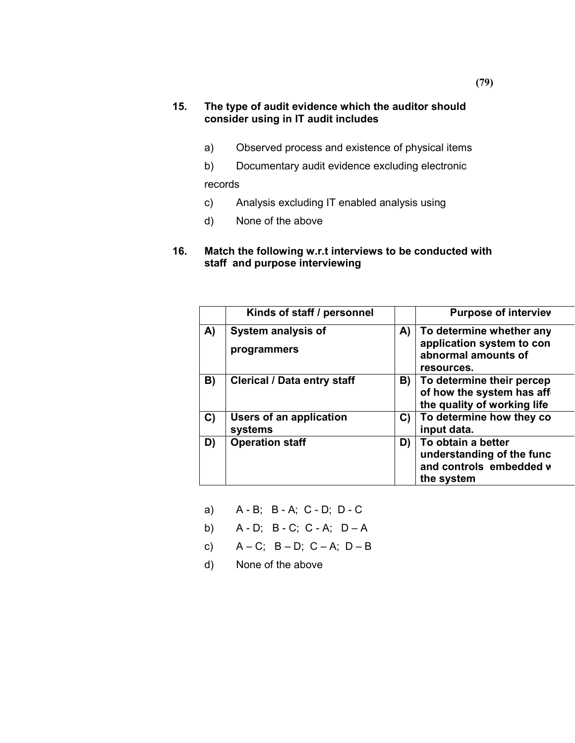#### **15. The type of audit evidence which the auditor should consider using in IT audit includes**

- a) Observed process and existence of physical items
- b) Documentary audit evidence excluding electronic records
- c) Analysis excluding IT enabled analysis using
- d) None of the above
- **16. Match the following w.r.t interviews to be conducted with staff and purpose interviewing**

|    | Kinds of staff / personnel         |    | <b>Purpose of interviev</b>                                                                |
|----|------------------------------------|----|--------------------------------------------------------------------------------------------|
| A) | System analysis of<br>programmers  | A) | To determine whether any<br>application system to con<br>abnormal amounts of<br>resources. |
| B) | <b>Clerical / Data entry staff</b> | B) | To determine their percep<br>of how the system has aff<br>the quality of working life      |
| C) | Users of an application<br>systems | C) | To determine how they co<br>input data.                                                    |
| D) | <b>Operation staff</b>             | D) | To obtain a better<br>understanding of the func<br>and controls embedded w<br>the system   |

- a) A B; B A; C D; D C
- b) A D; B C; C A; D A
- c)  $A C$ ;  $B D$ ;  $C A$ ;  $D B$
- d) None of the above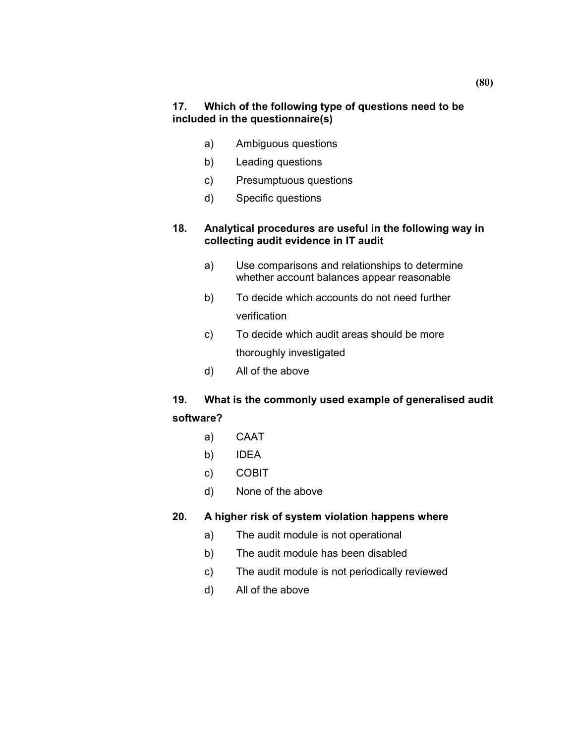- a) Ambiguous questions
- b) Leading questions
- c) Presumptuous questions
- d) Specific questions

### **18. Analytical procedures are useful in the following way in collecting audit evidence in IT audit**

- a) Use comparisons and relationships to determine whether account balances appear reasonable
- b) To decide which accounts do not need further verification
- c) To decide which audit areas should be more thoroughly investigated
- d) All of the above

# **19. What is the commonly used example of generalised audit software?**

- a) CAAT
- b) IDEA
- c) COBIT
- d) None of the above

### **20. A higher risk of system violation happens where**

- a) The audit module is not operational
- b) The audit module has been disabled
- c) The audit module is not periodically reviewed
- d) All of the above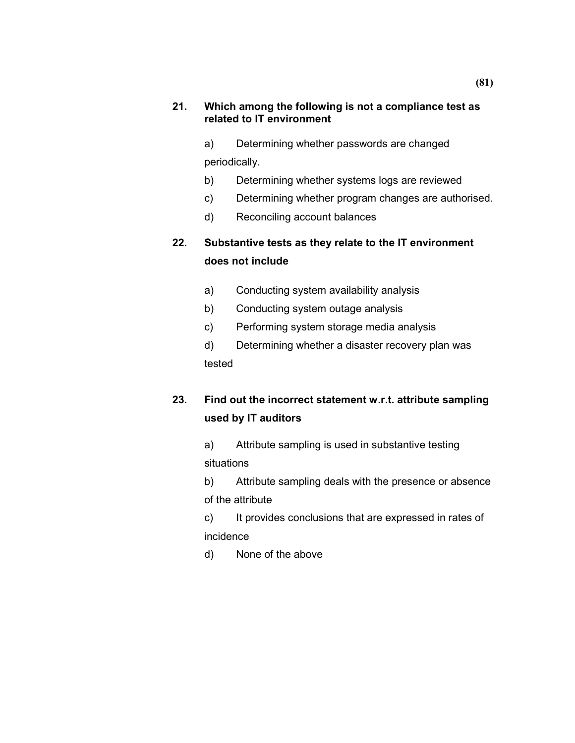#### **21. Which among the following is not a compliance test as related to IT environment**

 a) Determining whether passwords are changed periodically.

- b) Determining whether systems logs are reviewed
- c) Determining whether program changes are authorised.
- d) Reconciling account balances

# **22. Substantive tests as they relate to the IT environment does not include**

- a) Conducting system availability analysis
- b) Conducting system outage analysis
- c) Performing system storage media analysis

 d) Determining whether a disaster recovery plan was tested

# **23. Find out the incorrect statement w.r.t. attribute sampling used by IT auditors**

 a) Attribute sampling is used in substantive testing situations

 b) Attribute sampling deals with the presence or absence of the attribute

 c) It provides conclusions that are expressed in rates of incidence

d) None of the above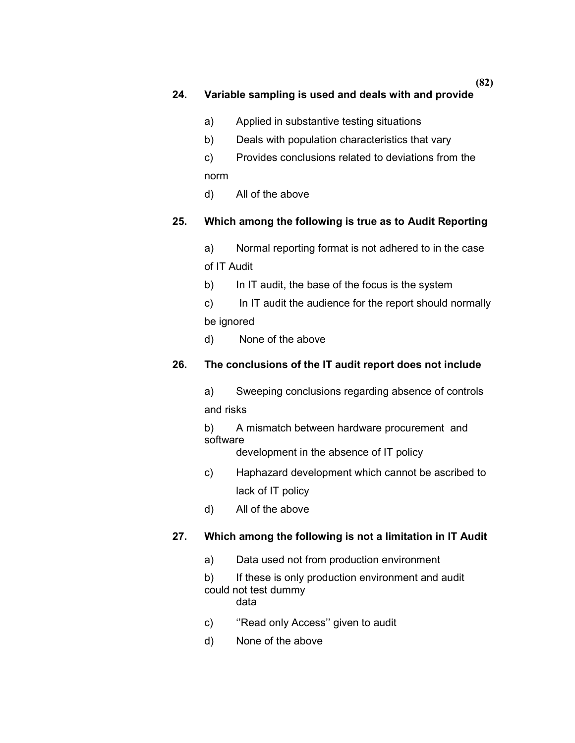### **24. Variable sampling is used and deals with and provide**

- a) Applied in substantive testing situations
- b) Deals with population characteristics that vary
- c) Provides conclusions related to deviations from the norm
- d) All of the above

### **25. Which among the following is true as to Audit Reporting**

 a) Normal reporting format is not adhered to in the case of IT Audit

b) In IT audit, the base of the focus is the system

 c) In IT audit the audience for the report should normally be ignored

d) None of the above

### **26. The conclusions of the IT audit report does not include**

 a) Sweeping conclusions regarding absence of controls and risks

 b) A mismatch between hardware procurement and software

development in the absence of IT policy

- c) Haphazard development which cannot be ascribed to lack of IT policy
- d) All of the above

### **27. Which among the following is not a limitation in IT Audit**

a) Data used not from production environment

b) If these is only production environment and audit could not test dummy

data

- c) ''Read only Access'' given to audit
- d) None of the above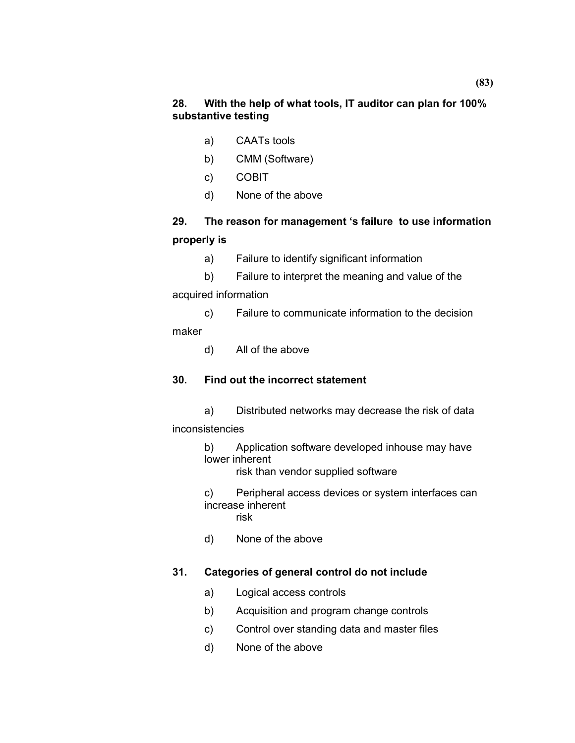- a) CAATs tools
- b) CMM (Software)
- c) COBIT
- d) None of the above

# **29. The reason for management 's failure to use information properly is**

- a) Failure to identify significant information
- b) Failure to interpret the meaning and value of the

acquired information

 c) Failure to communicate information to the decision maker

d) All of the above

### **30. Find out the incorrect statement**

 a) Distributed networks may decrease the risk of data inconsistencies

> b) Application software developed inhouse may have lower inherent

risk than vendor supplied software

 c) Peripheral access devices or system interfaces can increase inherent risk

d) None of the above

## **31. Categories of general control do not include**

- a) Logical access controls
- b) Acquisition and program change controls
- c) Control over standing data and master files
- d) None of the above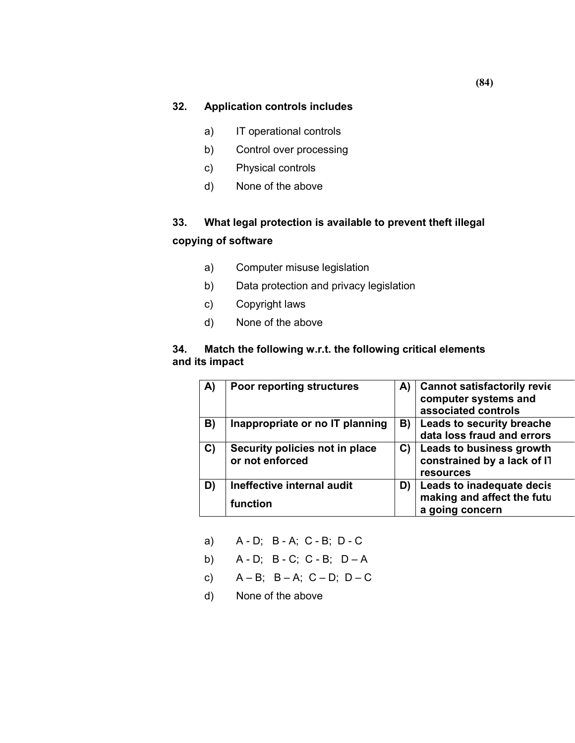- a) IT operational controls
- b) Control over processing
- c) Physical controls
- d) None of the above

# **33. What legal protection is available to prevent theft illegal copying of software**

- a) Computer misuse legislation
- b) Data protection and privacy legislation
- c) Copyright laws
- d) None of the above

#### **34. Match the following w.r.t. the following critical elements and its impact**

| A) | <b>Poor reporting structures</b>                  | A) | <b>Cannot satisfactorily revic</b><br>computer systems and<br>associated controls  |
|----|---------------------------------------------------|----|------------------------------------------------------------------------------------|
| B) | Inappropriate or no IT planning                   | B) | <b>Leads to security breache</b><br>data loss fraud and errors                     |
| C) | Security policies not in place<br>or not enforced | C) | <b>Leads to business growth</b><br>constrained by a lack of IT<br><b>resources</b> |
| D) | Ineffective internal audit<br>function            | D) | Leads to inadequate decis<br>making and affect the futu                            |
|    |                                                   |    | a going concern                                                                    |

- a) A D; B A; C B; D C
- b) A D; B C; C B; D A
- c)  $A B$ ;  $B A$ ;  $C D$ ;  $D C$
- d) None of the above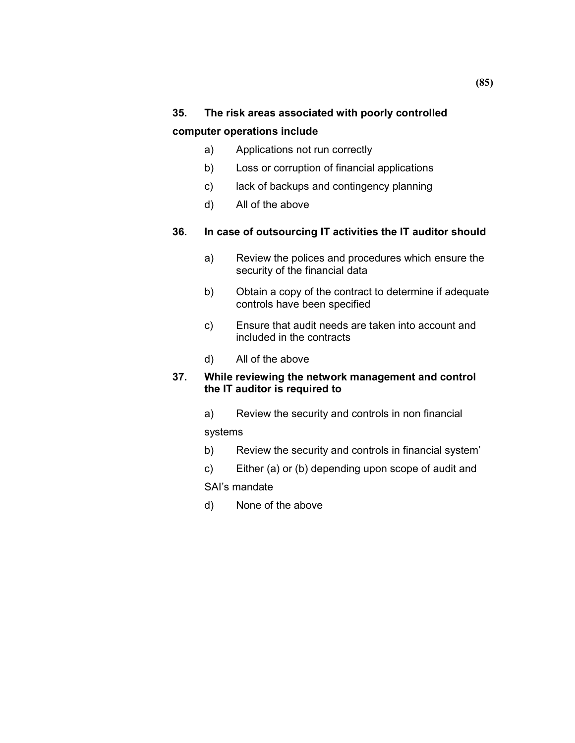# **35. The risk areas associated with poorly controlled computer operations include**

- a) Applications not run correctly
- b) Loss or corruption of financial applications
- c) lack of backups and contingency planning
- d) All of the above

### **36. In case of outsourcing IT activities the IT auditor should**

- a) Review the polices and procedures which ensure the security of the financial data
- b) Obtain a copy of the contract to determine if adequate controls have been specified
- c) Ensure that audit needs are taken into account and included in the contracts
- d) All of the above

#### **37. While reviewing the network management and control the IT auditor is required to**

a) Review the security and controls in non financial

systems

- b) Review the security and controls in financial system'
- c) Either (a) or (b) depending upon scope of audit and

SAI's mandate

d) None of the above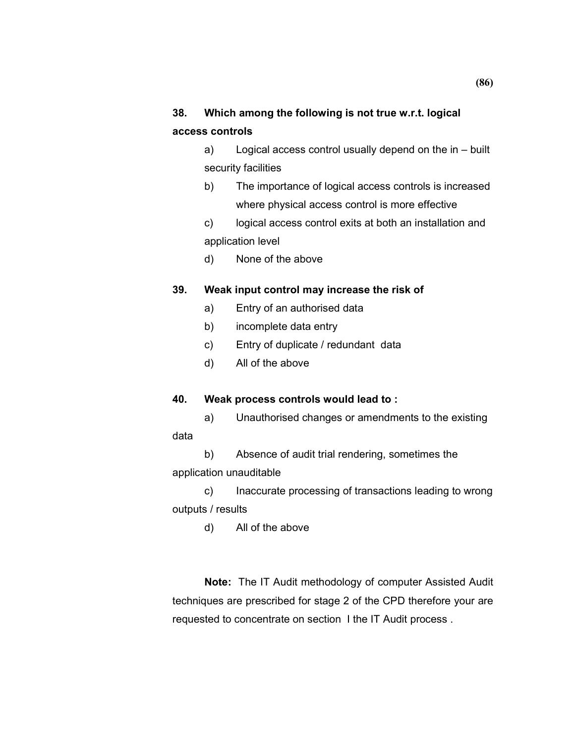# **38. Which among the following is not true w.r.t. logical access controls**

a) Logical access control usually depend on the in – built security facilities

- b) The importance of logical access controls is increased where physical access control is more effective
- c) logical access control exits at both an installation and application level
- d) None of the above

### **39. Weak input control may increase the risk of**

- a) Entry of an authorised data
- b) incomplete data entry
- c) Entry of duplicate / redundant data
- d) All of the above

data

### **40. Weak process controls would lead to :**

a) Unauthorised changes or amendments to the existing

b) Absence of audit trial rendering, sometimes the application unauditable

c) Inaccurate processing of transactions leading to wrong outputs / results

d) All of the above

**Note:** The IT Audit methodology of computer Assisted Audit techniques are prescribed for stage 2 of the CPD therefore your are requested to concentrate on section I the IT Audit process .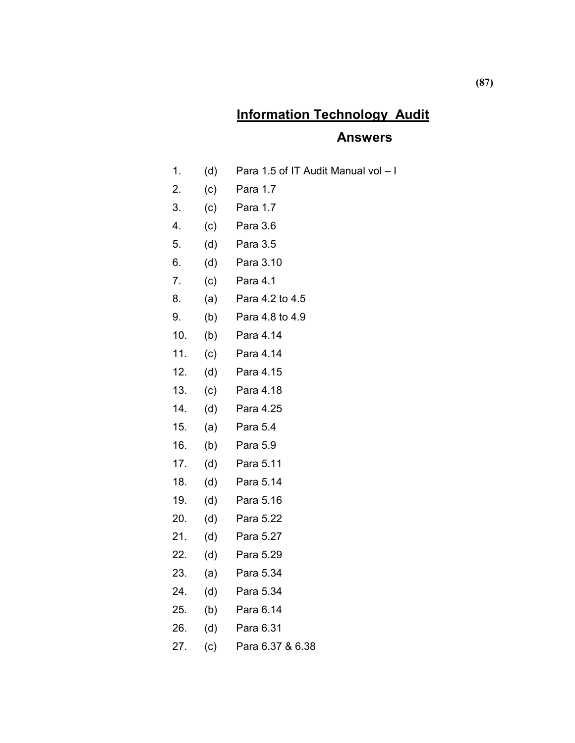# **Information Technology Audit**

### **Answers**

- 1. (d) Para 1.5 of IT Audit Manual vol I
- 2. (c) Para 1.7
- 3. (c) Para 1.7
- 4. (c) Para 3.6
- 5. (d) Para 3.5
- 6. (d) Para 3.10
- 7. (c) Para 4.1
- 8. (a) Para 4.2 to 4.5
- 9. (b) Para 4.8 to 4.9
- 10. (b) Para 4.14
- 11. (c) Para 4.14
- 12. (d) Para 4.15
- 13. (c) Para 4.18
- 14. (d) Para 4.25
- 15. (a) Para 5.4
- 16. (b) Para 5.9
- 17. (d) Para 5.11
- 18. (d) Para 5.14
- 19. (d) Para 5.16
- 20. (d) Para 5.22
- 21. (d) Para 5.27
- 22. (d) Para 5.29
- 23. (a) Para 5.34
- 24. (d) Para 5.34
- 25. (b) Para 6.14
- 26. (d) Para 6.31
- 27. (c) Para 6.37 & 6.38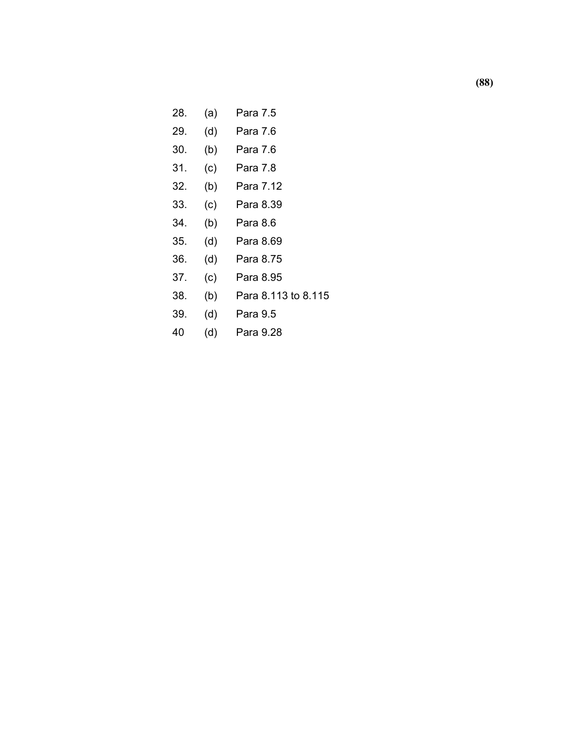## 28. (a) Para 7.5

- 29. (d) Para 7.6
- 30. (b) Para 7.6
- 31. (c) Para 7.8
- 32. (b) Para 7.12
- 33. (c) Para 8.39
- 34. (b) Para 8.6
- 35. (d) Para 8.69
- 36. (d) Para 8.75
- 37. (c) Para 8.95
- 38. (b) Para 8.113 to 8.115
- 39. (d) Para 9.5
- 40 (d) Para 9.28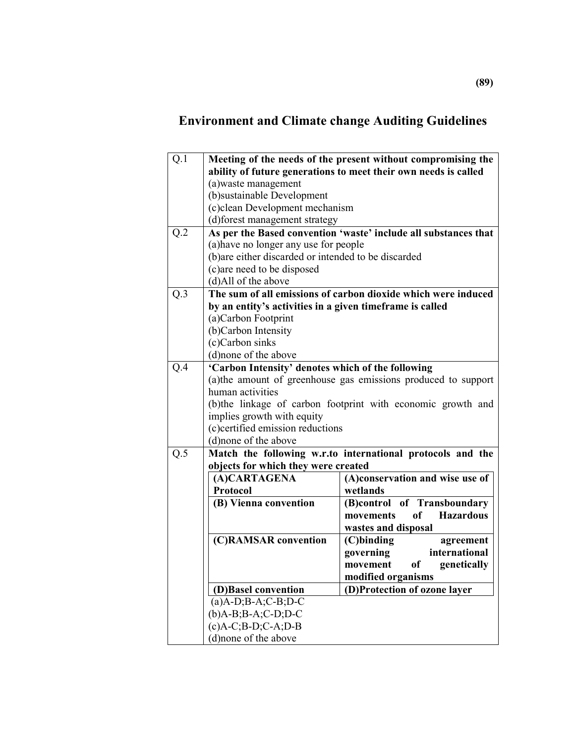# **Environment and Climate change Auditing Guidelines**

| Q.1 | Meeting of the needs of the present without compromising the    |                                                                |  |
|-----|-----------------------------------------------------------------|----------------------------------------------------------------|--|
|     | ability of future generations to meet their own needs is called |                                                                |  |
|     | (a) waste management                                            |                                                                |  |
|     | (b)sustainable Development                                      |                                                                |  |
|     | (c)clean Development mechanism                                  |                                                                |  |
|     | (d)forest management strategy                                   |                                                                |  |
| Q.2 | As per the Based convention 'waste' include all substances that |                                                                |  |
|     | (a) have no longer any use for people                           |                                                                |  |
|     | (b) are either discarded or intended to be discarded            |                                                                |  |
|     | (c) are need to be disposed                                     |                                                                |  |
|     | (d)All of the above                                             |                                                                |  |
| Q.3 |                                                                 | The sum of all emissions of carbon dioxide which were induced  |  |
|     | by an entity's activities in a given timeframe is called        |                                                                |  |
|     | (a)Carbon Footprint                                             |                                                                |  |
|     | (b)Carbon Intensity                                             |                                                                |  |
|     | (c)Carbon sinks                                                 |                                                                |  |
|     | (d) none of the above                                           |                                                                |  |
| Q.4 | 'Carbon Intensity' denotes which of the following               |                                                                |  |
|     |                                                                 | (a) the amount of greenhouse gas emissions produced to support |  |
|     | human activities                                                |                                                                |  |
|     |                                                                 | (b) the linkage of carbon footprint with economic growth and   |  |
|     | implies growth with equity                                      |                                                                |  |
|     | (c)certified emission reductions                                |                                                                |  |
|     | (d)none of the above                                            |                                                                |  |
| Q.5 |                                                                 | Match the following w.r.to international protocols and the     |  |
|     | objects for which they were created                             |                                                                |  |
|     | (A)CARTAGENA                                                    | (A)conservation and wise use of                                |  |
|     | Protocol                                                        | wetlands                                                       |  |
|     | (B) Vienna convention                                           | (B)control of Transboundary                                    |  |
|     |                                                                 | of Hazardous<br>movements                                      |  |
|     |                                                                 | wastes and disposal                                            |  |
|     | (C)RAMSAR convention                                            | $(C)$ binding<br>agreement                                     |  |
|     |                                                                 | governing<br>international                                     |  |
|     |                                                                 | of the orient of $\overline{a}$<br>genetically<br>movement     |  |
|     |                                                                 | modified organisms                                             |  |
|     | (D)Basel convention                                             | (D)Protection of ozone layer                                   |  |
|     | $(a)$ A-D;B-A;C-B;D-C                                           |                                                                |  |
|     | $(b)$ A-B;B-A;C-D;D-C                                           |                                                                |  |
|     | $(c)A-C$ ; $B-D$ ; $C-A$ ; $D-B$                                |                                                                |  |
|     | (d)none of the above                                            |                                                                |  |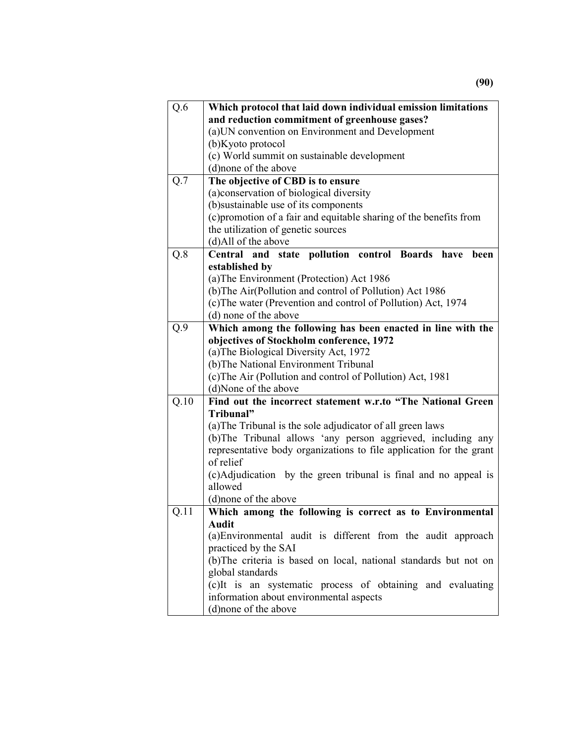| Q.6              | Which protocol that laid down individual emission limitations       |  |
|------------------|---------------------------------------------------------------------|--|
|                  | and reduction commitment of greenhouse gases?                       |  |
|                  | (a) UN convention on Environment and Development                    |  |
|                  | (b) Kyoto protocol                                                  |  |
|                  | (c) World summit on sustainable development                         |  |
|                  | (d)none of the above                                                |  |
| $Q.\overline{7}$ | The objective of CBD is to ensure                                   |  |
|                  | (a) conservation of biological diversity                            |  |
|                  | (b)sustainable use of its components                                |  |
|                  | (c) promotion of a fair and equitable sharing of the benefits from  |  |
|                  | the utilization of genetic sources                                  |  |
|                  | (d)All of the above                                                 |  |
| Q.8              | Central and state pollution control Boards have<br>been             |  |
|                  | established by                                                      |  |
|                  | (a) The Environment (Protection) Act 1986                           |  |
|                  | (b) The Air(Pollution and control of Pollution) Act 1986            |  |
|                  | (c) The water (Prevention and control of Pollution) Act, 1974       |  |
|                  | (d) none of the above                                               |  |
| Q.9              | Which among the following has been enacted in line with the         |  |
|                  | objectives of Stockholm conference, 1972                            |  |
|                  | (a) The Biological Diversity Act, 1972                              |  |
|                  | (b) The National Environment Tribunal                               |  |
|                  | (c) The Air (Pollution and control of Pollution) Act, 1981          |  |
|                  | (d)None of the above                                                |  |
| Q.10             | Find out the incorrect statement w.r.to "The National Green         |  |
|                  | Tribunal"                                                           |  |
|                  | (a) The Tribunal is the sole adjudicator of all green laws          |  |
|                  | (b) The Tribunal allows 'any person aggrieved, including any        |  |
|                  | representative body organizations to file application for the grant |  |
|                  | of relief                                                           |  |
|                  | (c)Adjudication by the green tribunal is final and no appeal is     |  |
|                  | allowed                                                             |  |
|                  | (d) none of the above                                               |  |
| Q.11             | Which among the following is correct as to Environmental            |  |
|                  | Audit                                                               |  |
|                  | (a) Environmental audit is different from the audit approach        |  |
|                  | practiced by the SAI                                                |  |
|                  | (b)The criteria is based on local, national standards but not on    |  |
|                  | global standards                                                    |  |
|                  | (c)It is an systematic process of obtaining and evaluating          |  |
|                  | information about environmental aspects                             |  |
|                  | (d) none of the above                                               |  |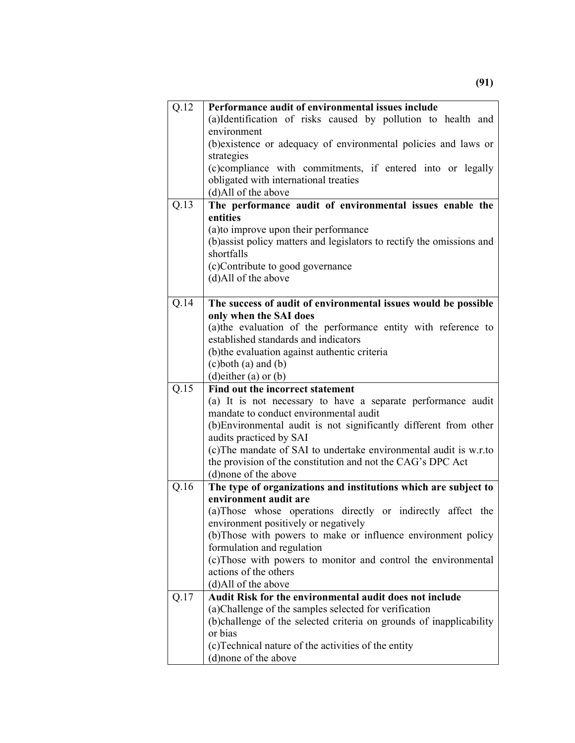| Q.12 | Performance audit of environmental issues include                                                                                                                                                                                                                     |
|------|-----------------------------------------------------------------------------------------------------------------------------------------------------------------------------------------------------------------------------------------------------------------------|
|      | (a)Identification of risks caused by pollution to health and                                                                                                                                                                                                          |
|      | environment                                                                                                                                                                                                                                                           |
|      | (b) existence or adequacy of environmental policies and laws or                                                                                                                                                                                                       |
|      | strategies                                                                                                                                                                                                                                                            |
|      | (c)compliance with commitments, if entered into or legally                                                                                                                                                                                                            |
|      | obligated with international treaties                                                                                                                                                                                                                                 |
|      | (d)All of the above                                                                                                                                                                                                                                                   |
| Q.13 | The performance audit of environmental issues enable the                                                                                                                                                                                                              |
|      | entities                                                                                                                                                                                                                                                              |
|      | (a) to improve upon their performance                                                                                                                                                                                                                                 |
|      | (b)assist policy matters and legislators to rectify the omissions and                                                                                                                                                                                                 |
|      | shortfalls                                                                                                                                                                                                                                                            |
|      | (c)Contribute to good governance                                                                                                                                                                                                                                      |
|      | (d)All of the above                                                                                                                                                                                                                                                   |
|      |                                                                                                                                                                                                                                                                       |
| Q.14 | The success of audit of environmental issues would be possible                                                                                                                                                                                                        |
|      | only when the SAI does                                                                                                                                                                                                                                                |
|      | (a) the evaluation of the performance entity with reference to                                                                                                                                                                                                        |
|      | established standards and indicators                                                                                                                                                                                                                                  |
|      | (b) the evaluation against authentic criteria                                                                                                                                                                                                                         |
|      | $(c)$ both $(a)$ and $(b)$                                                                                                                                                                                                                                            |
|      | (d) either (a) or $(b)$                                                                                                                                                                                                                                               |
|      |                                                                                                                                                                                                                                                                       |
| Q.15 | Find out the incorrect statement                                                                                                                                                                                                                                      |
|      |                                                                                                                                                                                                                                                                       |
|      | mandate to conduct environmental audit                                                                                                                                                                                                                                |
|      |                                                                                                                                                                                                                                                                       |
|      | audits practiced by SAI                                                                                                                                                                                                                                               |
|      |                                                                                                                                                                                                                                                                       |
|      | (a) It is not necessary to have a separate performance audit<br>(b) Environmental audit is not significantly different from other<br>(c) The mandate of SAI to undertake environmental audit is w.r.to<br>the provision of the constitution and not the CAG's DPC Act |
|      | (d)none of the above                                                                                                                                                                                                                                                  |
| Q.16 | The type of organizations and institutions which are subject to                                                                                                                                                                                                       |
|      | environment audit are                                                                                                                                                                                                                                                 |
|      |                                                                                                                                                                                                                                                                       |
|      | environment positively or negatively                                                                                                                                                                                                                                  |
|      | formulation and regulation                                                                                                                                                                                                                                            |
|      |                                                                                                                                                                                                                                                                       |
|      | actions of the others                                                                                                                                                                                                                                                 |
|      | (a) Those whose operations directly or indirectly affect the<br>(b) Those with powers to make or influence environment policy<br>(c)Those with powers to monitor and control the environmental<br>(d)All of the above                                                 |
| Q.17 | Audit Risk for the environmental audit does not include                                                                                                                                                                                                               |
|      | (a) Challenge of the samples selected for verification                                                                                                                                                                                                                |
|      |                                                                                                                                                                                                                                                                       |
|      | (b)challenge of the selected criteria on grounds of inapplicability<br>or bias                                                                                                                                                                                        |
|      | (c) Technical nature of the activities of the entity<br>(d) none of the above                                                                                                                                                                                         |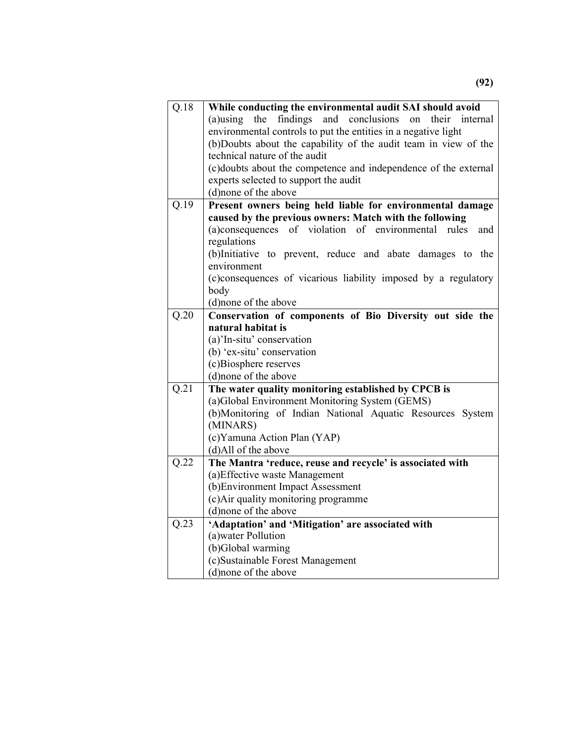| Q.18              | While conducting the environmental audit SAI should avoid                    |
|-------------------|------------------------------------------------------------------------------|
|                   | and conclusions<br>the<br>findings<br>$(a)$ using<br>their<br>internal<br>on |
|                   | environmental controls to put the entities in a negative light               |
|                   | (b)Doubts about the capability of the audit team in view of the              |
|                   | technical nature of the audit                                                |
|                   | (c)doubts about the competence and independence of the external              |
|                   | experts selected to support the audit                                        |
|                   | (d) none of the above                                                        |
| Q.19              | Present owners being held liable for environmental damage                    |
|                   | caused by the previous owners: Match with the following                      |
|                   | (a)consequences of violation of environmental rules<br>and                   |
|                   | regulations                                                                  |
|                   | (b)Initiative to prevent, reduce and abate damages to the                    |
|                   | environment                                                                  |
|                   | (c)consequences of vicarious liability imposed by a regulatory               |
|                   | body                                                                         |
|                   | (d)none of the above                                                         |
| Q.20              | Conservation of components of Bio Diversity out side the                     |
|                   | natural habitat is                                                           |
|                   | (a)'In-situ' conservation                                                    |
|                   | (b) 'ex-situ' conservation                                                   |
|                   | (c)Biosphere reserves                                                        |
|                   | (d)none of the above                                                         |
| Q.21              | The water quality monitoring established by CPCB is                          |
|                   | (a)Global Environment Monitoring System (GEMS)                               |
|                   | (b)Monitoring of Indian National Aquatic Resources System                    |
|                   | (MINARS)                                                                     |
|                   | (c) Yamuna Action Plan (YAP)                                                 |
|                   | (d)All of the above                                                          |
| $\overline{Q.22}$ | The Mantra 'reduce, reuse and recycle' is associated with                    |
|                   | (a) Effective waste Management                                               |
|                   | (b) Environment Impact Assessment                                            |
|                   | (c) Air quality monitoring programme                                         |
|                   | (d) none of the above                                                        |
| Q.23              | 'Adaptation' and 'Mitigation' are associated with                            |
|                   | (a) water Pollution                                                          |
|                   | (b)Global warming                                                            |
|                   | (c)Sustainable Forest Management                                             |
|                   | (d) none of the above                                                        |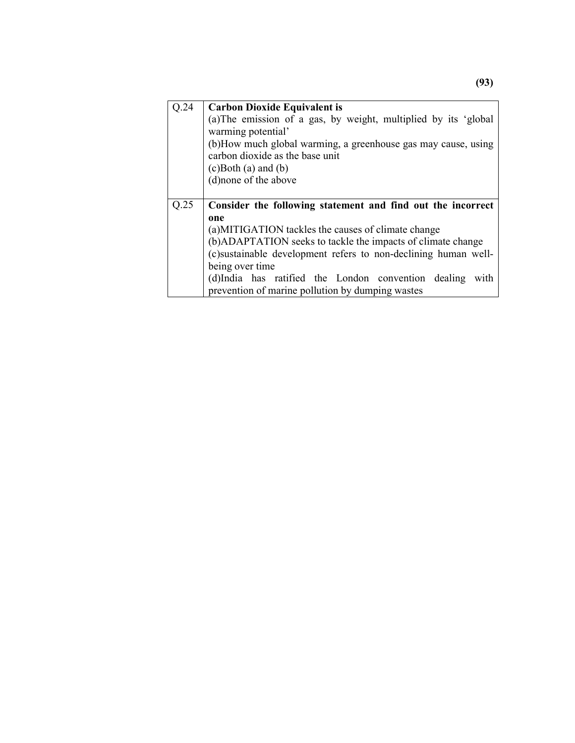| Q.24                                                                | <b>Carbon Dioxide Equivalent is</b>                            |
|---------------------------------------------------------------------|----------------------------------------------------------------|
|                                                                     | (a)The emission of a gas, by weight, multiplied by its 'global |
|                                                                     | warming potential'                                             |
|                                                                     | (b)How much global warming, a greenhouse gas may cause, using  |
|                                                                     | carbon dioxide as the base unit                                |
|                                                                     | $(c)$ Both $(a)$ and $(b)$                                     |
|                                                                     | (d)none of the above                                           |
|                                                                     |                                                                |
| Q.25<br>Consider the following statement and find out the incorrect |                                                                |
|                                                                     |                                                                |
|                                                                     | one                                                            |
|                                                                     | (a)MITIGATION tackles the causes of climate change             |
|                                                                     | (b) ADAPTATION seeks to tackle the impacts of climate change   |
|                                                                     | (c)sustainable development refers to non-declining human well- |
|                                                                     | being over time                                                |
|                                                                     | (d)India has ratified the London convention dealing<br>with    |